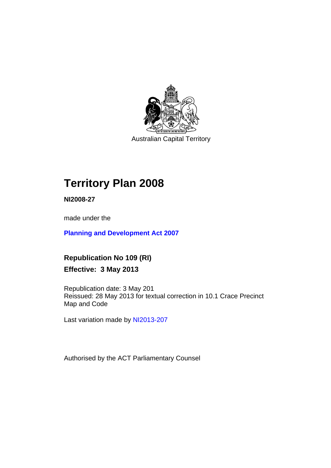

Australian Capital Territory

# **Territory Plan 2008**

**NI2008-27** 

made under the

**[Planning and Development Act 2007](http://www.legislation.act.gov.au/a/2007-24/default.asp)**

**Republication No 109 (RI) Effective: 3 May 2013** 

Republication date: 3 May 201 Reissued: 28 May 2013 for textual correction in 10.1 Crace Precinct Map and Code

Last variation made by [NI2013-207](http://www.legislation.act.gov.au/ni/2013-207/default.asp)

Authorised by the ACT Parliamentary Counsel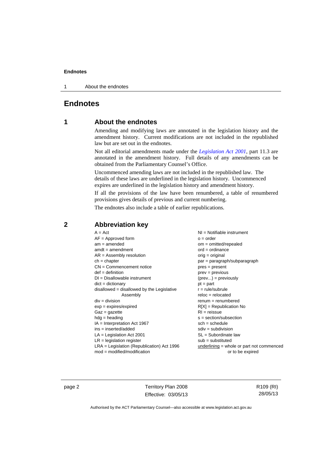1 About the endnotes

### **Endnotes**

### **1 About the endnotes**

Amending and modifying laws are annotated in the legislation history and the amendment history. Current modifications are not included in the republished law but are set out in the endnotes.

Not all editorial amendments made under the *[Legislation Act 2001](http://www.legislation.act.gov.au/a/2001-14/default.asp)*, part 11.3 are annotated in the amendment history. Full details of any amendments can be obtained from the Parliamentary Counsel's Office.

Uncommenced amending laws are not included in the republished law. The details of these laws are underlined in the legislation history. Uncommenced expires are underlined in the legislation history and amendment history.

If all the provisions of the law have been renumbered, a table of renumbered provisions gives details of previous and current numbering.

The endnotes also include a table of earlier republications.

| $A = Act$                                  | $NI =$ Notifiable instrument                |
|--------------------------------------------|---------------------------------------------|
| $AF =$ Approved form                       | $o = order$                                 |
| $am = amended$                             | $om = omitted/repealed$                     |
| $amdt = amendment$                         | $ord = ordinance$                           |
| $AR = Assembly resolution$                 | $orig = original$                           |
| $ch = chapter$                             | par = paragraph/subparagraph                |
| $CN =$ Commencement notice                 | $pres = present$                            |
| $def = definition$                         | prev = previous                             |
| $DI = Disallowable instrument$             | $(\text{prev}) = \text{previously}$         |
| $dict = dictionary$                        | $pt = part$                                 |
| disallowed = disallowed by the Legislative | $r = rule/subrule$                          |
| Assembly                                   | $reloc = relocated$                         |
| $div = division$                           | $renum = renumbered$                        |
| $exp = expires/expired$                    | $R[X]$ = Republication No                   |
| $Gaz = gazette$                            | $RI = reissue$                              |
| $hdg = heading$                            | $s = section/subsection$                    |
| $IA = Interpretation Act 1967$             | $sch = schedule$                            |
| ins = inserted/added                       | $sdiv = subdivision$                        |
| $LA =$ Legislation Act 2001                | $SL = Subordinate$ law                      |
| $LR =$ legislation register                | $sub =$ substituted                         |
| LRA = Legislation (Republication) Act 1996 | $underlining = whole or part not commenced$ |
| $mod = modified/modification$              | or to be expired                            |
|                                            |                                             |

### **2 Abbreviation key**

page 2 Territory Plan 2008 Effective: 03/05/13 R109 (RI) 28/05/13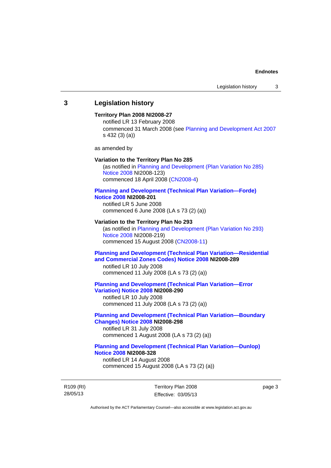### **3 Legislation history**

### **Territory Plan 2008 NI2008-27**

notified LR 13 February 2008 commenced 31 March 2008 (see [Planning and Development Act 2007](http://www.legislation.act.gov.au/a/2007-24/default.asp) s 432 (3) (a))

as amended by

#### **Variation to the Territory Plan No 285**

(as notified in [Planning and Development \(Plan Variation No 285\)](http://www.legislation.act.gov.au/ni/2008-123/)  [Notice 2008](http://www.legislation.act.gov.au/ni/2008-123/) NI2008-123) commenced 18 April 2008 [\(CN2008-4\)](http://www.legislation.act.gov.au/cn/2008-4/)

#### **[Planning and Development \(Technical Plan Variation—Forde\)](http://www.legislation.act.gov.au/ni/2008-201/)  [Notice 2008](http://www.legislation.act.gov.au/ni/2008-201/) NI2008-201**

notified LR 5 June 2008 commenced 6 June 2008 (LA s 73 (2) (a))

#### **Variation to the Territory Plan No 293**

(as notified in [Planning and Development \(Plan Variation No 293\)](http://www.legislation.act.gov.au/ni/2008-219/)  [Notice 2008](http://www.legislation.act.gov.au/ni/2008-219/) NI2008-219) commenced 15 August 2008 [\(CN2008-11\)](http://www.legislation.act.gov.au/cn/2008-11/)

### **[Planning and Development \(Technical Plan Variation—Residential](http://www.legislation.act.gov.au/ni/2008-289/)  [and Commercial Zones Codes\) Notice 2008](http://www.legislation.act.gov.au/ni/2008-289/) NI2008-289**

notified LR 10 July 2008 commenced 11 July 2008 (LA s 73 (2) (a))

#### **[Planning and Development \(Technical Plan Variation—Error](http://www.legislation.act.gov.au/ni/2008-290/)  [Variation\) Notice 2008](http://www.legislation.act.gov.au/ni/2008-290/) NI2008-290**

notified LR 10 July 2008 commenced 11 July 2008 (LA s 73 (2) (a))

### **[Planning and Development \(Technical Plan Variation—Boundary](http://www.legislation.act.gov.au/ni/2008-298/)  [Changes\) Notice 2008](http://www.legislation.act.gov.au/ni/2008-298/) NI2008-298**

notified LR 31 July 2008 commenced 1 August 2008 (LA s 73 (2) (a))

### **[Planning and Development \(Technical Plan Variation—Dunlop\)](http://www.legislation.act.gov.au/ni/2008-328/)  [Notice 2008](http://www.legislation.act.gov.au/ni/2008-328/) NI2008-328**

notified LR 14 August 2008 commenced 15 August 2008 (LA s 73 (2) (a))

R109 (RI) 28/05/13

Territory Plan 2008 Effective: 03/05/13 page 3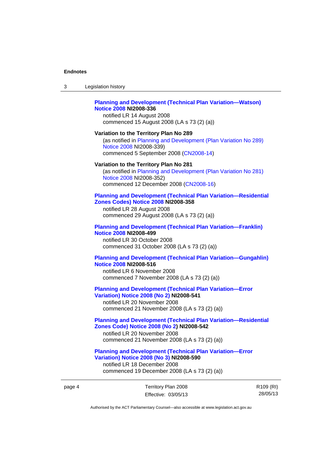| 3 | Legislation history                                                                                                                                                                                |
|---|----------------------------------------------------------------------------------------------------------------------------------------------------------------------------------------------------|
|   | <b>Planning and Development (Technical Plan Variation-Watson)</b><br><b>Notice 2008 NI2008-336</b><br>notified LR 14 August 2008<br>commenced 15 August 2008 (LA s 73 (2) (a))                     |
|   | Variation to the Territory Plan No 289<br>(as notified in Planning and Development (Plan Variation No 289)<br>Notice 2008 NI2008-339)<br>commenced 5 September 2008 (CN2008-14)                    |
|   | Variation to the Territory Plan No 281<br>(as notified in Planning and Development (Plan Variation No 281)<br>Notice 2008 NI2008-352)<br>commenced 12 December 2008 (CN2008-16)                    |
|   | <b>Planning and Development (Technical Plan Variation-Residential</b><br>Zones Codes) Notice 2008 NI2008-358<br>notified LR 28 August 2008<br>commenced 29 August 2008 (LA s 73 (2) (a))           |
|   | <b>Planning and Development (Technical Plan Variation-Franklin)</b><br><b>Notice 2008 NI2008-499</b><br>notified LR 30 October 2008<br>commenced 31 October 2008 (LA s 73 (2) (a))                 |
|   | <b>Planning and Development (Technical Plan Variation-Gungahlin)</b><br><b>Notice 2008 NI2008-516</b><br>notified LR 6 November 2008<br>commenced 7 November 2008 (LA s 73 (2) (a))                |
|   | <b>Planning and Development (Technical Plan Variation-Error</b><br><b>Variation) Notice 2008 (No 2) NI2008-541</b><br>notified LR 20 November 2008<br>commenced 21 November 2008 (LA s 73 (2) (a)) |
|   | <b>Planning and Development (Technical Plan Variation-Residential</b><br>Zones Code) Notice 2008 (No 2) NI2008-542<br>notified LR 20 November 2008<br>commenced 21 November 2008 (LA s 73 (2) (a)) |

**[Planning and Development \(Technical Plan Variation—Error](http://www.legislation.act.gov.au/ni/2008-590/)** 

**[Variation\) Notice 2008 \(No 3\)](http://www.legislation.act.gov.au/ni/2008-590/) NI2008-590**  notified LR 18 December 2008 commenced 19 December 2008 (LA s 73 (2) (a))

page 4 Territory Plan 2008 Effective: 03/05/13 R109 (RI) 28/05/13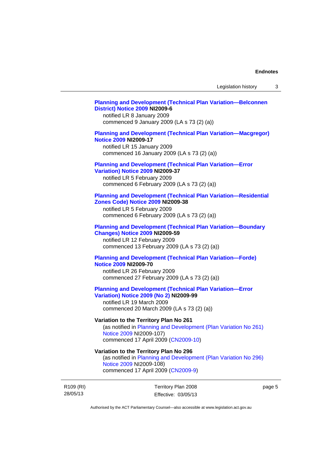### **[Planning and Development \(Technical Plan Variation—Belconnen](http://www.legislation.act.gov.au/ni/2009-6/)  [District\) Notice 2009](http://www.legislation.act.gov.au/ni/2009-6/) NI2009-6**

notified LR 8 January 2009 commenced 9 January 2009 (LA s 73 (2) (a))

### **[Planning and Development \(Technical Plan Variation—Macgregor\)](http://www.legislation.act.gov.au/ni/2009-17/)  [Notice 2009](http://www.legislation.act.gov.au/ni/2009-17/) NI2009-17**

notified LR 15 January 2009 commenced 16 January 2009 (LA s 73 (2) (a))

## **[Planning and Development \(Technical Plan Variation—Error](http://www.legislation.act.gov.au/ni/2009-37/)**

**[Variation\) Notice 2009](http://www.legislation.act.gov.au/ni/2009-37/) NI2009-37** 

notified LR 5 February 2009 commenced 6 February 2009 (LA s 73 (2) (a))

### **[Planning and Development \(Technical Plan Variation—Residential](http://www.legislation.act.gov.au/ni/2009-38/)  [Zones Code\) Notice 2009](http://www.legislation.act.gov.au/ni/2009-38/) NI2009-38**

notified LR 5 February 2009 commenced 6 February 2009 (LA s 73 (2) (a))

#### **[Planning and Development \(Technical Plan Variation—Boundary](http://www.legislation.act.gov.au/ni/2009-59/)  [Changes\) Notice 2009](http://www.legislation.act.gov.au/ni/2009-59/) NI2009-59**

notified LR 12 February 2009 commenced 13 February 2009 (LA s 73 (2) (a))

### **[Planning and Development \(Technical Plan Variation—Forde\)](http://www.legislation.act.gov.au/ni/2009-70/)  [Notice 2009](http://www.legislation.act.gov.au/ni/2009-70/) NI2009-70**

notified LR 26 February 2009 commenced 27 February 2009 (LA s 73 (2) (a))

### **[Planning and Development \(Technical Plan Variation—Error](http://www.legislation.act.gov.au/ni/2009-99/)  [Variation\) Notice 2009 \(No 2\)](http://www.legislation.act.gov.au/ni/2009-99/) NI2009-99**

notified LR 19 March 2009 commenced 20 March 2009 (LA s 73 (2) (a))

### **Variation to the Territory Plan No 261**

(as notified in [Planning and Development \(Plan Variation No 261\)](http://www.legislation.act.gov.au/ni/2009-107/)  [Notice 2009](http://www.legislation.act.gov.au/ni/2009-107/) NI2009-107) commenced 17 April 2009 [\(CN2009-10\)](http://www.legislation.act.gov.au/cn/2009-10/)

### **Variation to the Territory Plan No 296**

(as notified in [Planning and Development \(Plan Variation No 296\)](http://www.legislation.act.gov.au/ni/2009-108/)  [Notice 2009](http://www.legislation.act.gov.au/ni/2009-108/) NI2009-108) commenced 17 April 2009 [\(CN2009-9\)](http://www.legislation.act.gov.au/cn/2009-9/)

R109 (RI) 28/05/13

Territory Plan 2008 Effective: 03/05/13 page 5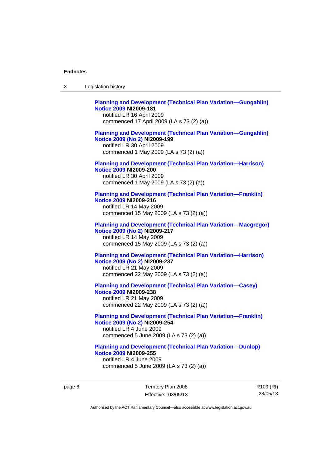| 3 | Legislation history                                                                                                                                                             |
|---|---------------------------------------------------------------------------------------------------------------------------------------------------------------------------------|
|   | <b>Planning and Development (Technical Plan Variation-Gungahlin)</b><br><b>Notice 2009 NI2009-181</b><br>notified LR 16 April 2009<br>commenced 17 April 2009 (LA s 73 (2) (a)) |
|   | <b>Planning and Development (Technical Plan Variation-Gungahlin)</b><br>Notice 2009 (No 2) NI2009-199<br>notified LR 30 April 2009<br>commenced 1 May 2009 (LA s 73 (2) (a))    |
|   | <b>Planning and Development (Technical Plan Variation-Harrison)</b><br><b>Notice 2009 NI2009-200</b><br>notified LR 30 April 2009<br>commenced 1 May 2009 (LA s 73 (2) (a))     |
|   | <b>Planning and Development (Technical Plan Variation-Franklin)</b><br><b>Notice 2009 NI2009-216</b><br>notified LR 14 May 2009<br>commenced 15 May 2009 (LA s 73 (2) (a))      |
|   | <b>Planning and Development (Technical Plan Variation-Macgregor)</b><br>Notice 2009 (No 2) NI2009-217<br>notified LR 14 May 2009<br>commenced 15 May 2009 (LA s 73 (2) (a))     |
|   | <b>Planning and Development (Technical Plan Variation-Harrison)</b><br>Notice 2009 (No 2) NI2009-237<br>notified LR 21 May 2009<br>commenced 22 May 2009 (LA s 73 (2) (a))      |
|   | <b>Planning and Development (Technical Plan Variation-Casey)</b><br><b>Notice 2009 NI2009-238</b><br>notified LR 21 May 2009<br>commenced 22 May 2009 (LA s 73 (2) (a))         |
|   | <b>Planning and Development (Technical Plan Variation-Franklin)</b><br>Notice 2009 (No 2) NI2009-254<br>notified LR 4 June 2009<br>commenced 5 June 2009 (LA s 73 (2) (a))      |
|   | <b>Planning and Development (Technical Plan Variation-Dunlop)</b><br><b>Notice 2009 NI2009-255</b><br>notified LR 4 June 2009<br>commenced 5 June 2009 (LA s 73 (2) (a))        |

page 6 Territory Plan 2008 Effective: 03/05/13 R109 (RI) 28/05/13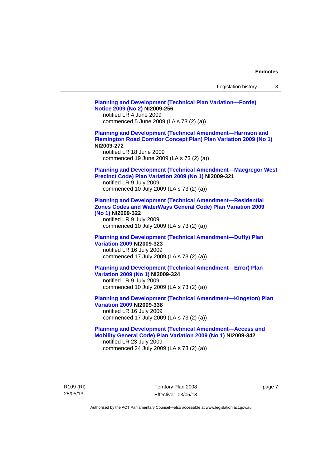| Legislation history |  |  |
|---------------------|--|--|
|---------------------|--|--|

**[Planning and Development \(Technical Plan Variation—Forde\)](http://www.legislation.act.gov.au/ni/2009-256/)  [Notice 2009 \(No 2\)](http://www.legislation.act.gov.au/ni/2009-256/) NI2009-256**  notified LR 4 June 2009 commenced 5 June 2009 (LA s 73 (2) (a)) **[Planning and Development \(Technical Amendment—Harrison and](http://www.legislation.act.gov.au/ni/2009-272/)  [Flemington Road Corridor Concept Plan\) Plan Variation 2009 \(No 1\)](http://www.legislation.act.gov.au/ni/2009-272/) NI2009-272**  notified LR 18 June 2009 commenced 19 June 2009 (LA s 73 (2) (a)) **[Planning and Development \(Technical Amendment—Macgregor West](http://www.legislation.act.gov.au/ni/2009-321/)  [Precinct Code\) Plan Variation 2009 \(No 1\)](http://www.legislation.act.gov.au/ni/2009-321/) NI2009-321**  notified LR 9 July 2009 commenced 10 July 2009 (LA s 73 (2) (a)) **[Planning and Development \(Technical Amendment—Residential](http://www.legislation.act.gov.au/ni/2009-322/)  [Zones Codes and WaterWays General Code\) Plan Variation 2009](http://www.legislation.act.gov.au/ni/2009-322/)  [\(No 1\)](http://www.legislation.act.gov.au/ni/2009-322/) NI2009-322**  notified LR 9 July 2009 commenced 10 July 2009 (LA s 73 (2) (a)) **[Planning and Development \(Technical Amendment—Duffy\) Plan](http://www.legislation.act.gov.au/ni/2009-323/)  [Variation 2009](http://www.legislation.act.gov.au/ni/2009-323/) NI2009-323**  notified LR 16 July 2009 commenced 17 July 2009 (LA s 73 (2) (a)) **[Planning and Development \(Technical Amendment—Error\) Plan](http://www.legislation.act.gov.au/ni/2009-324/)  [Variation 2009 \(No 1\)](http://www.legislation.act.gov.au/ni/2009-324/) NI2009-324**  notified LR 9 July 2009 commenced 10 July 2009 (LA s 73 (2) (a)) **[Planning and Development \(Technical Amendment—Kingston\) Plan](http://www.legislation.act.gov.au/ni/2009-338/)  [Variation 2009](http://www.legislation.act.gov.au/ni/2009-338/) NI2009-338**  notified LR 16 July 2009 commenced 17 July 2009 (LA s 73 (2) (a)) **[Planning and Development \(Technical Amendment—Access and](http://www.legislation.act.gov.au/ni/2009-342/)  [Mobility General Code\) Plan Variation 2009 \(No 1\)](http://www.legislation.act.gov.au/ni/2009-342/) NI2009-342**  notified LR 23 July 2009 commenced 24 July 2009 (LA s 73 (2) (a))

R109 (RI) 28/05/13

Territory Plan 2008 Effective: 03/05/13 page 7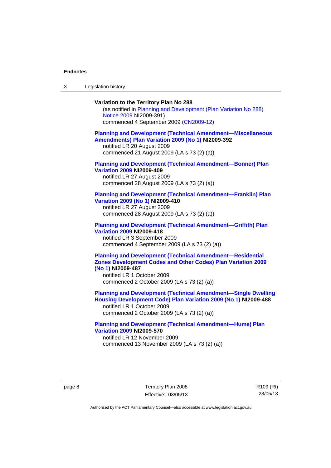3 Legislation history

### **Variation to the Territory Plan No 288**

(as notified in [Planning and Development \(Plan Variation No 288\)](http://www.legislation.act.gov.au/ni/2009-391/)  [Notice 2009](http://www.legislation.act.gov.au/ni/2009-391/) NI2009-391) commenced 4 September 2009 ([CN2009-12\)](http://www.legislation.act.gov.au/cn/2009-12/)

#### **[Planning and Development \(Technical Amendment—Miscellaneous](http://www.legislation.act.gov.au/ni/2009-392/)  [Amendments\) Plan Variation 2009 \(No 1\)](http://www.legislation.act.gov.au/ni/2009-392/) NI2009-392**  notified LR 20 August 2009

commenced 21 August 2009 (LA s 73 (2) (a))

### **[Planning and Development \(Technical Amendment—Bonner\) Plan](http://www.legislation.act.gov.au/ni/2009-409/)  [Variation 2009](http://www.legislation.act.gov.au/ni/2009-409/) NI2009-409**

notified LR 27 August 2009 commenced 28 August 2009 (LA s 73 (2) (a))

#### **[Planning and Development \(Technical Amendment—Franklin\) Plan](http://www.legislation.act.gov.au/ni/2009-410/)  [Variation 2009 \(No 1\)](http://www.legislation.act.gov.au/ni/2009-410/) NI2009-410**

notified LR 27 August 2009 commenced 28 August 2009 (LA s 73 (2) (a))

#### **[Planning and Development \(Technical Amendment—Griffith\) Plan](http://www.legislation.act.gov.au/ni/2009-418/)  [Variation 2009](http://www.legislation.act.gov.au/ni/2009-418/) NI2009-418**  notified LR 3 September 2009

commenced 4 September 2009 (LA s 73 (2) (a))

### **[Planning and Development \(Technical Amendment—Residential](http://www.legislation.act.gov.au/ni/2009-487/)  [Zones Development Codes and Other Codes\) Plan Variation 2009](http://www.legislation.act.gov.au/ni/2009-487/)  [\(No 1\)](http://www.legislation.act.gov.au/ni/2009-487/) NI2009-487**

notified LR 1 October 2009 commenced 2 October 2009 (LA s 73 (2) (a))

**[Planning and Development \(Technical Amendment—Single Dwelling](http://www.legislation.act.gov.au/ni/2009-488/)  [Housing Development Code\) Plan Variation 2009 \(No 1\)](http://www.legislation.act.gov.au/ni/2009-488/) NI2009-488** 

notified LR 1 October 2009 commenced 2 October 2009 (LA s 73 (2) (a))

### **[Planning and Development \(Technical Amendment—Hume\) Plan](http://www.legislation.act.gov.au/ni/2009-570/)  [Variation 2009](http://www.legislation.act.gov.au/ni/2009-570/) NI2009-570**

notified LR 12 November 2009 commenced 13 November 2009 (LA s 73 (2) (a))

page 8 Territory Plan 2008 Effective: 03/05/13 R109 (RI) 28/05/13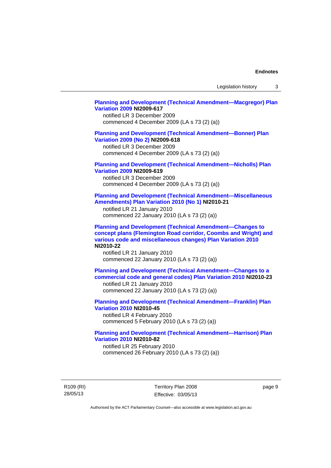Legislation history 3

### **[Planning and Development \(Technical Amendment—Macgregor\) Plan](http://www.legislation.act.gov.au/ni/2009-617/)  [Variation 2009](http://www.legislation.act.gov.au/ni/2009-617/) NI2009-617**

notified LR 3 December 2009 commenced 4 December 2009 (LA s 73 (2) (a))

### **[Planning and Development \(Technical Amendment—Bonner\) Plan](http://www.legislation.act.gov.au/ni/2009-618/)  [Variation 2009 \(No 2\)](http://www.legislation.act.gov.au/ni/2009-618/) NI2009-618**

notified LR 3 December 2009 commenced 4 December 2009 (LA s 73 (2) (a))

### **[Planning and Development \(Technical Amendment—Nicholls\) Plan](http://www.legislation.act.gov.au/ni/2009-619/)  [Variation 2009](http://www.legislation.act.gov.au/ni/2009-619/) NI2009-619**

notified LR 3 December 2009 commenced 4 December 2009 (LA s 73 (2) (a))

### **[Planning and Development \(Technical Amendment—Miscellaneous](http://www.legislation.act.gov.au/ni/2010-21/)  [Amendments\) Plan Variation 2010 \(No 1\)](http://www.legislation.act.gov.au/ni/2010-21/) NI2010-21**

notified LR 21 January 2010 commenced 22 January 2010 (LA s 73 (2) (a))

**[Planning and Development \(Technical Amendment—Changes to](http://www.legislation.act.gov.au/ni/2010-22/)  [concept plans \(Flemington Road corridor, Coombs and Wright\) and](http://www.legislation.act.gov.au/ni/2010-22/)  [various code and miscellaneous changes\) Plan Variation 2010](http://www.legislation.act.gov.au/ni/2010-22/) NI2010-22** 

notified LR 21 January 2010 commenced 22 January 2010 (LA s 73 (2) (a))

**[Planning and Development \(Technical Amendment—Changes to a](http://www.legislation.act.gov.au/ni/2010-23/)  [commercial code and general codes\) Plan Variation 2010](http://www.legislation.act.gov.au/ni/2010-23/) NI2010-23**  notified LR 21 January 2010

commenced 22 January 2010 (LA s 73 (2) (a))

**[Planning and Development \(Technical Amendment—Franklin\) Plan](http://www.legislation.act.gov.au/ni/2010-45/)  [Variation 2010](http://www.legislation.act.gov.au/ni/2010-45/) NI2010-45**  notified LR 4 February 2010 commenced 5 February 2010 (LA s 73 (2) (a))

### **[Planning and Development \(Technical Amendment—Harrison\) Plan](http://www.legislation.act.gov.au/ni/2010-82/)  [Variation 2010](http://www.legislation.act.gov.au/ni/2010-82/) NI2010-82**

notified LR 25 February 2010 commenced 26 February 2010 (LA s 73 (2) (a))

R109 (RI) 28/05/13

Territory Plan 2008 Effective: 03/05/13 page 9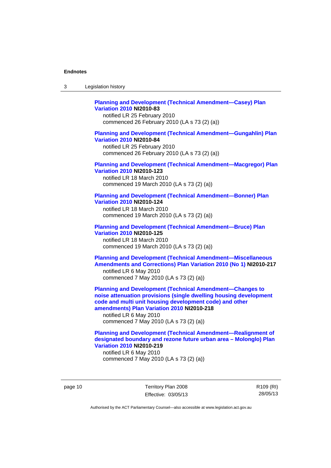| -3 | Legislation history |  |
|----|---------------------|--|
|----|---------------------|--|

### **[Planning and Development \(Technical Amendment—Casey\) Plan](http://www.legislation.act.gov.au/ni/2010-83/)  [Variation 2010](http://www.legislation.act.gov.au/ni/2010-83/) NI2010-83**

notified LR 25 February 2010 commenced 26 February 2010 (LA s 73 (2) (a))

### **[Planning and Development \(Technical Amendment—Gungahlin\) Plan](http://www.legislation.act.gov.au/ni/2010-84/)  [Variation 2010](http://www.legislation.act.gov.au/ni/2010-84/) NI2010-84**

notified LR 25 February 2010 commenced 26 February 2010 (LA s 73 (2) (a))

### **[Planning and Development \(Technical Amendment—Macgregor\) Plan](http://www.legislation.act.gov.au/ni/2010-123/)  [Variation 2010](http://www.legislation.act.gov.au/ni/2010-123/) NI2010-123**

notified LR 18 March 2010 commenced 19 March 2010 (LA s 73 (2) (a))

### **[Planning and Development \(Technical Amendment—Bonner\) Plan](http://www.legislation.act.gov.au/ni/2010-124/)**

**[Variation 2010](http://www.legislation.act.gov.au/ni/2010-124/) NI2010-124**  notified LR 18 March 2010 commenced 19 March 2010 (LA s 73 (2) (a))

#### **[Planning and Development \(Technical Amendment—Bruce\) Plan](http://www.legislation.act.gov.au/ni/2010-125/)  [Variation 2010](http://www.legislation.act.gov.au/ni/2010-125/) NI2010-125**

notified LR 18 March 2010 commenced 19 March 2010 (LA s 73 (2) (a))

### **[Planning and Development \(Technical Amendment—Miscellaneous](http://www.legislation.act.gov.au/ni/2010-217/)  [Amendments and Corrections\) Plan Variation 2010 \(No 1\)](http://www.legislation.act.gov.au/ni/2010-217/) NI2010-217**  notified LR 6 May 2010 commenced 7 May 2010 (LA s 73 (2) (a))

**[Planning and Development \(Technical Amendment—Changes to](http://www.legislation.act.gov.au/ni/2010-218/)  [noise attenuation provisions \(single dwelling housing development](http://www.legislation.act.gov.au/ni/2010-218/)  [code and multi unit housing development code\) and other](http://www.legislation.act.gov.au/ni/2010-218/)  [amendments\) Plan Variation 2010](http://www.legislation.act.gov.au/ni/2010-218/) NI2010-218** 

notified LR 6 May 2010 commenced 7 May 2010 (LA s 73 (2) (a))

### **[Planning and Development \(Technical Amendment—Realignment of](http://www.legislation.act.gov.au/ni/2010-219/)  [designated boundary and rezone future urban area – Molonglo\) Plan](http://www.legislation.act.gov.au/ni/2010-219/)  [Variation 2010](http://www.legislation.act.gov.au/ni/2010-219/) NI2010-219**

notified LR 6 May 2010 commenced 7 May 2010 (LA s 73 (2) (a))

page 10 Territory Plan 2008 Effective: 03/05/13 R109 (RI) 28/05/13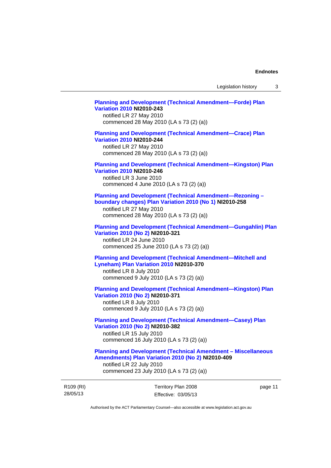### **[Planning and Development \(Technical Amendment—Forde\) Plan](http://www.legislation.act.gov.au/ni/2010-243/)  [Variation 2010](http://www.legislation.act.gov.au/ni/2010-243/) NI2010-243**  notified LR 27 May 2010

commenced 28 May 2010 (LA s 73 (2) (a))

### **[Planning and Development \(Technical Amendment—Crace\) Plan](http://www.legislation.act.gov.au/ni/2010-244/)  [Variation 2010](http://www.legislation.act.gov.au/ni/2010-244/) NI2010-244**

notified LR 27 May 2010 commenced 28 May 2010 (LA s 73 (2) (a))

### **[Planning and Development \(Technical Amendment—Kingston\) Plan](http://www.legislation.act.gov.au/ni/2010-246/)  [Variation 2010](http://www.legislation.act.gov.au/ni/2010-246/) NI2010-246**

notified LR 3 June 2010 commenced 4 June 2010 (LA s 73 (2) (a))

### **[Planning and Development \(Technical Amendment—Rezoning –](http://www.legislation.act.gov.au/ni/2010-258/)  [boundary changes\) Plan Variation 2010 \(No 1\)](http://www.legislation.act.gov.au/ni/2010-258/) NI2010-258**

notified LR 27 May 2010 commenced 28 May 2010 (LA s 73 (2) (a))

#### **[Planning and Development \(Technical Amendment—Gungahlin\) Plan](http://www.legislation.act.gov.au/ni/2010-321/)  [Variation 2010 \(No 2\)](http://www.legislation.act.gov.au/ni/2010-321/) NI2010-321**

notified LR 24 June 2010 commenced 25 June 2010 (LA s 73 (2) (a))

### **[Planning and Development \(Technical Amendment—Mitchell and](http://www.legislation.act.gov.au/ni/2010-370/)  [Lyneham\) Plan Variation 2010](http://www.legislation.act.gov.au/ni/2010-370/) NI2010-370**

notified LR 8 July 2010 commenced 9 July 2010 (LA s 73 (2) (a))

### **[Planning and Development \(Technical Amendment—Kingston\) Plan](http://www.legislation.act.gov.au/ni/2010-371/)  [Variation 2010 \(No 2\)](http://www.legislation.act.gov.au/ni/2010-371/) NI2010-371**

notified LR 8 July 2010 commenced 9 July 2010 (LA s 73 (2) (a))

### **[Planning and Development \(Technical Amendment—Casey\) Plan](http://www.legislation.act.gov.au/ni/2010-382/)  [Variation 2010 \(No 2\)](http://www.legislation.act.gov.au/ni/2010-382/) NI2010-382**

notified LR 15 July 2010 commenced 16 July 2010 (LA s 73 (2) (a))

### **[Planning and Development \(Technical Amendment – Miscellaneous](http://www.legislation.act.gov.au/ni/2010-409/)  [Amendments\) Plan Variation 2010 \(No 2\)](http://www.legislation.act.gov.au/ni/2010-409/) NI2010-409**

notified LR 22 July 2010 commenced 23 July 2010 (LA s 73 (2) (a))

R109 (RI) 28/05/13

Territory Plan 2008 Effective: 03/05/13 page 11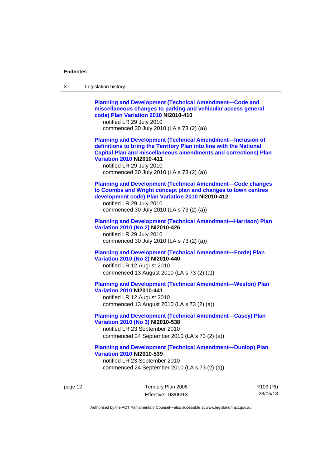| 3 | Legislation history                                                                                                                                                                                                                                                                                                            |
|---|--------------------------------------------------------------------------------------------------------------------------------------------------------------------------------------------------------------------------------------------------------------------------------------------------------------------------------|
|   | <b>Planning and Development (Technical Amendment-Code and</b><br>miscellaneous changes to parking and vehicular access general<br>code) Plan Variation 2010 NI2010-410<br>notified LR 29 July 2010<br>commenced 30 July 2010 (LA s 73 (2) (a))                                                                                 |
|   | <b>Planning and Development (Technical Amendment-Inclusion of</b><br>definitions to bring the Territory Plan into line with the National<br><b>Capital Plan and miscellaneous amendments and corrections) Plan</b><br><b>Variation 2010 NI2010-411</b><br>notified LR 29 July 2010<br>commenced 30 July 2010 (LA s 73 (2) (a)) |
|   | <b>Planning and Development (Technical Amendment-Code changes</b><br>to Coombs and Wright concept plan and changes to town centres<br>development code) Plan Variation 2010 NI2010-412<br>notified LR 29 July 2010<br>commenced 30 July 2010 (LA s 73 (2) (a))                                                                 |
|   | <b>Planning and Development (Technical Amendment-Harrison) Plan</b><br>Variation 2010 (No 2) NI2010-426<br>notified LR 29 July 2010<br>commenced 30 July 2010 (LA s 73 (2) (a))                                                                                                                                                |
|   | <b>Planning and Development (Technical Amendment-Forde) Plan</b><br>Variation 2010 (No 2) NI2010-440<br>notified LR 12 August 2010<br>commenced 13 August 2010 (LA s 73 (2) (a))                                                                                                                                               |
|   | <b>Planning and Development (Technical Amendment-Weston) Plan</b><br><b>Variation 2010 NI2010-441</b><br>notified LR 12 August 2010<br>commenced 13 August 2010 (LA s 73 (2) (a))                                                                                                                                              |
|   | <b>Planning and Development (Technical Amendment-Casey) Plan</b><br>Variation 2010 (No 3) NI2010-538<br>notified LR 23 September 2010<br>commenced 24 September 2010 (LA s 73 (2) (a))                                                                                                                                         |
|   | <b>Planning and Development (Technical Amendment-Dunlop) Plan</b><br><b>Variation 2010 NI2010-539</b><br>notified LR 23 September 2010<br>commenced 24 September 2010 (LA s 73 (2) (a))                                                                                                                                        |

page 12 Territory Plan 2008 Effective: 03/05/13 R109 (RI) 28/05/13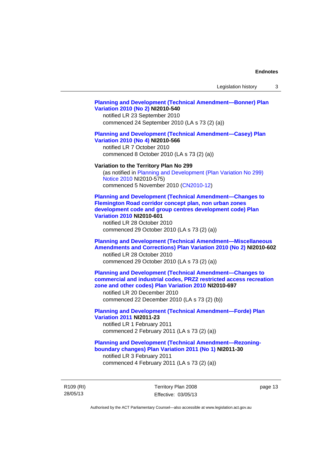### **[Planning and Development \(Technical Amendment—Bonner\) Plan](http://www.legislation.act.gov.au/ni/2010-540/)  [Variation 2010 \(No 2\)](http://www.legislation.act.gov.au/ni/2010-540/) NI2010-540**

notified LR 23 September 2010 commenced 24 September 2010 (LA s 73 (2) (a))

### **[Planning and Development \(Technical Amendment—Casey\) Plan](http://www.legislation.act.gov.au/ni/2010-566/)  [Variation 2010 \(No 4\)](http://www.legislation.act.gov.au/ni/2010-566/) NI2010-566**

notified LR 7 October 2010 commenced 8 October 2010 (LA s 73 (2) (a))

#### **Variation to the Territory Plan No 299**

(as notified in [Planning and Development \(Plan Variation No 299\)](http://www.legislation.act.gov.au/ni/2010-575/)  [Notice 2010](http://www.legislation.act.gov.au/ni/2010-575/) NI2010-575) commenced 5 November 2010 ([CN2010-12](http://www.legislation.act.gov.au/cn/2010-12/))

**[Planning and Development \(Technical Amendment—Changes to](http://www.legislation.act.gov.au/ni/2010-601/)  [Flemington Road corridor concept plan, non urban zones](http://www.legislation.act.gov.au/ni/2010-601/)  [development code and group centres development code\) Plan](http://www.legislation.act.gov.au/ni/2010-601/)  [Variation 2010](http://www.legislation.act.gov.au/ni/2010-601/) NI2010-601** 

notified LR 28 October 2010 commenced 29 October 2010 (LA s 73 (2) (a))

### **[Planning and Development \(Technical Amendment—Miscellaneous](http://www.legislation.act.gov.au/ni/2010-602/)  [Amendments and Corrections\) Plan Variation 2010 \(No 2\)](http://www.legislation.act.gov.au/ni/2010-602/) NI2010-602**

notified LR 28 October 2010 commenced 29 October 2010 (LA s 73 (2) (a))

### **[Planning and Development \(Technical Amendment—Changes to](http://www.legislation.act.gov.au/ni/2010-697/)  [commercial and industrial codes, PRZ2 restricted access recreation](http://www.legislation.act.gov.au/ni/2010-697/)  [zone and other codes\) Plan Variation 2010](http://www.legislation.act.gov.au/ni/2010-697/) NI2010-697**

notified LR 20 December 2010 commenced 22 December 2010 (LA s 73 (2) (b))

### **[Planning and Development \(Technical Amendment—Forde\) Plan](http://www.legislation.act.gov.au/ni/2011-23/)  [Variation 2011](http://www.legislation.act.gov.au/ni/2011-23/) NI2011-23**  notified LR 1 February 2011

commenced 2 February 2011 (LA s 73 (2) (a))

### **[Planning and Development \(Technical Amendment—Rezoning](http://www.legislation.act.gov.au/ni/2011-30/)[boundary changes\) Plan Variation 2011 \(No 1\)](http://www.legislation.act.gov.au/ni/2011-30/) NI2011-30**  notified LR 3 February 2011

commenced 4 February 2011 (LA s 73 (2) (a))

R109 (RI) 28/05/13

Territory Plan 2008 Effective: 03/05/13 page 13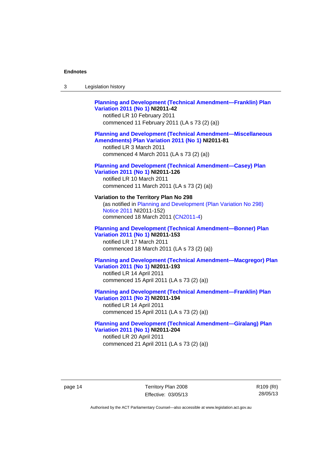| Legislation history<br>3 |
|--------------------------|
|--------------------------|

### **[Planning and Development \(Technical Amendment—Franklin\) Plan](http://www.legislation.act.gov.au/ni/2011-42/)  [Variation 2011 \(No 1\)](http://www.legislation.act.gov.au/ni/2011-42/) NI2011-42**  notified LR 10 February 2011 commenced 11 February 2011 (LA s 73 (2) (a)) **[Planning and Development \(Technical Amendment—Miscellaneous](http://www.legislation.act.gov.au/ni/2011-81/)  [Amendments\) Plan Variation 2011 \(No 1\)](http://www.legislation.act.gov.au/ni/2011-81/) NI2011-81**  notified LR 3 March 2011 commenced 4 March 2011 (LA s 73 (2) (a)) **[Planning and Development \(Technical Amendment—Casey\) Plan](http://www.legislation.act.gov.au/ni/2011-126/)  [Variation 2011 \(No 1\)](http://www.legislation.act.gov.au/ni/2011-126/) NI2011-126**  notified LR 10 March 2011 commenced 11 March 2011 (LA s 73 (2) (a)) **Variation to the Territory Plan No 298**  (as notified in [Planning and Development \(Plan Variation No 298\)](http://www.legislation.act.gov.au/ni/2011-152/)  [Notice 2011](http://www.legislation.act.gov.au/ni/2011-152/) NI2011-152) commenced 18 March 2011 [\(CN2011-4\)](http://www.legislation.act.gov.au/cn/2011-4/)

### **[Planning and Development \(Technical Amendment—Bonner\) Plan](http://www.legislation.act.gov.au/ni/2011-153/)  [Variation 2011 \(No 1\)](http://www.legislation.act.gov.au/ni/2011-153/) NI2011-153**  notified LR 17 March 2011

### commenced 18 March 2011 (LA s 73 (2) (a))

### **[Planning and Development \(Technical Amendment—Macgregor\) Plan](http://www.legislation.act.gov.au/ni/2011-193/)  [Variation 2011 \(No 1\)](http://www.legislation.act.gov.au/ni/2011-193/) NI2011-193**

notified LR 14 April 2011 commenced 15 April 2011 (LA s 73 (2) (a))

### **[Planning and Development \(Technical Amendment—Franklin\) Plan](http://www.legislation.act.gov.au/ni/2011-194/)  [Variation 2011 \(No 2\)](http://www.legislation.act.gov.au/ni/2011-194/) NI2011-194**

notified LR 14 April 2011 commenced 15 April 2011 (LA s 73 (2) (a))

### **[Planning and Development \(Technical Amendment—Giralang\) Plan](http://www.legislation.act.gov.au/ni/2011-204/)  [Variation 2011 \(No 1\)](http://www.legislation.act.gov.au/ni/2011-204/) NI2011-204**  notified LR 20 April 2011

commenced 21 April 2011 (LA s 73 (2) (a))

page 14 Territory Plan 2008 Effective: 03/05/13 R109 (RI) 28/05/13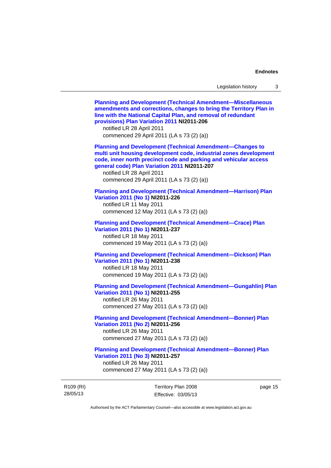R109 (RI) 28/05/13 Territory Plan 2008 Effective: 03/05/13 page 15 **[Planning and Development \(Technical Amendment—Miscellaneous](http://www.legislation.act.gov.au/ni/2011-206/)  [amendments and corrections, changes to bring the Territory Plan in](http://www.legislation.act.gov.au/ni/2011-206/)  [line with the National Capital Plan, and removal of redundant](http://www.legislation.act.gov.au/ni/2011-206/)  [provisions\) Plan Variation 2011](http://www.legislation.act.gov.au/ni/2011-206/) NI2011-206**  notified LR 28 April 2011 commenced 29 April 2011 (LA s 73 (2) (a)) **[Planning and Development \(Technical Amendment—Changes to](http://www.legislation.act.gov.au/ni/2011-207/)  [multi unit housing development code, industrial zones development](http://www.legislation.act.gov.au/ni/2011-207/)  [code, inner north precinct code and parking and vehicular access](http://www.legislation.act.gov.au/ni/2011-207/)  [general code\) Plan Variation 2011](http://www.legislation.act.gov.au/ni/2011-207/) NI2011-207**  notified LR 28 April 2011 commenced 29 April 2011 (LA s 73 (2) (a)) **[Planning and Development \(Technical Amendment—Harrison\) Plan](http://www.legislation.act.gov.au/ni/2011-226/)  [Variation 2011 \(No 1\)](http://www.legislation.act.gov.au/ni/2011-226/) NI2011-226**  notified LR 11 May 2011 commenced 12 May 2011 (LA s 73 (2) (a)) **[Planning and Development \(Technical Amendment—Crace\) Plan](http://www.legislation.act.gov.au/ni/2011-237/)  [Variation 2011 \(No 1\)](http://www.legislation.act.gov.au/ni/2011-237/) NI2011-237**  notified LR 18 May 2011 commenced 19 May 2011 (LA s 73 (2) (a)) **[Planning and Development \(Technical Amendment—Dickson\) Plan](http://www.legislation.act.gov.au/ni/2011-238/)  [Variation 2011 \(No 1\)](http://www.legislation.act.gov.au/ni/2011-238/) NI2011-238**  notified LR 18 May 2011 commenced 19 May 2011 (LA s 73 (2) (a)) **[Planning and Development \(Technical Amendment—Gungahlin\) Plan](http://www.legislation.act.gov.au/ni/2011-255/)  [Variation 2011 \(No 1\)](http://www.legislation.act.gov.au/ni/2011-255/) NI2011-255**  notified LR 26 May 2011 commenced 27 May 2011 (LA s 73 (2) (a)) **[Planning and Development \(Technical Amendment—Bonner\) Plan](http://www.legislation.act.gov.au/ni/2011-256/)  [Variation 2011 \(No 2\)](http://www.legislation.act.gov.au/ni/2011-256/) NI2011-256**  notified LR 26 May 2011 commenced 27 May 2011 (LA s 73 (2) (a)) **[Planning and Development \(Technical Amendment—Bonner\) Plan](http://www.legislation.act.gov.au/ni/2011-257/)  [Variation 2011 \(No 3\)](http://www.legislation.act.gov.au/ni/2011-257/) NI2011-257**  notified LR 26 May 2011 commenced 27 May 2011 (LA s 73 (2) (a))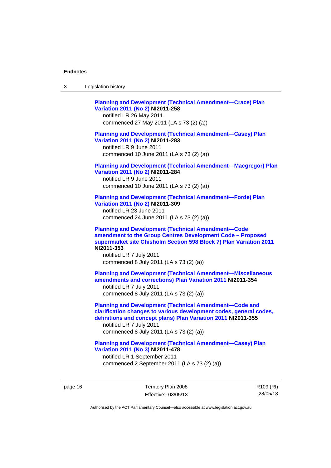| ົ<br>- 3 | Legislation history |
|----------|---------------------|
|----------|---------------------|

**[Planning and Development \(Technical Amendment—Crace\) Plan](http://www.legislation.act.gov.au/ni/2011-258/)  [Variation 2011 \(No 2\)](http://www.legislation.act.gov.au/ni/2011-258/) NI2011-258**  notified LR 26 May 2011 commenced 27 May 2011 (LA s 73 (2) (a)) **[Planning and Development \(Technical Amendment—Casey\) Plan](http://www.legislation.act.gov.au/ni/2011-283/)  [Variation 2011 \(No 2\)](http://www.legislation.act.gov.au/ni/2011-283/) NI2011-283**  notified LR 9 June 2011 commenced 10 June 2011 (LA s 73 (2) (a)) **[Planning and Development \(Technical Amendment—Macgregor\) Plan](http://www.legislation.act.gov.au/ni/2011-284/)  [Variation 2011 \(No 2\)](http://www.legislation.act.gov.au/ni/2011-284/) NI2011-284**  notified LR 9 June 2011 commenced 10 June 2011 (LA s 73 (2) (a)) **[Planning and Development \(Technical Amendment—Forde\) Plan](http://www.legislation.act.gov.au/ni/2011-309/)  [Variation 2011 \(No 2\)](http://www.legislation.act.gov.au/ni/2011-309/) NI2011-309**  notified LR 23 June 2011 commenced 24 June 2011 (LA s 73 (2) (a)) **[Planning and Development \(Technical Amendment—Code](http://www.legislation.act.gov.au/ni/2011-353/)  [amendment to the Group Centres Development Code – Proposed](http://www.legislation.act.gov.au/ni/2011-353/)  [supermarket site Chisholm Section 598 Block 7\) Plan Variation 2011](http://www.legislation.act.gov.au/ni/2011-353/) NI2011-353**  notified LR 7 July 2011 commenced 8 July 2011 (LA s 73 (2) (a)) **[Planning and Development \(Technical Amendment—Miscellaneous](http://www.legislation.act.gov.au/ni/2011-354/)  [amendments and corrections\) Plan Variation 2011](http://www.legislation.act.gov.au/ni/2011-354/) NI2011-354**  notified LR 7 July 2011 commenced 8 July 2011 (LA s 73 (2) (a)) **[Planning and Development \(Technical Amendment—Code and](http://www.legislation.act.gov.au/ni/2011-355/)  [clarification changes to various development codes, general codes,](http://www.legislation.act.gov.au/ni/2011-355/)  [definitions and concept plans\) Plan Variation 2011](http://www.legislation.act.gov.au/ni/2011-355/) NI2011-355**  notified LR 7 July 2011 commenced 8 July 2011 (LA s 73 (2) (a)) **[Planning and Development \(Technical Amendment—Casey\) Plan](http://www.legislation.act.gov.au/ni/2011-478/)  [Variation 2011 \(No 3\)](http://www.legislation.act.gov.au/ni/2011-478/) NI2011-478** 

notified LR 1 September 2011 commenced 2 September 2011 (LA s 73 (2) (a))

page 16 Territory Plan 2008 Effective: 03/05/13 R109 (RI) 28/05/13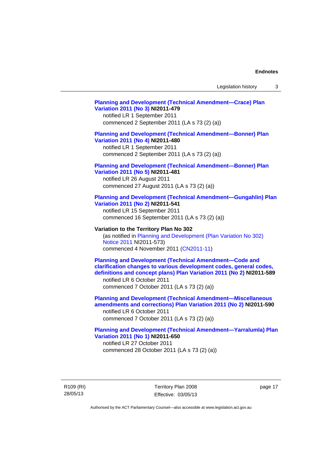### **[Planning and Development \(Technical Amendment—Crace\) Plan](http://www.legislation.act.gov.au/ni/2011-479/)  [Variation 2011 \(No 3\)](http://www.legislation.act.gov.au/ni/2011-479/) NI2011-479**  notified LR 1 September 2011 commenced 2 September 2011 (LA s 73 (2) (a)) **[Planning and Development \(Technical Amendment—Bonner\) Plan](http://www.legislation.act.gov.au/ni/2011-480/)  [Variation 2011 \(No 4\)](http://www.legislation.act.gov.au/ni/2011-480/) NI2011-480**  notified LR 1 September 2011 commenced 2 September 2011 (LA s 73 (2) (a)) **[Planning and Development \(Technical Amendment—Bonner\) Plan](http://www.legislation.act.gov.au/ni/2011-481/)  [Variation 2011 \(No 5\)](http://www.legislation.act.gov.au/ni/2011-481/) NI2011-481**  notified LR 26 August 2011 commenced 27 August 2011 (LA s 73 (2) (a)) **[Planning and Development \(Technical Amendment—Gungahlin\) Plan](http://www.legislation.act.gov.au/ni/2011-541/)  [Variation 2011 \(No 2\)](http://www.legislation.act.gov.au/ni/2011-541/) NI2011-541**  notified LR 15 September 2011 commenced 16 September 2011 (LA s 73 (2) (a)) **Variation to the Territory Plan No 302**  (as notified in [Planning and Development \(Plan Variation No 302\)](http://www.legislation.act.gov.au/ni/2011-573/)  [Notice 2011](http://www.legislation.act.gov.au/ni/2011-573/) NI2011-573) commenced 4 November 2011 ([CN2011-11](http://www.legislation.act.gov.au/cn/2011-11/)) **[Planning and Development \(Technical Amendment—Code and](http://www.legislation.act.gov.au/ni/2011-589/)  [clarification changes to various development codes, general codes,](http://www.legislation.act.gov.au/ni/2011-589/)  [definitions and concept plans\) Plan Variation 2011 \(No 2\)](http://www.legislation.act.gov.au/ni/2011-589/) NI2011-589**  notified LR 6 October 2011 commenced 7 October 2011 (LA s 73 (2) (a)) **[Planning and Development \(Technical Amendment—Miscellaneous](http://www.legislation.act.gov.au/ni/2011-590/)  [amendments and corrections\) Plan Variation 2011 \(No 2\)](http://www.legislation.act.gov.au/ni/2011-590/) NI2011-590**  notified LR 6 October 2011 commenced 7 October 2011 (LA s 73 (2) (a)) **[Planning and Development \(Technical Amendment—Yarralumla\) Plan](http://www.legislation.act.gov.au/ni/2011-650/)  [Variation 2011 \(No 1\)](http://www.legislation.act.gov.au/ni/2011-650/) NI2011-650**

notified LR 27 October 2011 commenced 28 October 2011 (LA s 73 (2) (a))

R109 (RI) 28/05/13

Territory Plan 2008 Effective: 03/05/13 page 17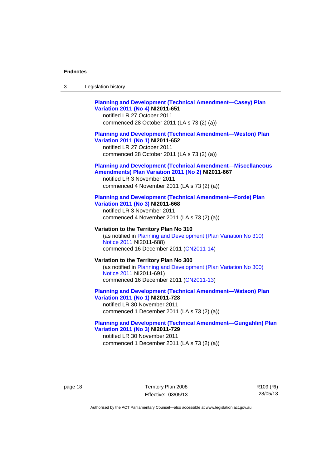| -3 | Legislation history |  |
|----|---------------------|--|
|----|---------------------|--|

### **[Planning and Development \(Technical Amendment—Casey\) Plan](http://www.legislation.act.gov.au/ni/2011-651/)  [Variation 2011 \(No 4\)](http://www.legislation.act.gov.au/ni/2011-651/) NI2011-651**

notified LR 27 October 2011 commenced 28 October 2011 (LA s 73 (2) (a))

### **[Planning and Development \(Technical Amendment—Weston\) Plan](http://www.legislation.act.gov.au/ni/2011-652/)  [Variation 2011 \(No 1\)](http://www.legislation.act.gov.au/ni/2011-652/) NI2011-652**

notified LR 27 October 2011 commenced 28 October 2011 (LA s 73 (2) (a))

### **[Planning and Development \(Technical Amendment—Miscellaneous](http://www.legislation.act.gov.au/ni/2011-667/)  [Amendments\) Plan Variation 2011 \(No 2\)](http://www.legislation.act.gov.au/ni/2011-667/) NI2011-667**

notified LR 3 November 2011 commenced 4 November 2011 (LA s 73 (2) (a))

#### **[Planning and Development \(Technical Amendment—Forde\) Plan](http://www.legislation.act.gov.au/ni/2011-668/)  [Variation 2011 \(No 3\)](http://www.legislation.act.gov.au/ni/2011-668/) NI2011-668**

notified LR 3 November 2011 commenced 4 November 2011 (LA s 73 (2) (a))

**Variation to the Territory Plan No 310**  (as notified in [Planning and Development \(Plan Variation No 310\)](http://www.legislation.act.gov.au/ni/2011-688/)  [Notice 2011](http://www.legislation.act.gov.au/ni/2011-688/) NI2011-688) commenced 16 December 2011 [\(CN2011-14\)](http://www.legislation.act.gov.au/cn/2011-14/)

### **Variation to the Territory Plan No 300**  (as notified in [Planning and Development \(Plan Variation No 300\)](http://www.legislation.act.gov.au/ni/2011-691/)  [Notice 2011](http://www.legislation.act.gov.au/ni/2011-691/) NI2011-691) commenced 16 December 2011 [\(CN2011-13\)](http://www.legislation.act.gov.au/cn/2011-13/)

#### **[Planning and Development \(Technical Amendment—Watson\) Plan](http://www.legislation.act.gov.au/ni/2011-728/)  [Variation 2011 \(No 1\)](http://www.legislation.act.gov.au/ni/2011-728/) NI2011-728**

notified LR 30 November 2011 commenced 1 December 2011 (LA s 73 (2) (a))

### **[Planning and Development \(Technical Amendment—Gungahlin\) Plan](http://www.legislation.act.gov.au/ni/2011-729/)  [Variation 2011 \(No 3\)](http://www.legislation.act.gov.au/ni/2011-729/) NI2011-729**

notified LR 30 November 2011 commenced 1 December 2011 (LA s 73 (2) (a))

page 18 Territory Plan 2008 Effective: 03/05/13 R109 (RI) 28/05/13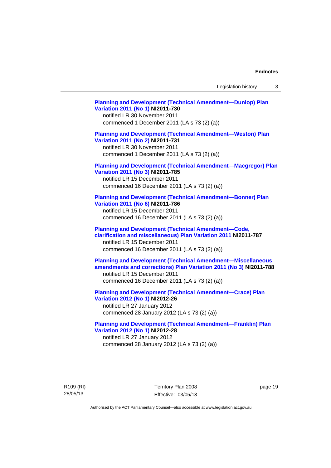Legislation history 3

**[Planning and Development \(Technical Amendment—Dunlop\) Plan](http://www.legislation.act.gov.au/ni/2011-730/)  [Variation 2011 \(No 1\)](http://www.legislation.act.gov.au/ni/2011-730/) NI2011-730**  notified LR 30 November 2011 commenced 1 December 2011 (LA s 73 (2) (a)) **[Planning and Development \(Technical Amendment—Weston\) Plan](http://www.legislation.act.gov.au/ni/2011-731/)  [Variation 2011 \(No 2\)](http://www.legislation.act.gov.au/ni/2011-731/) NI2011-731**  notified LR 30 November 2011 commenced 1 December 2011 (LA s 73 (2) (a)) **[Planning and Development \(Technical Amendment—Macgregor\) Plan](http://www.legislation.act.gov.au/ni/2011-785/)  [Variation 2011 \(No 3\)](http://www.legislation.act.gov.au/ni/2011-785/) NI2011-785**  notified LR 15 December 2011 commenced 16 December 2011 (LA s 73 (2) (a)) **[Planning and Development \(Technical Amendment—Bonner\) Plan](http://www.legislation.act.gov.au/ni/2011-786/)  [Variation 2011 \(No 6\)](http://www.legislation.act.gov.au/ni/2011-786/) NI2011-786**  notified LR 15 December 2011 commenced 16 December 2011 (LA s 73 (2) (a)) **[Planning and Development \(Technical Amendment—Code,](http://www.legislation.act.gov.au/ni/2011-787/)  [clarification and miscellaneous\) Plan Variation 2011](http://www.legislation.act.gov.au/ni/2011-787/) NI2011-787**  notified LR 15 December 2011 commenced 16 December 2011 (LA s 73 (2) (a)) **[Planning and Development \(Technical Amendment—Miscellaneous](http://www.legislation.act.gov.au/ni/2011-788/)  [amendments and corrections\) Plan Variation 2011 \(No 3\)](http://www.legislation.act.gov.au/ni/2011-788/) NI2011-788**  notified LR 15 December 2011 commenced 16 December 2011 (LA s 73 (2) (a)) **[Planning and Development \(Technical Amendment—Crace\) Plan](http://www.legislation.act.gov.au/ni/2012-26/)  [Variation 2012 \(No 1\)](http://www.legislation.act.gov.au/ni/2012-26/) NI2012-26**  notified LR 27 January 2012 commenced 28 January 2012 (LA s 73 (2) (a)) **[Planning and Development \(Technical Amendment—Franklin\) Plan](http://www.legislation.act.gov.au/ni/2012-28/)  [Variation 2012 \(No 1\)](http://www.legislation.act.gov.au/ni/2012-28/) NI2012-28**  notified LR 27 January 2012

commenced 28 January 2012 (LA s 73 (2) (a))

R109 (RI) 28/05/13

Territory Plan 2008 Effective: 03/05/13 page 19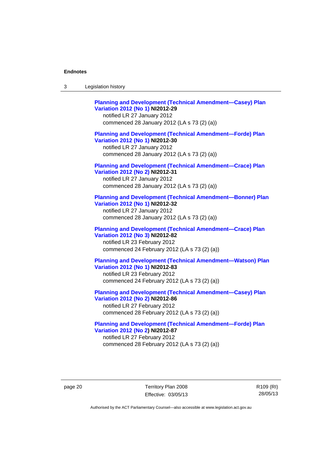**[Planning and Development \(Technical Amendment—Casey\) Plan](http://www.legislation.act.gov.au/ni/2012-29/)  [Variation 2012 \(No 1\)](http://www.legislation.act.gov.au/ni/2012-29/) NI2012-29**  notified LR 27 January 2012 commenced 28 January 2012 (LA s 73 (2) (a)) **[Planning and Development \(Technical Amendment—Forde\) Plan](http://www.legislation.act.gov.au/ni/2012-30/)  [Variation 2012 \(No 1\)](http://www.legislation.act.gov.au/ni/2012-30/) NI2012-30**  notified LR 27 January 2012 commenced 28 January 2012 (LA s 73 (2) (a)) **[Planning and Development \(Technical Amendment—Crace\) Plan](http://www.legislation.act.gov.au/ni/2012-31/)  [Variation 2012 \(No 2\)](http://www.legislation.act.gov.au/ni/2012-31/) NI2012-31**  notified LR 27 January 2012 commenced 28 January 2012 (LA s 73 (2) (a)) **[Planning and Development \(Technical Amendment—Bonner\) Plan](http://www.legislation.act.gov.au/ni/2012-32/)  [Variation 2012 \(No 1\)](http://www.legislation.act.gov.au/ni/2012-32/) NI2012-32**  notified LR 27 January 2012 commenced 28 January 2012 (LA s 73 (2) (a)) **[Planning and Development \(Technical Amendment—Crace\) Plan](http://www.legislation.act.gov.au/ni/2012-82/)  [Variation 2012 \(No 3\)](http://www.legislation.act.gov.au/ni/2012-82/) NI2012-82**  notified LR 23 February 2012 commenced 24 February 2012 (LA s 73 (2) (a)) **[Planning and Development \(Technical Amendment—Watson\) Plan](http://www.legislation.act.gov.au/ni/2012-83/)  [Variation 2012 \(No 1\)](http://www.legislation.act.gov.au/ni/2012-83/) NI2012-83**  notified LR 23 February 2012 commenced 24 February 2012 (LA s 73 (2) (a)) **[Planning and Development \(Technical Amendment—Casey\) Plan](http://www.legislation.act.gov.au/ni/2012-86/)  [Variation 2012 \(No 2\)](http://www.legislation.act.gov.au/ni/2012-86/) NI2012-86**  notified LR 27 February 2012

commenced 28 February 2012 (LA s 73 (2) (a))

**[Planning and Development \(Technical Amendment—Forde\) Plan](http://www.legislation.act.gov.au/ni/2012-87/)  [Variation 2012 \(No 2\)](http://www.legislation.act.gov.au/ni/2012-87/) NI2012-87**  notified LR 27 February 2012 commenced 28 February 2012 (LA s 73 (2) (a))

page 20 Territory Plan 2008 Effective: 03/05/13 R109 (RI) 28/05/13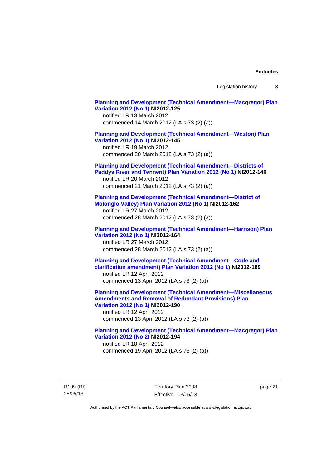Legislation history 3

**[Planning and Development \(Technical Amendment—Macgregor\) Plan](http://www.legislation.act.gov.au/ni/2012-125/)  [Variation 2012 \(No 1\)](http://www.legislation.act.gov.au/ni/2012-125/) NI2012-125**  notified LR 13 March 2012 commenced 14 March 2012 (LA s 73 (2) (a)) **[Planning and Development \(Technical Amendment—Weston\) Plan](http://www.legislation.act.gov.au/ni/2012-145/)  [Variation 2012 \(No 1\)](http://www.legislation.act.gov.au/ni/2012-145/) NI2012-145**  notified LR 19 March 2012 commenced 20 March 2012 (LA s 73 (2) (a)) **[Planning and Development \(Technical Amendment—Districts of](http://www.legislation.act.gov.au/ni/2012-146/)  [Paddys River and Tennent\) Plan Variation 2012 \(No 1\)](http://www.legislation.act.gov.au/ni/2012-146/) NI2012-146**  notified LR 20 March 2012 commenced 21 March 2012 (LA s 73 (2) (a)) **[Planning and Development \(Technical Amendment—District of](http://www.legislation.act.gov.au/ni/2012-162/)  [Molonglo Valley\) Plan Variation 2012 \(No 1\)](http://www.legislation.act.gov.au/ni/2012-162/) NI2012-162**  notified LR 27 March 2012 commenced 28 March 2012 (LA s 73 (2) (a)) **[Planning and Development \(Technical Amendment—Harrison\) Plan](http://www.legislation.act.gov.au/ni/2012-164/)  [Variation 2012 \(No 1\)](http://www.legislation.act.gov.au/ni/2012-164/) NI2012-164**  notified LR 27 March 2012 commenced 28 March 2012 (LA s 73 (2) (a)) **[Planning and Development \(Technical Amendment—Code and](http://www.legislation.act.gov.au/ni/2012-189/)  [clarification amendment\) Plan Variation 2012 \(No 1\)](http://www.legislation.act.gov.au/ni/2012-189/) NI2012-189**  notified LR 12 April 2012 commenced 13 April 2012 (LA s 73 (2) (a)) **[Planning and Development \(Technical Amendment—Miscellaneous](http://www.legislation.act.gov.au/ni/2012-190/)  [Amendments and Removal of Redundant Provisions\) Plan](http://www.legislation.act.gov.au/ni/2012-190/)  [Variation 2012 \(No 1\)](http://www.legislation.act.gov.au/ni/2012-190/) NI2012-190**  notified LR 12 April 2012 commenced 13 April 2012 (LA s 73 (2) (a)) **[Planning and Development \(Technical Amendment—Macgregor\) Plan](http://www.legislation.act.gov.au/ni/2012-194/)  [Variation 2012 \(No 2\)](http://www.legislation.act.gov.au/ni/2012-194/) NI2012-194**  notified LR 18 April 2012 commenced 19 April 2012 (LA s 73 (2) (a))

R109 (RI) 28/05/13

Territory Plan 2008 Effective: 03/05/13 page 21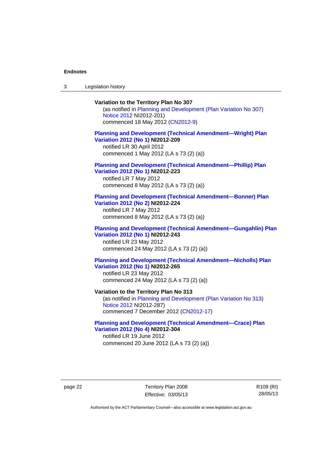3 Legislation history

## **Variation to the Territory Plan No 307**

(as notified in [Planning and Development \(Plan Variation No 307\)](http://www.legislation.act.gov.au/ni/2012-201/)  [Notice 2012](http://www.legislation.act.gov.au/ni/2012-201/) NI2012-201) commenced 18 May 2012 [\(CN2012-9\)](http://www.legislation.act.gov.au/cn/2012-9/)

### **[Planning and Development \(Technical Amendment—Wright\) Plan](http://www.legislation.act.gov.au/ni/2012-209/)  [Variation 2012 \(No 1\)](http://www.legislation.act.gov.au/ni/2012-209/) NI2012-209**

notified LR 30 April 2012 commenced 1 May 2012 (LA s 73 (2) (a))

#### **[Planning and Development \(Technical Amendment—Phillip\) Plan](http://www.legislation.act.gov.au/ni/2012-223/)  [Variation 2012 \(No 1\)](http://www.legislation.act.gov.au/ni/2012-223/) NI2012-223**

notified LR 7 May 2012 commenced 8 May 2012 (LA s 73 (2) (a))

### **[Planning and Development \(Technical Amendment—Bonner\) Plan](http://www.legislation.act.gov.au/ni/2012-224/)  [Variation 2012 \(No 2\)](http://www.legislation.act.gov.au/ni/2012-224/) NI2012-224**

notified LR 7 May 2012 commenced 8 May 2012 (LA s 73 (2) (a))

### **[Planning and Development \(Technical Amendment—Gungahlin\) Plan](http://www.legislation.act.gov.au/ni/2012-243/)  [Variation 2012 \(No 1\)](http://www.legislation.act.gov.au/ni/2012-243/) NI2012-243**  notified LR 23 May 2012

commenced 24 May 2012 (LA s 73 (2) (a))

### **[Planning and Development \(Technical Amendment—Nicholls\) Plan](http://www.legislation.act.gov.au/ni/2012-265/)  [Variation 2012 \(No 1\)](http://www.legislation.act.gov.au/ni/2012-265/) NI2012-265**

notified LR 23 May 2012 commenced 24 May 2012 (LA s 73 (2) (a))

### **Variation to the Territory Plan No 313**

(as notified in [Planning and Development \(Plan Variation No 313\)](http://www.legislation.act.gov.au/ni/2012-287/default.asp)  [Notice 2012](http://www.legislation.act.gov.au/ni/2012-287/default.asp) NI2012-287) commenced 7 December 2012 ([CN2012-17](http://www.legislation.act.gov.au/cn/2012-17/default.asp))

### **[Planning and Development \(Technical Amendment—Crace\) Plan](http://www.legislation.act.gov.au/ni/2012-304/)  [Variation 2012 \(No 4\)](http://www.legislation.act.gov.au/ni/2012-304/) NI2012-304**

notified LR 19 June 2012 commenced 20 June 2012 (LA s 73 (2) (a))

page 22 Territory Plan 2008 Effective: 03/05/13 R109 (RI) 28/05/13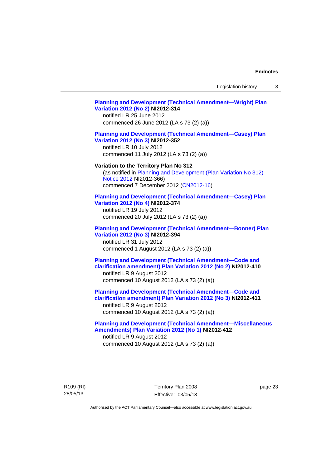Legislation history 3

## **[Planning and Development \(Technical Amendment—Wright\) Plan](http://www.legislation.act.gov.au/ni/2012-314/)  [Variation 2012 \(No 2\)](http://www.legislation.act.gov.au/ni/2012-314/) NI2012-314**  notified LR 25 June 2012 commenced 26 June 2012 (LA s 73 (2) (a)) **[Planning and Development \(Technical Amendment—Casey\) Plan](http://www.legislation.act.gov.au/ni/2012-352/)  [Variation 2012 \(No 3\)](http://www.legislation.act.gov.au/ni/2012-352/) NI2012-352**  notified LR 10 July 2012 commenced 11 July 2012 (LA s 73 (2) (a)) **Variation to the Territory Plan No 312**  (as notified in [Planning and Development \(Plan Variation No 312\)](http://www.legislation.act.gov.au/ni/2012-366/default.asp)  [Notice 2012](http://www.legislation.act.gov.au/ni/2012-366/default.asp) NI2012-366) commenced 7 December 2012 ([CN2012-16](http://www.legislation.act.gov.au/cn/2012-16/default.asp)) **[Planning and Development \(Technical Amendment—Casey\) Plan](http://www.legislation.act.gov.au/ni/2012-374/)  [Variation 2012 \(No 4\)](http://www.legislation.act.gov.au/ni/2012-374/) NI2012-374**  notified LR 19 July 2012 commenced 20 July 2012 (LA s 73 (2) (a)) **[Planning and Development \(Technical Amendment—Bonner\) Plan](http://www.legislation.act.gov.au/ni/2012-394/)  [Variation 2012 \(No 3\)](http://www.legislation.act.gov.au/ni/2012-394/) NI2012-394**  notified LR 31 July 2012 commenced 1 August 2012 (LA s 73 (2) (a)) **[Planning and Development \(Technical Amendment—Code and](http://www.legislation.act.gov.au/ni/2012-410/)  [clarification amendment\) Plan Variation 2012 \(No 2\)](http://www.legislation.act.gov.au/ni/2012-410/) NI2012-410**  notified LR 9 August 2012 commenced 10 August 2012 (LA s 73 (2) (a)) **[Planning and Development \(Technical Amendment—Code and](http://www.legislation.act.gov.au/ni/2012-411/)  [clarification amendment\) Plan Variation 2012 \(No 3\)](http://www.legislation.act.gov.au/ni/2012-411/) NI2012-411**  notified LR 9 August 2012 commenced 10 August 2012 (LA s 73 (2) (a)) **[Planning and Development \(Technical Amendment—Miscellaneous](http://www.legislation.act.gov.au/ni/2012-412/)  [Amendments\) Plan Variation 2012 \(No 1\)](http://www.legislation.act.gov.au/ni/2012-412/) NI2012-412**  notified LR 9 August 2012 commenced 10 August 2012 (LA s 73 (2) (a))

R109 (RI) 28/05/13

Territory Plan 2008 Effective: 03/05/13 page 23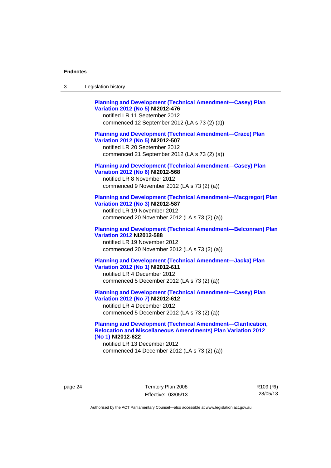| Legislation history<br>-3 |  |
|---------------------------|--|
|---------------------------|--|

| <b>Planning and Development (Technical Amendment-Casey) Plan</b><br>Variation 2012 (No 5) NI2012-476<br>notified LR 11 September 2012<br>commenced 12 September 2012 (LA s 73 (2) (a))   |
|------------------------------------------------------------------------------------------------------------------------------------------------------------------------------------------|
| <b>Planning and Development (Technical Amendment-Crace) Plan</b><br>Variation 2012 (No 5) NI2012-507<br>notified LR 20 September 2012<br>commenced 21 September 2012 (LA s 73 (2) (a))   |
| <b>Planning and Development (Technical Amendment-Casey) Plan</b><br>Variation 2012 (No 6) NI2012-568<br>notified LR 8 November 2012<br>commenced 9 November 2012 (LA s 73 (2) (a))       |
| <b>Planning and Development (Technical Amendment-Macgregor) Plan</b><br>Variation 2012 (No 3) NI2012-587<br>notified LR 19 November 2012<br>commenced 20 November 2012 (LA s 73 (2) (a)) |
| <b>Planning and Development (Technical Amendment-Belconnen) Plan</b><br><b>Variation 2012 NI2012-588</b><br>notified LR 19 November 2012<br>commenced 20 November 2012 (LA s 73 (2) (a)) |
| <b>Planning and Development (Technical Amendment-Jacka) Plan</b><br>Variation 2012 (No 1) NI2012-611<br>notified LR 4 December 2012<br>commenced 5 December 2012 (LA s 73 (2) (a))       |
| <b>Planning and Development (Technical Amendment-Casey) Plan</b><br>Variation 2012 (No 7) NI2012-612<br>notified LR 4 December 2012<br>commenced 5 December 2012 (LA s 73 (2) (a))       |

### **[Planning and Development \(Technical Amendment—Clarification,](http://www.legislation.act.gov.au/ni/2012-622/default.asp)  [Relocation and Miscellaneous Amendments\) Plan Variation 2012](http://www.legislation.act.gov.au/ni/2012-622/default.asp)  [\(No 1\)](http://www.legislation.act.gov.au/ni/2012-622/default.asp) NI2012-622**

notified LR 13 December 2012 commenced 14 December 2012 (LA s 73 (2) (a))

page 24 Territory Plan 2008 Effective: 03/05/13 R109 (RI) 28/05/13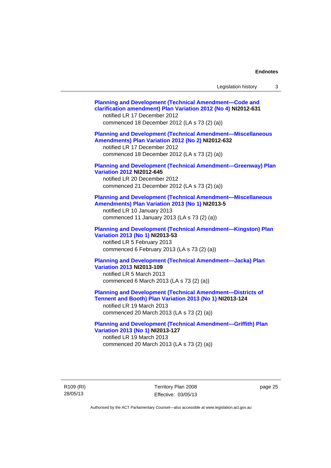| Legislation history                                                                                                                                                                                             | 3 |
|-----------------------------------------------------------------------------------------------------------------------------------------------------------------------------------------------------------------|---|
| <b>Planning and Development (Technical Amendment-Code and</b><br>clarification amendment) Plan Variation 2012 (No 4) NI2012-631<br>notified LR 17 December 2012<br>commenced 18 December 2012 (LA s 73 (2) (a)) |   |
| <b>Planning and Development (Technical Amendment-Miscellaneous</b><br>Amendments) Plan Variation 2012 (No 2) NI2012-632<br>notified LR 17 December 2012<br>commenced 18 December 2012 (LA s 73 (2) (a))         |   |
| <b>Planning and Development (Technical Amendment-Greenway) Plan</b><br><b>Variation 2012 NI2012-645</b><br>notified LR 20 December 2012<br>commenced 21 December 2012 (LA s 73 (2) (a))                         |   |
| <b>Planning and Development (Technical Amendment-Miscellaneous</b><br>Amendments) Plan Variation 2013 (No 1) NI2013-5<br>notified LR 10 January 2013<br>commenced 11 January 2013 (LA s 73 (2) (a))             |   |
| <b>Planning and Development (Technical Amendment-Kingston) Plan</b><br>Variation 2013 (No 1) NI2013-53<br>notified LR 5 February 2013<br>commenced 6 February 2013 (LA s 73 (2) (a))                            |   |
| <b>Planning and Development (Technical Amendment-Jacka) Plan</b><br>Variation 2013 NI2013-109<br>notified LR 5 March 2013<br>commenced 6 March 2013 (LA s 73 (2) (a))                                           |   |

**[Planning and Development \(Technical Amendment—Districts of](http://www.legislation.act.gov.au/ni/2013-124/default.asp)  [Tennent and Booth\) Plan Variation 2013 \(No 1\)](http://www.legislation.act.gov.au/ni/2013-124/default.asp) NI2013-124** 

notified LR 19 March 2013 commenced 20 March 2013 (LA s 73 (2) (a))

**[Planning and Development \(Technical Amendment—Griffith\) Plan](http://www.legislation.act.gov.au/ni/2013-127/default.asp)  [Variation 2013 \(No 1\)](http://www.legislation.act.gov.au/ni/2013-127/default.asp) NI2013-127**  notified LR 19 March 2013 commenced 20 March 2013 (LA s 73 (2) (a))

R109 (RI) 28/05/13

Territory Plan 2008 Effective: 03/05/13 page 25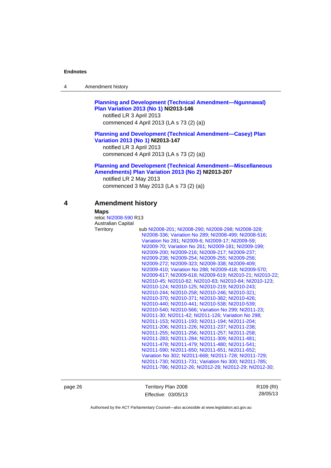| 4 | Amendment history |  |
|---|-------------------|--|
|---|-------------------|--|

### **[Planning and Development \(Technical Amendment—Ngunnawal\)](http://www.legislation.act.gov.au/ni/2013-146/default.asp)  [Plan Variation 2013 \(No 1\)](http://www.legislation.act.gov.au/ni/2013-146/default.asp) NI2013-146**

notified LR 3 April 2013 commenced 4 April 2013 (LA s 73 (2) (a))

### **[Planning and Development \(Technical Amendment—Casey\) Plan](http://www.legislation.act.gov.au/ni/2013-147/default.asp)  [Variation 2013 \(No 1\)](http://www.legislation.act.gov.au/ni/2013-147/default.asp) NI2013-147**

notified LR 3 April 2013 commenced 4 April 2013 (LA s 73 (2) (a))

### **[Planning and Development \(Technical Amendment—Miscellaneous](http://www.legislation.act.gov.au/ni/2013-207/default.asp)  [Amendments\) Plan Variation 2013 \(No 2\)](http://www.legislation.act.gov.au/ni/2013-207/default.asp) NI2013-207**

notified LR 2 May 2013 commenced 3 May 2013 (LA s 73 (2) (a))

### **4 Amendment history**

#### **Maps**

| reloc NI2008-590 R13 |                                                           |
|----------------------|-----------------------------------------------------------|
| Australian Capital   |                                                           |
| Territory            | sub NI2008-201, NI2008-290, NI2008-298, NI2008-328,       |
|                      | NI2008-336, Variation No 289, NI2008-499, NI2008-516,     |
|                      | Variation No 281, NI2009-6, NI2009-17, NI2009-59,         |
|                      | NI2009-70, Variation No 261, NI2009-181, NI2009-199,      |
|                      | NI2009-200, NI2009-216, NI2009-217, NI2009-237,           |
|                      | NI2009-238; NI2009-254; NI2009-255; NI2009-256;           |
|                      | NI2009-272, NI2009-323, NI2009-338, NI2009-409,           |
|                      | NI2009-410, Variation No 288, NI2009-418, NI2009-570,     |
|                      | NI2009-617, NI2009-618, NI2009-619, NI2010-21, NI2010-22, |
|                      | NI2010-45; NI2010-82; NI2010-83; NI2010-84; NI2010-123;   |
|                      | NI2010-124, NI2010-125, NI2010-219, NI2010-243,           |
|                      | NI2010-244; NI2010-258; NI2010-246; NI2010-321;           |
|                      | NI2010-370, NI2010-371, NI2010-382, NI2010-426,           |
|                      | NI2010-440; NI2010-441; NI2010-538; NI2010-539;           |
|                      | NI2010-540; NI2010-566; Variation No 299; NI2011-23;      |
|                      | NI2011-30, NI2011-42, NI2011-126, Variation No 298.       |
|                      | NI2011-153; NI2011-193; NI2011-194; NI2011-204;           |
|                      | NI2011-206; NI2011-226; NI2011-237; NI2011-238;           |
|                      | NI2011-255; NI2011-256; NI2011-257; NI2011-258;           |
|                      | NI2011-283, NI2011-284, NI2011-309, NI2011-481,           |
|                      | NI2011-478, NI2011-479, NI2011-480, NI2011-541,           |
|                      | NI2011-590; NI2011-650; NI2011-651; NI2011-652;           |
|                      | Variation No 302, NI2011-668, NI2011-728, NI2011-729,     |
|                      | NI2011-730, NI2011-731, Variation No 300, NI2011-785,     |
|                      | NI2011-786, NI2012-26, NI2012-28, NI2012-29, NI2012-30,   |

page 26 Territory Plan 2008 Effective: 03/05/13 R109 (RI) 28/05/13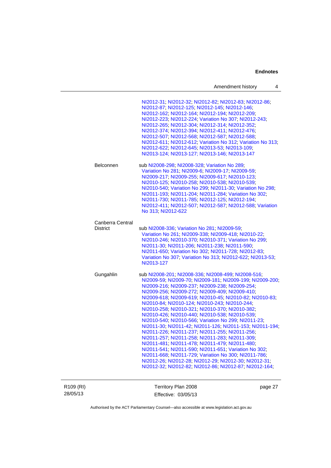| Amendment history |  |
|-------------------|--|
|-------------------|--|

|                                     | NI2012-31, NI2012-32, NI2012-82, NI2012-83, NI2012-86,<br>NI2012-87; NI2012-125; NI2012-145; NI2012-146;<br>NI2012-162; NI2012-164; NI2012-194; NI2012-209;<br>NI2012-223; NI2012-224; Variation No 307; NI2012-243;<br>NI2012-265; NI2012-304; NI2012-314; NI2012-352;<br>NI2012-374; NI2012-394; NI2012-411; NI2012-476;<br>NI2012-507; NI2012-568; NI2012-587; NI2012-588;<br>NI2012-611; NI2012-612; Variation No 312; Variation No 313;<br>NI2012-622; NI2012-645; NI2013-53; NI2013-109;<br>NI2013-124; NI2013-127; NI2013-146; NI2013-147                                                                                                                                                                                                                                                                                                                                                                                                                |
|-------------------------------------|-----------------------------------------------------------------------------------------------------------------------------------------------------------------------------------------------------------------------------------------------------------------------------------------------------------------------------------------------------------------------------------------------------------------------------------------------------------------------------------------------------------------------------------------------------------------------------------------------------------------------------------------------------------------------------------------------------------------------------------------------------------------------------------------------------------------------------------------------------------------------------------------------------------------------------------------------------------------|
| Belconnen                           | sub NI2008-298; NI2008-328; Variation No 289;<br>Variation No 281; NI2009-6; NI2009-17; NI2009-59;<br>NI2009-217; NI2009-255; NI2009-617; NI2010-123;<br>NI2010-125; NI2010-258; NI2010-538; NI2010-539;<br>NI2010-540; Variation No 299; NI2011-30; Variation No 298;<br>NI2011-193; NI2011-204; NI2011-284; Variation No 302;<br>NI2011-730, NI2011-785, NI2012-125, NI2012-194,<br>NI2012-411; NI2012-507; NI2012-587; NI2012-588; Variation<br>No 313; NI2012-622                                                                                                                                                                                                                                                                                                                                                                                                                                                                                           |
| Canberra Central<br><b>District</b> | sub NI2008-336; Variation No 281; NI2009-59;<br>Variation No 261; NI2009-338; NI2009-418; NI2010-22;<br>NI2010-246; NI2010-370; NI2010-371; Variation No 299;<br>NI2011-30; NI2011-206; NI2011-238; NI2011-590;<br>NI2011-650; Variation No 302; NI2011-728; NI2012-83;<br>Variation No 307; Variation No 313; NI2012-622; NI2013-53;<br>NI2013-127                                                                                                                                                                                                                                                                                                                                                                                                                                                                                                                                                                                                             |
| Gungahlin                           | sub NI2008-201, NI2008-336, NI2008-499, NI2008-516,<br>NI2009-59; NI2009-70; NI2009-181; NI2009-199; NI2009-200;<br>NI2009-216; NI2009-237; NI2009-238; NI2009-254;<br>NI2009-256, NI2009-272, NI2009-409, NI2009-410,<br>NI2009-618, NI2009-619, NI2010-45, NI2010-82, NI2010-83,<br>NI2010-84, NI2010-124, NI2010-243, NI2010-244,<br>NI2010-258; NI2010-321; NI2010-370; NI2010-382;<br>NI2010-426; NI2010-440; NI2010-538; NI2010-539;<br>NI2010-540; NI2010-566; Variation No 299; NI2011-23;<br>NI2011-30, NI2011-42, NI2011-126, NI2011-153, NI2011-194,<br>NI2011-226, NI2011-237, NI2011-255, NI2011-256;<br>NI2011-257; NI2011-258; NI2011-283; NI2011-309;<br>NI2011-481, NI2011-478, NI2011-479, NI2011-480,<br>NI2011-541; NI2011-590; NI2011-651; Variation No 302;<br>NI2011-668, NI2011-729, Variation No 300, NI2011-786,<br>NI2012-26; NI2012-28; NI2012-29; NI2012-30; NI2012-31;<br>NI2012-32, NI2012-82, NI2012-86, NI2012-87, NI2012-164, |

R109 (RI) 28/05/13

Territory Plan 2008 Effective: 03/05/13

page 27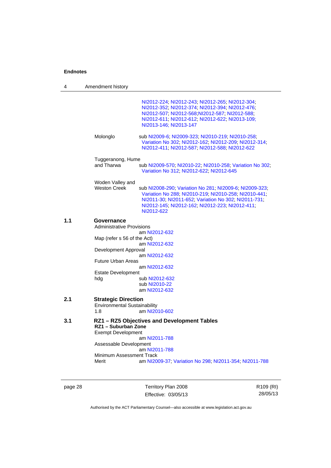| 4   | Amendment history                                                                                                                                                                                                                                                |
|-----|------------------------------------------------------------------------------------------------------------------------------------------------------------------------------------------------------------------------------------------------------------------|
|     | NI2012-224; NI2012-243; NI2012-265; NI2012-304;<br>NI2012-352; NI2012-374; NI2012-394; NI2012-476;<br>NI2012-507; NI2012-568; NI2012-587; NI2012-588;<br>NI2012-611, NI2012-612, NI2012-622, NI2013-109;<br>NI2013-146; NI2013-147                               |
|     | Molonglo<br>sub NI2009-6; NI2009-323; NI2010-219; NI2010-258;<br>Variation No 302, NI2012-162, NI2012-209, NI2012-314,<br>NI2012-411; NI2012-587; NI2012-588; NI2012-622                                                                                         |
|     | Tuggeranong, Hume                                                                                                                                                                                                                                                |
|     | and Tharwa<br>sub NI2009-570; NI2010-22; NI2010-258; Variation No 302;<br>Variation No 312; NI2012-622; NI2012-645                                                                                                                                               |
|     | Woden Valley and                                                                                                                                                                                                                                                 |
|     | <b>Weston Creek</b><br>sub NI2008-290; Variation No 281; NI2009-6; NI2009-323;<br>Variation No 288, NI2010-219, NI2010-258, NI2010-441,<br>NI2011-30; NI2011-652; Variation No 302; NI2011-731;<br>NI2012-145, NI2012-162, NI2012-223, NI2012-411,<br>NI2012-622 |
| 1.1 | Governance<br><b>Administrative Provisions</b><br>am NI2012-632<br>Map (refer s 56 of the Act)<br>am NI2012-632<br>Development Approval<br>am NI2012-632<br><b>Future Urban Areas</b><br>am NI2012-632<br><b>Estate Development</b><br>sub NI2012-632<br>hdg     |
|     | sub NI2010-22<br>am NI2012-632                                                                                                                                                                                                                                   |
| 2.1 | <b>Strategic Direction</b><br><b>Environmental Sustainability</b><br>am NI2010-602<br>1.8                                                                                                                                                                        |
| 3.1 | RZ1 - RZ5 Objectives and Development Tables<br>RZ1 - Suburban Zone<br><b>Exempt Development</b><br>am NI2011-788                                                                                                                                                 |
|     | Assessable Development                                                                                                                                                                                                                                           |
|     | am NI2011-788<br>Minimum Assessment Track<br>Merit<br>am NI2009-37, Variation No 298, NI2011-354, NI2011-788                                                                                                                                                     |
|     |                                                                                                                                                                                                                                                                  |

page 28 Territory Plan 2008 Effective: 03/05/13

R109 (RI) 28/05/13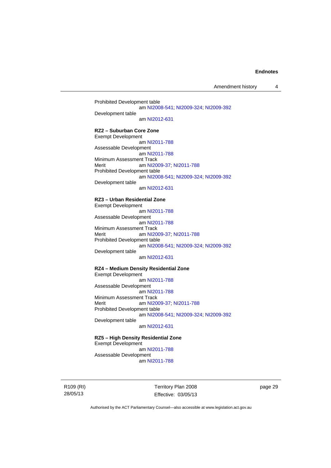Amendment history 4

Prohibited Development table am [NI2008-541](http://www.legislation.act.gov.au/ni/2008-541/); [NI2009-324](http://www.legislation.act.gov.au/ni/2009-324/); [NI2009-392](http://www.legislation.act.gov.au/ni/2009-392/) Development table am [NI2012-631](http://www.legislation.act.gov.au/ni/2012-631/default.asp)

### **RZ2 – Suburban Core Zone**

Exempt Development am [NI2011-788](http://www.legislation.act.gov.au/ni/2011-788/) Assessable Development am [NI2011-788](http://www.legislation.act.gov.au/ni/2011-788/) Minimum Assessment Track Merit **am [NI2009-37](http://www.legislation.act.gov.au/ni/2009-37/); [NI2011-788](http://www.legislation.act.gov.au/ni/2011-788/)** Prohibited Development table am [NI2008-541](http://www.legislation.act.gov.au/ni/2008-541/); [NI2009-324](http://www.legislation.act.gov.au/ni/2009-324/); [NI2009-392](http://www.legislation.act.gov.au/ni/2009-392/) Development table am [NI2012-631](http://www.legislation.act.gov.au/ni/2012-631/default.asp)

#### **RZ3 – Urban Residential Zone**

Exempt Development am [NI2011-788](http://www.legislation.act.gov.au/ni/2011-788/) Assessable Development am [NI2011-788](http://www.legislation.act.gov.au/ni/2011-788/) Minimum Assessment Track<br>Merit am NI20 am [NI2009-37](http://www.legislation.act.gov.au/ni/2009-37/); [NI2011-788](http://www.legislation.act.gov.au/ni/2011-788/) Prohibited Development table am [NI2008-541](http://www.legislation.act.gov.au/ni/2008-541/); [NI2009-324](http://www.legislation.act.gov.au/ni/2009-324/); [NI2009-392](http://www.legislation.act.gov.au/ni/2009-392/) Development table

am [NI2012-631](http://www.legislation.act.gov.au/ni/2012-631/default.asp)

### **RZ4 – Medium Density Residential Zone**

Exempt Development am [NI2011-788](http://www.legislation.act.gov.au/ni/2011-788/) Assessable Development am [NI2011-788](http://www.legislation.act.gov.au/ni/2011-788/) Minimum Assessment Track<br>Merit am NI20 am [NI2009-37](http://www.legislation.act.gov.au/ni/2009-37/); [NI2011-788](http://www.legislation.act.gov.au/ni/2011-788/) Prohibited Development table am [NI2008-541](http://www.legislation.act.gov.au/ni/2008-541/); [NI2009-324](http://www.legislation.act.gov.au/ni/2009-324/); [NI2009-392](http://www.legislation.act.gov.au/ni/2009-392/) Development table

am [NI2012-631](http://www.legislation.act.gov.au/ni/2012-631/default.asp)

**RZ5 – High Density Residential Zone**  Exempt Development am [NI2011-788](http://www.legislation.act.gov.au/ni/2011-788/) Assessable Development am [NI2011-788](http://www.legislation.act.gov.au/ni/2011-788/)

R109 (RI) 28/05/13

Territory Plan 2008 Effective: 03/05/13 page 29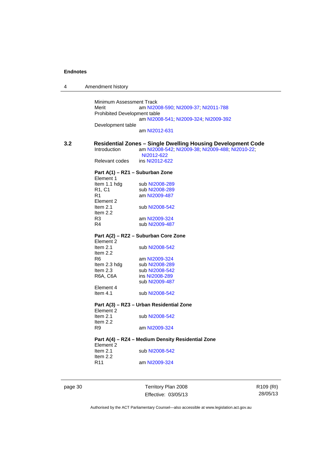| 4   | Amendment history                            |                                                                     |
|-----|----------------------------------------------|---------------------------------------------------------------------|
|     |                                              |                                                                     |
|     | Minimum Assessment Track                     |                                                                     |
|     | Merit                                        | am NI2008-590; NI2009-37; NI2011-788                                |
|     | <b>Prohibited Development table</b>          |                                                                     |
|     |                                              | am NI2008-541; NI2009-324; NI2009-392                               |
|     | Development table                            |                                                                     |
|     |                                              | am NI2012-631                                                       |
| 3.2 |                                              | <b>Residential Zones – Single Dwelling Housing Development Code</b> |
|     | Introduction                                 | am NI2008-542; NI2009-38; NI2009-488; NI2010-22;                    |
|     |                                              | NI2012-622                                                          |
|     | Relevant codes                               | ins NI2012-622                                                      |
|     |                                              |                                                                     |
|     | Part A(1) – RZ1 – Suburban Zone<br>Element 1 |                                                                     |
|     | Item 1.1 hdg                                 | sub NI2008-289                                                      |
|     | R1, C1                                       | sub NI2008-289                                                      |
|     | R1                                           | am NI2009-487                                                       |
|     | Element 2                                    |                                                                     |
|     | Item $2.1$                                   | sub NI2008-542                                                      |
|     | Item $2.2$                                   |                                                                     |
|     | R3                                           | am NI2009-324                                                       |
|     | R4                                           | sub NI2009-487                                                      |
|     |                                              | Part A(2) – RZ2 – Suburban Core Zone                                |
|     | Element 2                                    |                                                                     |
|     | Item $2.1$                                   | sub NI2008-542                                                      |
|     | Item $2.2$                                   |                                                                     |
|     | R6                                           | am NI2009-324                                                       |
|     | Item 2.3 hdg                                 | sub NI2008-289                                                      |
|     | Item 2.3                                     | sub NI2008-542                                                      |
|     | R6A, C6A                                     | ins NI2008-289                                                      |
|     |                                              | sub NI2009-487                                                      |
|     | Element 4<br>Item $4.1$                      | sub NI2008-542                                                      |
|     |                                              |                                                                     |
|     |                                              | Part A(3) – RZ3 – Urban Residential Zone                            |
|     | Element 2                                    |                                                                     |
|     | Item $2.1$                                   | sub NI2008-542                                                      |
|     | Item $2.2$                                   |                                                                     |
|     | R9                                           | am NI2009-324                                                       |
|     |                                              | Part A(4) - RZ4 - Medium Density Residential Zone                   |
|     | Element 2                                    |                                                                     |
|     | Item $2.1$                                   | sub NI2008-542                                                      |
|     | Item 2.2                                     |                                                                     |
|     | R <sub>11</sub>                              | am NI2009-324                                                       |
|     |                                              |                                                                     |
|     |                                              |                                                                     |
|     |                                              |                                                                     |

page 30 Territory Plan 2008 Effective: 03/05/13 R109 (RI) 28/05/13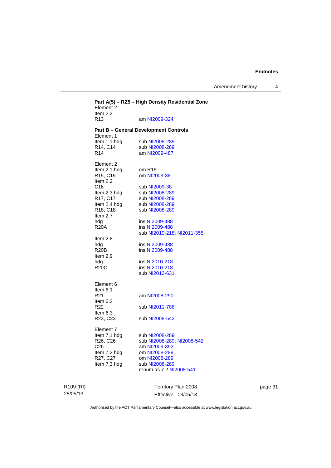Amendment history 4

| Element 2<br>Item 2.2                           | Part A(5) - RZ5 - High Density Residential Zone |
|-------------------------------------------------|-------------------------------------------------|
| R <sub>13</sub>                                 | am NI2009-324                                   |
| Element 1                                       | <b>Part B - General Development Controls</b>    |
| Item 1.1 hdg                                    | sub NI2008-289                                  |
| R14, C14                                        | sub NI2008-289                                  |
| R <sub>14</sub>                                 | am NI2009-487                                   |
| Element 2                                       |                                                 |
| Item 2.1 hdg                                    | om R <sub>16</sub>                              |
| R <sub>15</sub> , C <sub>15</sub><br>Item $2.2$ | om NI2009-38                                    |
| C <sub>16</sub>                                 | sub NI2009-38                                   |
| Item 2.3 hdg                                    | sub NI2008-289                                  |
| R17, C17                                        | sub NI2008-289                                  |
| Item 2.4 hdg                                    | sub NI2008-289                                  |
| R18, C18                                        | sub NI2008-289                                  |
| Item $2.7$<br>hdg                               | ins NI2009-488                                  |
| <b>R20A</b>                                     | ins NI2009-488                                  |
|                                                 | sub NI2010-218, NI2011-355                      |
| Item $2.8$                                      |                                                 |
| hdg                                             | ins NI2009-488                                  |
| <b>R20B</b><br>Item $2.9$                       | ins NI2009-488                                  |
| hdg                                             | ins NI2010-218                                  |
| <b>R20C</b>                                     | ins NI2010-218                                  |
|                                                 | sub NI2012-631                                  |
| Element 6                                       |                                                 |
| Item $6.1$<br>R <sub>21</sub>                   | am NI2008-290                                   |
| Item $6.2$                                      |                                                 |
| R <sub>22</sub>                                 | sub NI2011-788                                  |
| Item $6.3$<br>R <sub>23</sub> , C <sub>23</sub> | sub NI2008-542                                  |
|                                                 |                                                 |
| Element 7<br>Item 7.1 hdg                       | sub NI2008-289                                  |
| R <sub>26</sub> , C <sub>26</sub>               | sub NI2008-289, NI2008-542                      |
| C <sub>26</sub>                                 | am NI2009-392                                   |
| Item 7.2 hdg                                    | om NI2008-289                                   |
| R27, C27                                        | om NI2008-289                                   |
| Item 7.3 hdg                                    | sub NI2008-289                                  |
|                                                 | renum as 7.2 NI2008-541                         |
|                                                 |                                                 |

R109 (RI) 28/05/13

Territory Plan 2008 Effective: 03/05/13 page 31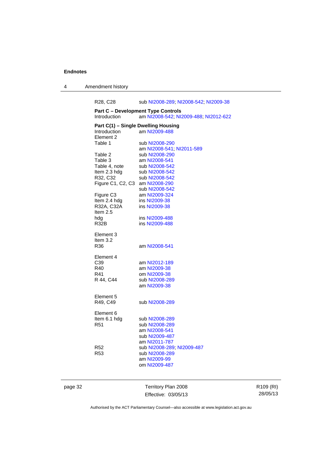4 Amendment history

R28, C28 sub [NI2008-289](http://www.legislation.act.gov.au/ni/2008-289/); [NI2008-542](http://www.legislation.act.gov.au/ni/2008-542/); [NI2009-38](http://www.legislation.act.gov.au/ni/2009-38/) **Part C – Development Type Controls**  Introduction am [NI2008-542](http://www.legislation.act.gov.au/ni/2008-542/); [NI2009-488](http://www.legislation.act.gov.au/ni/2009-488/); [NI2012-622](http://www.legislation.act.gov.au/ni/2012-622/default.asp) **Part C(1) – Single Dwelling Housing<br>Introduction am NI2009-488** am [NI2009-488](http://www.legislation.act.gov.au/ni/2009-488/) Element 2<br>Table 1 sub [NI2008-290](http://www.legislation.act.gov.au/ni/2008-290/) am [NI2008-541](http://www.legislation.act.gov.au/ni/2008-541/); [NI2011-589](http://www.legislation.act.gov.au/ni/2011-589/)<br>Table 2 sub NI2008-290 sub [NI2008-290](http://www.legislation.act.gov.au/ni/2008-290/) Table 3 am [NI2008-541](http://www.legislation.act.gov.au/ni/2008-541/) Table 4, note sub [NI2008-542](http://www.legislation.act.gov.au/ni/2008-542/) Item 2.3 hdg sub [NI2008-542](http://www.legislation.act.gov.au/ni/2008-542/) R32, C32 sub [NI2008-542](http://www.legislation.act.gov.au/ni/2008-542/) Figure C1, C2, C3 am [NI2008-290](http://www.legislation.act.gov.au/ni/2008-290/) sub [NI2008-542](http://www.legislation.act.gov.au/ni/2008-542/) Figure C3 am [NI2009-324](http://www.legislation.act.gov.au/ni/2009-324/) Item 2.4 hdg ins [NI2009-38](http://www.legislation.act.gov.au/ni/2009-38/)<br>R32A, C32A ins NI2009-38 ins [NI2009-38](http://www.legislation.act.gov.au/ni/2009-38/) Item 2.5 hdg ins [NI2009-488](http://www.legislation.act.gov.au/ni/2009-488/)<br>R32B ins NI2009-488 ins [NI2009-488](http://www.legislation.act.gov.au/ni/2009-488/) Element 3 Item 3.2<br>R36 am [NI2008-541](http://www.legislation.act.gov.au/ni/2008-541/) Element 4 C39 am [NI2012-189](http://www.legislation.act.gov.au/ni/2012-189/) R40 am [NI2009-38](http://www.legislation.act.gov.au/ni/2009-38/) R41 om [NI2009-38](http://www.legislation.act.gov.au/ni/2009-38/) R 44, C44 sub [NI2008-289](http://www.legislation.act.gov.au/ni/2008-289/) am [NI2009-38](http://www.legislation.act.gov.au/ni/2009-38/) Element 5<br>R49, C49 sub [NI2008-289](http://www.legislation.act.gov.au/ni/2008-289/) Element 6<br>Item 6.1 hdg Item 6.1 hdg sub [NI2008-289](http://www.legislation.act.gov.au/ni/2008-289/)<br>R51 sub NI2008-289 sub [NI2008-289](http://www.legislation.act.gov.au/ni/2008-289/) am [NI2008-541](http://www.legislation.act.gov.au/ni/2008-541/) sub [NI2009-487](http://www.legislation.act.gov.au/ni/2009-487/) am [NI2011-787](http://www.legislation.act.gov.au/ni/2011-787/) R52 sub [NI2008-289](http://www.legislation.act.gov.au/ni/2008-289/); [NI2009-487](http://www.legislation.act.gov.au/ni/2009-487/) sub [NI2008-289](http://www.legislation.act.gov.au/ni/2008-289/) am [NI2009-99](http://www.legislation.act.gov.au/ni/2009-99/) om [NI2009-487](http://www.legislation.act.gov.au/ni/2009-487/)

page 32 Territory Plan 2008 Effective: 03/05/13 R109 (RI) 28/05/13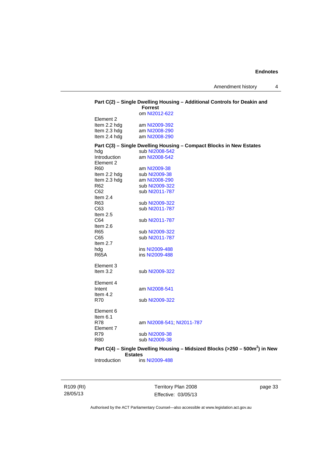|                              | <b>Forrest</b>                | Part C(2) - Single Dwelling Housing - Additional Controls for Deakin and                 |
|------------------------------|-------------------------------|------------------------------------------------------------------------------------------|
|                              | om NI2012-622                 |                                                                                          |
| Element 2                    |                               |                                                                                          |
| Item 2.2 hdg                 | am NI2009-392                 |                                                                                          |
| Item 2.3 hdg                 | am NI2008-290                 |                                                                                          |
| Item 2.4 hdg                 | am NI2008-290                 |                                                                                          |
|                              |                               | Part C(3) - Single Dwelling Housing - Compact Blocks in New Estates                      |
| hda                          | sub NI2008-542                |                                                                                          |
| Introduction                 | am NI2008-542                 |                                                                                          |
| Element 2<br>R60             |                               |                                                                                          |
|                              | am NI2009-38<br>sub NI2009-38 |                                                                                          |
| Item 2.2 hdg<br>Item 2.3 hdg | am NI2008-290                 |                                                                                          |
| R62                          | sub NI2009-322                |                                                                                          |
| C62                          | sub NI2011-787                |                                                                                          |
| Item $2.4$                   |                               |                                                                                          |
| R63                          | sub NI2009-322                |                                                                                          |
| C63                          | sub NI2011-787                |                                                                                          |
| Item $2.5$                   |                               |                                                                                          |
| C64                          | sub NI2011-787                |                                                                                          |
| Item 2.6                     |                               |                                                                                          |
| R65                          | sub NI2009-322                |                                                                                          |
| C65                          | sub NI2011-787                |                                                                                          |
| Item $2.7$                   |                               |                                                                                          |
| hdg                          | ins NI2009-488                |                                                                                          |
| <b>R65A</b>                  | ins NI2009-488                |                                                                                          |
| Element 3                    |                               |                                                                                          |
| Item 3.2                     | sub NI2009-322                |                                                                                          |
|                              |                               |                                                                                          |
| Element 4                    |                               |                                                                                          |
| Intent                       | am NI2008-541                 |                                                                                          |
| Item $4.2$                   |                               |                                                                                          |
| R70                          | sub NI2009-322                |                                                                                          |
| Element 6                    |                               |                                                                                          |
| Item $6.1$                   |                               |                                                                                          |
| R78                          | am NI2008-541, NI2011-787     |                                                                                          |
| Element 7                    |                               |                                                                                          |
| R79                          | sub NI2009-38                 |                                                                                          |
| R <sub>80</sub>              | sub NI2009-38                 |                                                                                          |
|                              |                               | Part C(4) - Single Dwelling Housing - Midsized Blocks (>250 - 500m <sup>2</sup> ) in New |
| <b>Estates</b>               |                               |                                                                                          |
| Introduction                 | ins NI2009-488                |                                                                                          |
|                              |                               |                                                                                          |

R109 (RI) 28/05/13

Territory Plan 2008 Effective: 03/05/13 page 33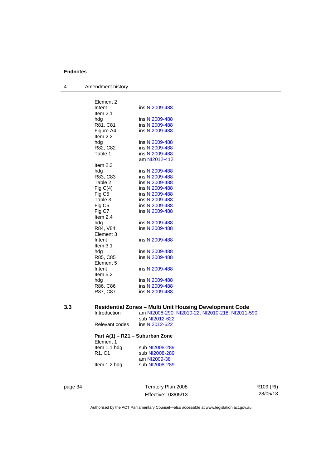4 Amendment history

| Element 2          |                |
|--------------------|----------------|
| Intent             | ins NI2009-488 |
| Item $2.1$         |                |
| hda                | ins NI2009-488 |
| R81, C81           | ins NI2009-488 |
| Figure A4          | ins NI2009-488 |
| Item $2.2$         |                |
| hdg                | ins NI2009-488 |
| R82, C82           | ins NI2009-488 |
| Table 1            | ins NI2009-488 |
|                    | am NI2012-412  |
| Item $2.3$         |                |
| hda                | ins NI2009-488 |
| R83, C83           | ins NI2009-488 |
| Table 2            | ins NI2009-488 |
| Fig $C(4)$         | ins NI2009-488 |
| Fig C <sub>5</sub> | ins NI2009-488 |
| Table 3            | ins NI2009-488 |
| Fig C <sub>6</sub> | ins NI2009-488 |
| Fig C7             | ins NI2009-488 |
| Item 2.4           |                |
| hdg                | ins NI2009-488 |
| R84, V84           | ins NI2009-488 |
| Element 3          |                |
| Intent             | ins NI2009-488 |
| Item $3.1$         |                |
| hdg                | ins NI2009-488 |
| R85, C85           | ins NI2009-488 |
| Element 5          |                |
| Intent             | ins NI2009-488 |
| Item $5.2$         |                |
| hdg                | ins NI2009-488 |
| R86, C86           | ins NI2009-488 |
| R87, C87           | ins NI2009-488 |
|                    |                |

### **3.3 Residential Zones – Multi Unit Housing Development Code**

Introduction am [NI2008-290](http://www.legislation.act.gov.au/ni/2008-290/); [NI2010-22](http://www.legislation.act.gov.au/ni/2010-22/); [NI2010-218](http://www.legislation.act.gov.au/ni/2010-218/); [NI2011-590](http://www.legislation.act.gov.au/ni/2011-590/); sub [NI2012-622](http://www.legislation.act.gov.au/ni/2012-622/default.asp)<br>ins NI2012-622 Relevant codes

### **Part A(1) – RZ1 – Suburban Zone**

| Element 1                      |                |
|--------------------------------|----------------|
| Item 1.1 hdg                   | sub NI2008-289 |
| R <sub>1</sub> .C <sub>1</sub> | sub NI2008-289 |
|                                | am NI2009-38   |
| Item 1.2 hdg                   | sub NI2008-289 |

page 34 Territory Plan 2008 Effective: 03/05/13 R109 (RI) 28/05/13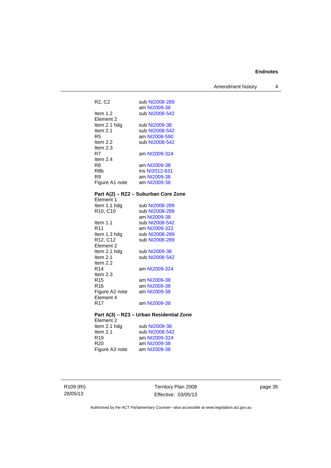Amendment history 4

| R2, C2                            | sub NI2008-289                           |
|-----------------------------------|------------------------------------------|
|                                   | am NI2009-38                             |
| Item 1.2                          | sub NI2008-542                           |
| Element 2                         |                                          |
| Item 2.1 hdg                      | sub NI2009-38                            |
| Item $2.1$                        | sub NI2008-542                           |
| R5                                | am NI2008-590                            |
| Item $2.2$                        | sub NI2008-542                           |
| Item $2.3$                        |                                          |
| R7                                | am NI2009-324                            |
| Item $2.4$                        |                                          |
| R8                                | am NI2009-38                             |
| R <sub>8</sub> b                  | ins NI2012-631                           |
| R9                                | am NI2009-38                             |
| Figure A1 note                    | am NI2009-38                             |
|                                   |                                          |
|                                   | Part A(2) - RZ2 - Suburban Core Zone     |
| Element 1                         |                                          |
| Item 1.1 hdg                      |                                          |
| R <sub>10</sub> , C <sub>10</sub> | sub NI2008-289                           |
|                                   | am NI2009-38                             |
| Item $1.1$                        | sub NI2008-542                           |
| R11                               | am NI2009-322                            |
| Item 1.3 hdg<br>R12, C12          | sub NI2008-289                           |
|                                   | sub NI2008-289                           |
| Element 2<br>Item 2.1 hdg         | sub NI2009-38                            |
| Item $2.1$                        | sub NI2008-542                           |
| Item 2.2                          |                                          |
| R14                               | am NI2009-324                            |
| Item $2.3$                        |                                          |
| R <sub>15</sub>                   | am NI2009-38                             |
| R16                               | am NI2009-38                             |
| Figure A2 note                    | am NI2009-38                             |
| Element 4                         |                                          |
| R <sub>17</sub>                   | am NI2009-38                             |
|                                   |                                          |
|                                   | Part A(3) - RZ3 - Urban Residential Zone |
| Element 2                         |                                          |

| sub NI2009-38  |
|----------------|
|                |
| sub NI2008-542 |
| am NI2009-324  |
| am NI2009-38   |
| am NI2009-38   |
|                |

R109 (RI) 28/05/13

Territory Plan 2008 Effective: 03/05/13

page 35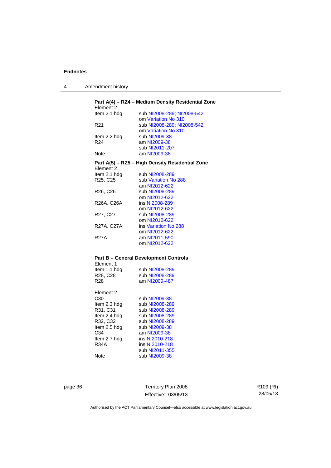| Amendment history |
|-------------------|
|                   |

| Element 2       | Part A(4) - RZ4 - Medium Density Residential Zone |
|-----------------|---------------------------------------------------|
| Item 2.1 hdg    | sub NI2008-289; NI2008-542                        |
|                 | om Variation No 310                               |
| R21             | sub NI2008-289; NI2008-542                        |
|                 | om Variation No 310                               |
| Item 2.2 hdg    | sub NI2009-38                                     |
| R <sub>24</sub> | am NI2009-38                                      |
|                 | sub NI2011-207                                    |
| Note            | am NI2009-38                                      |
| Element 2       | Part A(5) – RZ5 – High Density Residential Zone   |
| Item 2.1 hdg    | sub NI2008-289                                    |
| R25, C25        | sub Variation No 288                              |
|                 | am NI2012-622                                     |
| R26, C26        | sub NI2008-289                                    |
|                 | om NI2012-622                                     |
| R26A, C26A      | ins NI2008-289                                    |
|                 | om NI2012-622                                     |
| R27, C27        | sub NI2008-289                                    |
|                 | om NI2012-622                                     |
| R27A, C27A      | ins Variation No 288                              |
|                 | om NI2012-622                                     |
| <b>R27A</b>     | am NI2011-590                                     |
|                 | om NI2012-622                                     |
|                 | <b>Part B - General Development Controls</b>      |
| Element 1       |                                                   |
| Item 1.1 hdg    | sub NI2008-289                                    |
| R28, C28        | sub NI2008-289                                    |
| R <sub>28</sub> | am NI2009-487                                     |
| Element 2       |                                                   |
| C30             | sub NI2009-38                                     |
| Item 2.3 hdg    | sub NI2008-289                                    |
| R31, C31        | sub NI2008-289                                    |
| Item 2.4 hdg    | sub NI2008-289                                    |
| R32, C32        | sub NI2008-289                                    |
| Item 2.5 hdg    | sub NI2009-38                                     |
| C34             | am NI2009-38                                      |
| Item 2.7 hdg    | ins NI2010-218                                    |
| <b>R34A</b>     | ins NI2010-218                                    |
|                 | sub NI2011-355                                    |

Note sub [NI2009-38](http://www.legislation.act.gov.au/ni/2009-38/)

page 36 Territory Plan 2008 Effective: 03/05/13 R109 (RI) 28/05/13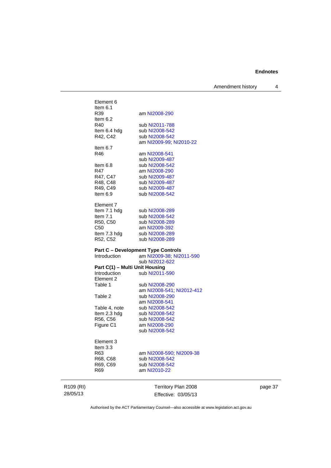Amendment history 4

| R109 (RI) |                                           | Territory Plan 2008              |
|-----------|-------------------------------------------|----------------------------------|
|           | R69                                       | am NI2010-22                     |
|           | R68, C68<br>R69, C69                      | sub NI2008-542<br>sub NI2008-542 |
|           | R63                                       | am NI2008-590; NI2009-38         |
|           | Element 3<br>Item $3.3$                   |                                  |
|           |                                           |                                  |
|           |                                           | sub NI2008-542                   |
|           | R56, C56<br>Figure C1                     | sub NI2008-542<br>am NI2008-290  |
|           | Item 2.3 hdg                              | sub NI2008-542                   |
|           | Table 4, note                             | sub NI2008-542                   |
|           |                                           | am NI2008-541                    |
|           | Table 2                                   | sub NI2008-290                   |
|           |                                           | am NI2008-541; NI2012-412        |
|           | Element 2<br>Table 1                      | sub NI2008-290                   |
|           | <b>Introduction</b>                       | sub NI2011-590                   |
|           | Part C(1) - Multi Unit Housing            |                                  |
|           |                                           | sub NI2012-622                   |
|           | Introduction                              | am NI2009-38; NI2011-590         |
|           | <b>Part C - Development Type Controls</b> |                                  |
|           | R52, C52                                  | sub NI2008-289                   |
|           | Item 7.3 hdg                              | sub NI2008-289                   |
|           | C50                                       | am NI2009-392                    |
|           | R50, C50                                  | sub NI2008-542<br>sub NI2008-289 |
|           | Item 7.1 hdg<br>Item $7.1$                | sub NI2008-289                   |
|           | Element 7                                 |                                  |
|           | Item $6.9$                                | sub NI2008-542                   |
|           | R49, C49                                  | sub NI2009-487                   |
|           | R48, C48                                  | sub NI2009-487                   |
|           | R47, C47                                  | sub NI2009-487                   |
|           | R47                                       | am NI2008-290                    |
|           | ltem 6.8                                  | sub NI2008-542                   |
|           |                                           | sub NI2009-487                   |
|           | R46                                       | am NI2008-541                    |
|           | Item $6.7$                                |                                  |
|           |                                           | am NI2009-99; NI2010-22          |
|           | R42, C42                                  | sub NI2008-542                   |
|           | R40<br>Item 6.4 hdg                       | sub NI2011-788<br>sub NI2008-542 |
|           | Item $6.2$                                |                                  |
|           | R39                                       | am NI2008-290                    |
|           | Item $6.1$                                |                                  |
|           | Element 6                                 |                                  |
|           |                                           |                                  |

page 37

Authorised by the ACT Parliamentary Counsel—also accessible at www.legislation.act.gov.au

Effective: 03/05/13

28/05/13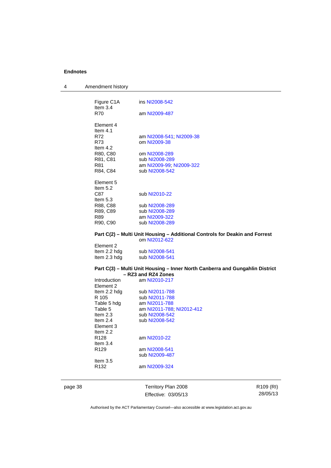| 4 | Amendment history |
|---|-------------------|
|---|-------------------|

|  | Figure C1A<br>Item $3.4$ | ins NI2008-542                                          |
|--|--------------------------|---------------------------------------------------------|
|  | R70                      | am NI2009-487                                           |
|  | Element 4                |                                                         |
|  | Item $4.1$               |                                                         |
|  | R72                      | am NI2008-541, NI2009-38                                |
|  | R73                      | om NI2009-38                                            |
|  | Item $4.2$               |                                                         |
|  | R80, C80                 | om NI2008-289                                           |
|  | R81, C81                 | sub NI2008-289                                          |
|  | R81                      | am NI2009-99; NI2009-322                                |
|  | R84, C84                 | sub NI2008-542                                          |
|  |                          |                                                         |
|  | Element 5                |                                                         |
|  | Item $5.2$               |                                                         |
|  | C87                      | sub NI2010-22                                           |
|  | Item $5.3$               |                                                         |
|  | R88, C88                 | sub NI2008-289                                          |
|  | R89, C89                 | sub NI2008-289                                          |
|  | R89                      | am NI2009-322                                           |
|  | R90, C90                 | sub NI2008-289                                          |
|  |                          |                                                         |
|  |                          | Part C(2) – Multi Unit Housing – Additional Controls fo |

### **Paakin and Forrest** om [NI2012-622](http://www.legislation.act.gov.au/ni/2012-622/default.asp)

| sub NI2008-541 |
|----------------|
| sub NI2008-541 |
|                |

#### **Part C(3) – Multi Unit Housing – Inner North Canberra and Gungahlin District – RZ3 and RZ4 Zones**

| Introduction     | am NI2010-217             |
|------------------|---------------------------|
| Element 2        |                           |
| Item 2.2 hdg     | sub NI2011-788            |
| R 105            | sub NI2011-788            |
| Table 5 hdg      | am NI2011-788             |
| Table 5          | am NI2011-788; NI2012-412 |
| Item $2.3$       | sub NI2008-542            |
| Item $2.4$       | sub NI2008-542            |
| Element 3        |                           |
| Item $2.2$       |                           |
| R <sub>128</sub> | am NI2010-22              |
| Item $3.4$       |                           |
| R <sub>129</sub> | am NI2008-541             |
|                  | sub NI2009-487            |
| Item $3.5$       |                           |
| R132             | am NI2009-324             |
|                  |                           |

page 38 Territory Plan 2008 Effective: 03/05/13 R109 (RI) 28/05/13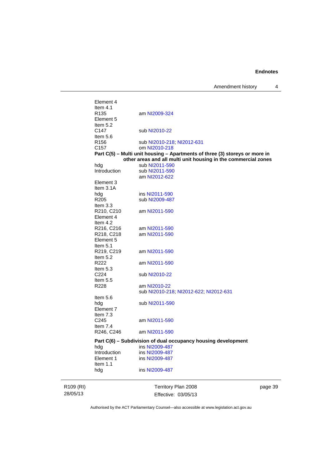Amendment history 4

R109 (RI) 28/05/13

Effective: 03/05/13

e 39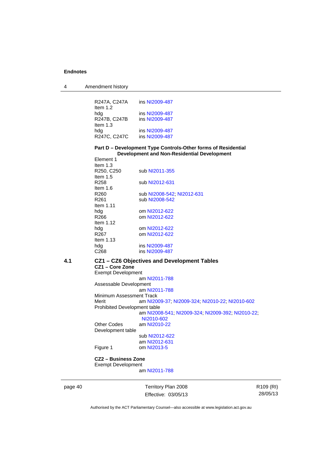| 4 | Amendment history |
|---|-------------------|
|---|-------------------|

| R247A, C247A<br>Item $1.2$        | ins NI2009-487                   |
|-----------------------------------|----------------------------------|
| hdg<br>R247B, C247B<br>Item $1.3$ | ins NI2009-487<br>ins NI2009-487 |
| hdg<br>R247C, C247C               | ins NI2009-487<br>ins NI2009-487 |

### **Part D – Development Type Controls-Other forms of Residential Development and Non-Residential Development**

| sub NI2011-355             |
|----------------------------|
|                            |
| sub NI2012-631             |
|                            |
| sub NI2008-542; NI2012-631 |
| sub NI2008-542             |
|                            |
| om NI2012-622              |
| om NI2012-622              |
|                            |
| om NI2012-622              |
| om NI2012-622              |
|                            |
| ins NI2009-487             |
| ins NI2009-487             |
|                            |

# **4.1 CZ1 – CZ6 Objectives and Development Tables**

**CZ1 – Core Zone** 

Exempt Development am [NI2011-788](http://www.legislation.act.gov.au/ni/2011-788/)

Assessable Development am [NI2011-788](http://www.legislation.act.gov.au/ni/2011-788/) Minimum Assessment Track<br>Merit am NI20 am [NI2009-37](http://www.legislation.act.gov.au/ni/2009-37/); [NI2009-324](http://www.legislation.act.gov.au/ni/2009-324/); [NI2010-22](http://www.legislation.act.gov.au/ni/2010-22/); [NI2010-602](http://www.legislation.act.gov.au/ni/2010-602/) Prohibited Development table am [NI2008-541](http://www.legislation.act.gov.au/ni/2008-541/); [NI2009-324](http://www.legislation.act.gov.au/ni/2009-324/); [NI2009-392](http://www.legislation.act.gov.au/ni/2009-392/); [NI2010-22](http://www.legislation.act.gov.au/ni/2010-22/); [NI2010-602](http://www.legislation.act.gov.au/ni/2010-602/) Other Codes am [NI2010-22](http://www.legislation.act.gov.au/ni/2010-22/) Development table

 sub [NI2012-622](http://www.legislation.act.gov.au/ni/2012-622/default.asp) am [NI2012-631](http://www.legislation.act.gov.au/ni/2012-631/default.asp)<br>Figure 1 com NI2013-5 om [NI2013-5](http://www.legislation.act.gov.au/ni/2013-5/default.asp)

**CZ2 – Business Zone**  Exempt Development

am [NI2011-788](http://www.legislation.act.gov.au/ni/2011-788/)

page 40 Territory Plan 2008 Effective: 03/05/13 R109 (RI) 28/05/13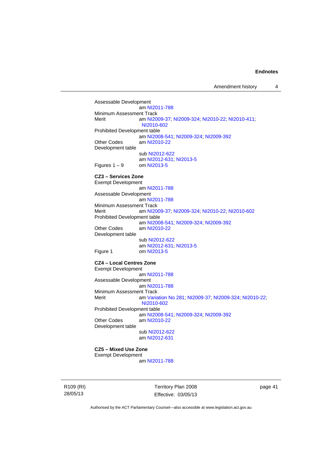Assessable Development am [NI2011-788](http://www.legislation.act.gov.au/ni/2011-788/) Minimum Assessment Track<br>Merit am NI20 am [NI2009-37](http://www.legislation.act.gov.au/ni/2009-37/); [NI2009-324](http://www.legislation.act.gov.au/ni/2009-324/); [NI2010-22](http://www.legislation.act.gov.au/ni/2010-22/); [NI2010-411](http://www.legislation.act.gov.au/ni/2010-411/); [NI2010-602](http://www.legislation.act.gov.au/ni/2010-602/) Prohibited Development table am [NI2008-541](http://www.legislation.act.gov.au/ni/2008-541/); [NI2009-324](http://www.legislation.act.gov.au/ni/2009-324/); [NI2009-392](http://www.legislation.act.gov.au/ni/2009-392/) Other Codes am [NI2010-22](http://www.legislation.act.gov.au/ni/2010-22/) Development table sub [NI2012-622](http://www.legislation.act.gov.au/ni/2012-622/default.asp) am [NI2012-631](http://www.legislation.act.gov.au/ni/2012-631/default.asp); [NI2013-5](http://www.legislation.act.gov.au/ni/2013-5/default.asp) Figures  $1 - 9$  om [NI2013-5](http://www.legislation.act.gov.au/ni/2013-5/default.asp) **CZ3 – Services Zone**  Exempt Development am [NI2011-788](http://www.legislation.act.gov.au/ni/2011-788/) Assessable Development am [NI2011-788](http://www.legislation.act.gov.au/ni/2011-788/) Minimum Assessment Track<br>Merit am NI20 am [NI2009-37](http://www.legislation.act.gov.au/ni/2009-37/); [NI2009-324](http://www.legislation.act.gov.au/ni/2009-324/); [NI2010-22](http://www.legislation.act.gov.au/ni/2010-22/); [NI2010-602](http://www.legislation.act.gov.au/ni/2010-602/) Prohibited Development table am [NI2008-541](http://www.legislation.act.gov.au/ni/2008-541/); [NI2009-324](http://www.legislation.act.gov.au/ni/2009-324/); [NI2009-392](http://www.legislation.act.gov.au/ni/2009-392/)<br>Other Codes am NI2010-22 am [NI2010-22](http://www.legislation.act.gov.au/ni/2010-22/) Development table sub [NI2012-622](http://www.legislation.act.gov.au/ni/2012-622/default.asp) am [NI2012-631](http://www.legislation.act.gov.au/ni/2012-631/default.asp); [NI2013-5](http://www.legislation.act.gov.au/ni/2013-5/default.asp)<br>Figure 1 com NI2013-5 om [NI2013-5](http://www.legislation.act.gov.au/ni/2013-5/default.asp) **CZ4 – Local Centres Zone**  Exempt Development am [NI2011-788](http://www.legislation.act.gov.au/ni/2011-788/) Assessable Development am [NI2011-788](http://www.legislation.act.gov.au/ni/2011-788/) Minimum Assessment Track Merit am [Variation No 281](http://www.legislation.act.gov.au/ni/2008-352/); [NI2009-37](http://www.legislation.act.gov.au/ni/2009-37/); [NI2009-324](http://www.legislation.act.gov.au/ni/2009-324/); [NI2010-22](http://www.legislation.act.gov.au/ni/2010-22/); [NI2010-602](http://www.legislation.act.gov.au/ni/2010-602/) Prohibited Development table am [NI2008-541](http://www.legislation.act.gov.au/ni/2008-541/); [NI2009-324](http://www.legislation.act.gov.au/ni/2009-324/); [NI2009-392](http://www.legislation.act.gov.au/ni/2009-392/)<br>Other Codes am NI2010-22 am [NI2010-22](http://www.legislation.act.gov.au/ni/2010-22/) Development table sub [NI2012-622](http://www.legislation.act.gov.au/ni/2012-622/default.asp) am [NI2012-631](http://www.legislation.act.gov.au/ni/2012-631/default.asp)

**CZ5 – Mixed Use Zone**  Exempt Development

am [NI2011-788](http://www.legislation.act.gov.au/ni/2011-788/)

R109 (RI) 28/05/13

Territory Plan 2008 Effective: 03/05/13 page 41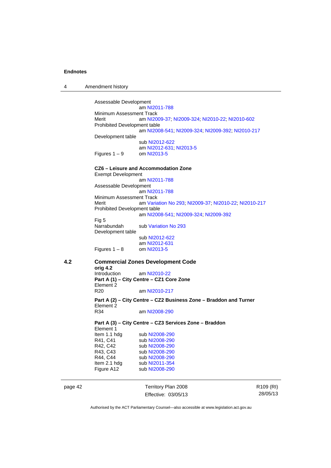4 Amendment history

page 42 Territory Plan 2008 Assessable Development am [NI2011-788](http://www.legislation.act.gov.au/ni/2011-788/) Minimum Assessment Track<br>Merit am NI20 am [NI2009-37](http://www.legislation.act.gov.au/ni/2009-37/); [NI2009-324](http://www.legislation.act.gov.au/ni/2009-324/); [NI2010-22](http://www.legislation.act.gov.au/ni/2010-22/); [NI2010-602](http://www.legislation.act.gov.au/ni/2010-602/) Prohibited Development table am [NI2008-541](http://www.legislation.act.gov.au/ni/2008-541/); [NI2009-324](http://www.legislation.act.gov.au/ni/2009-324/); [NI2009-392](http://www.legislation.act.gov.au/ni/2009-392/); [NI2010-217](http://www.legislation.act.gov.au/ni/2010-217/) Development table sub [NI2012-622](http://www.legislation.act.gov.au/ni/2012-622/default.asp) am [NI2012-631](http://www.legislation.act.gov.au/ni/2012-631/default.asp); [NI2013-5](http://www.legislation.act.gov.au/ni/2013-5/default.asp) Figures  $1 - 9$  om [NI2013-5](http://www.legislation.act.gov.au/ni/2013-5/default.asp) **CZ6 – Leisure and Accommodation Zone** Exempt Development am [NI2011-788](http://www.legislation.act.gov.au/ni/2011-788/) Assessable Development am [NI2011-788](http://www.legislation.act.gov.au/ni/2011-788/) Minimum Assessment Track<br>Merit am Varia am [Variation No 293](http://www.legislation.act.gov.au/ni/2008-219/); [NI2009-37](http://www.legislation.act.gov.au/ni/2009-37/); [NI2010-22](http://www.legislation.act.gov.au/ni/2010-22/); [NI2010-217](http://www.legislation.act.gov.au/ni/2010-217/) Prohibited Development table am [NI2008-541](http://www.legislation.act.gov.au/ni/2008-541/); [NI2009-324](http://www.legislation.act.gov.au/ni/2009-324/); [NI2009-392](http://www.legislation.act.gov.au/ni/2009-392/) Fig 5 Narrabundah sub [Variation No 293](http://www.legislation.act.gov.au/ni/2008-219/) Development table sub [NI2012-622](http://www.legislation.act.gov.au/ni/2012-622/default.asp) am [NI2012-631](http://www.legislation.act.gov.au/ni/2012-631/default.asp)<br>om NI2013-5 Figures  $1 - 8$ **4.2 Commercial Zones Development Code orig 4.2**  am [NI2010-22](http://www.legislation.act.gov.au/ni/2010-22/) **Part A (1) – City Centre – CZ1 Core Zone**  Element 2<br>R<sub>20</sub> am [NI2010-217](http://www.legislation.act.gov.au/ni/2010-217/) **Part A (2) – City Centre – CZ2 Business Zone – Braddon and Turner**  Element 2 R34 am [NI2008-290](http://www.legislation.act.gov.au/ni/2008-290/) **Part A (3) – City Centre – CZ3 Services Zone – Braddon**  Element 1 Item 1.1 hdg sub [NI2008-290](http://www.legislation.act.gov.au/ni/2008-290/)<br>R41, C41 sub NI2008-290 sub [NI2008-290](http://www.legislation.act.gov.au/ni/2008-290/) R42, C42 sub [NI2008-290](http://www.legislation.act.gov.au/ni/2008-290/)<br>R43, C43 sub NI2008-290 R43, C43 sub [NI2008-290](http://www.legislation.act.gov.au/ni/2008-290/)<br>R44, C44 sub NI2008-290 sub [NI2008-290](http://www.legislation.act.gov.au/ni/2008-290/) Item 2.1 hdg sub [NI2011-354](http://www.legislation.act.gov.au/ni/2011-354/) Figure A12 sub [NI2008-290](http://www.legislation.act.gov.au/ni/2008-290/)

Effective: 03/05/13

R109 (RI) 28/05/13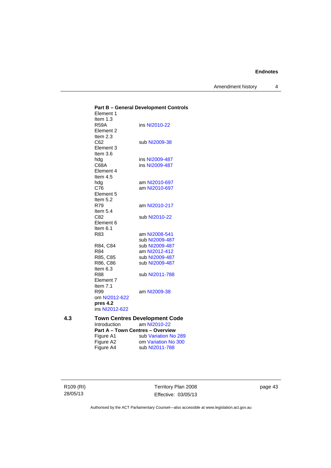Amendment history 4

|    |                                         | <b>Part B - General Development Controls</b> |
|----|-----------------------------------------|----------------------------------------------|
|    | Element 1                               |                                              |
|    | Item $1.3$                              |                                              |
|    | <b>R59A</b>                             | ins NI2010-22                                |
|    | Element 2                               |                                              |
|    | Item $2.3$                              |                                              |
|    | C62                                     | sub NI2009-38                                |
|    | Element 3<br>Item 3.6                   |                                              |
|    | hda                                     | ins NI2009-487                               |
|    | C68A                                    | ins NI2009-487                               |
|    | Element 4                               |                                              |
|    | Item $4.5$                              |                                              |
|    | hdg                                     | am NI2010-697                                |
|    | C76                                     | am NI2010-697                                |
|    | Element 5                               |                                              |
|    | Item 5.2                                |                                              |
|    | R79                                     | am NI2010-217                                |
|    | Item $5.4$                              |                                              |
|    | C82                                     | sub NI2010-22                                |
|    | Element 6                               |                                              |
|    | Item $6.1$                              |                                              |
|    | R83                                     | am NI2008-541                                |
|    |                                         | sub NI2009-487                               |
|    | R84, C84                                | sub NI2009-487                               |
|    | R84                                     | am NI2012-412                                |
|    | R85, C85                                | sub NI2009-487                               |
|    | R86, C86                                | sub NI2009-487                               |
|    | Item $6.3$                              | sub NI2011-788                               |
|    | R88<br>Element 7                        |                                              |
|    | Item $7.1$                              |                                              |
|    | R99                                     | am NI2009-38                                 |
|    | om NI2012-622                           |                                              |
|    | pres 4.2                                |                                              |
|    | ins NI2012-622                          |                                              |
| 43 |                                         | <b>Town Centres Development Code</b>         |
|    | <b>Introduction</b>                     | am NI2010-22                                 |
|    | <b>Part A - Town Centres - Overview</b> |                                              |
|    | Figure A1                               | sub Variation No 289                         |
|    | Figure A2                               | om Variation No 300                          |
|    | Figure A4                               | sub NI2011-788                               |

R109 (RI) 28/05/13

Territory Plan 2008 Effective: 03/05/13 page 43

Authorised by the ACT Parliamentary Counsel—also accessible at www.legislation.act.gov.au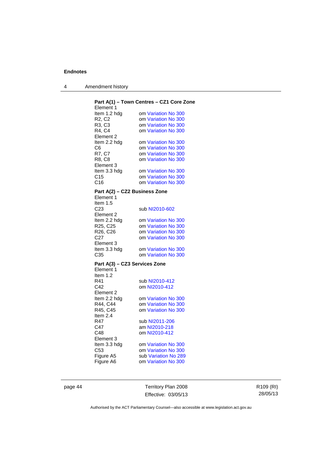| Amendment history |
|-------------------|
|                   |

| Element 1                         | Part A(1) - Town Centres - CZ1 Core Zone |
|-----------------------------------|------------------------------------------|
| Item 1.2 hdg                      | om Variation No 300                      |
| R <sub>2</sub> , C <sub>2</sub>   | om Variation No 300                      |
| R <sub>3</sub> , C <sub>3</sub>   | om Variation No 300                      |
| R4, C4                            | om Variation No 300                      |
| Element 2                         |                                          |
|                                   |                                          |
| Item 2.2 hdg                      | om Variation No 300                      |
| C6                                | om Variation No 300                      |
| R7, C7                            | om Variation No 300                      |
| R8, C8                            | om Variation No 300                      |
| Element 3                         |                                          |
| ltem 3.3 hdg                      | om Variation No 300                      |
| C15                               | om Variation No 300                      |
| C <sub>16</sub>                   | om Variation No 300                      |
| Part A(2) - CZ2 Business Zone     |                                          |
| Element 1                         |                                          |
| Item 1.5                          |                                          |
| C <sub>23</sub>                   | sub NI2010-602                           |
| Element 2                         |                                          |
| Item 2.2 hdg                      | om Variation No 300                      |
| R <sub>25</sub> , C <sub>25</sub> | om Variation No 300                      |
| R26, C26                          | om Variation No 300                      |
| C <sub>27</sub>                   | om Variation No 300                      |
| Element 3                         |                                          |
| Item 3.3 hdg                      | om Variation No 300                      |
| C35                               | om Variation No 300                      |
| Part A(3) - CZ3 Services Zone     |                                          |
| Element 1                         |                                          |
| Item 1.2                          |                                          |
| R41                               | sub NI2010-412                           |
| C42                               | om NI2010-412                            |
| Element 2                         |                                          |
| Item 2.2 hdg                      | om Variation No 300                      |
| R44, C44                          | om Variation No 300                      |
| R45, C45                          | om Variation No 300                      |
| Item $2.4$                        |                                          |
| R47                               | sub NI2011-206                           |
| C47                               | am NI2010-218                            |
| C48                               | om NI2010-412                            |
| Element 3                         |                                          |
| ltem 3.3 hdg                      | om Variation No 300                      |
| C53                               | om Variation No 300                      |
|                                   | sub Variation No 289                     |
| Figure A5<br>Figure A6            | om Variation No 300                      |
|                                   |                                          |

page 44 Territory Plan 2008 Effective: 03/05/13 R109 (RI) 28/05/13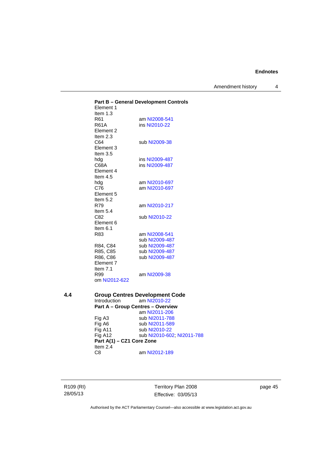Amendment history 4

**Part B – General Development Controls**  Element 1 Item 1.3<br>R61 R61 am [NI2008-541](http://www.legislation.act.gov.au/ni/2008-541/)<br>R61A ins NI2010-22 ins [NI2010-22](http://www.legislation.act.gov.au/ni/2010-22/) Element 2 Item 2.3 C64 sub [NI2009-38](http://www.legislation.act.gov.au/ni/2009-38/) Element 3 Item 3.5<br>hdg ins [NI2009-487](http://www.legislation.act.gov.au/ni/2009-487/) C68A ins [NI2009-487](http://www.legislation.act.gov.au/ni/2009-487/) Element 4 Item 4.5 hdg am [NI2010-697](http://www.legislation.act.gov.au/ni/2010-697/) C76 am [NI2010-697](http://www.legislation.act.gov.au/ni/2010-697/) Element 5 Item  $5.2$ <br>R79 am [NI2010-217](http://www.legislation.act.gov.au/ni/2010-217/) Item  $5.4$ <br>C82 sub [NI2010-22](http://www.legislation.act.gov.au/ni/2010-22/) Element 6 Item 6.1<br>R83 am [NI2008-541](http://www.legislation.act.gov.au/ni/2008-541/) sub [NI2009-487](http://www.legislation.act.gov.au/ni/2009-487/)<br>R84, C84 sub NI2009-487 R84, C84 sub [NI2009-487](http://www.legislation.act.gov.au/ni/2009-487/)<br>R85, C85 sub NI2009-487 sub [NI2009-487](http://www.legislation.act.gov.au/ni/2009-487/) R86, C86 sub [NI2009-487](http://www.legislation.act.gov.au/ni/2009-487/) Element 7 Item 7.1 R99 am [NI2009-38](http://www.legislation.act.gov.au/ni/2009-38/) om [NI2012-622](http://www.legislation.act.gov.au/ni/2012-622/default.asp) **4.4 Group Centres Development Code**<br>Introduction am NI2010-22 am [NI2010-22](http://www.legislation.act.gov.au/ni/2010-22/) **Part A – Group Centres – Overview**  am [NI2011-206](http://www.legislation.act.gov.au/ni/2011-206/) Fig A3 sub [NI2011-788](http://www.legislation.act.gov.au/ni/2011-788/)<br>Fig A6 sub NI2011-589 Fig A6 sub [NI2011-589](http://www.legislation.act.gov.au/ni/2011-589/)<br>Fig A11 sub NI2010-22 sub [NI2010-22](http://www.legislation.act.gov.au/ni/2010-22/) Fig A12 sub [NI2010-602](http://www.legislation.act.gov.au/ni/2010-602/); [NI2011-788](http://www.legislation.act.gov.au/ni/2011-788/) **Part A(1) – CZ1 Core Zone**  Item 2.4

C8 am [NI2012-189](http://www.legislation.act.gov.au/ni/2012-189/)

R109 (RI) 28/05/13

Territory Plan 2008 Effective: 03/05/13 page 45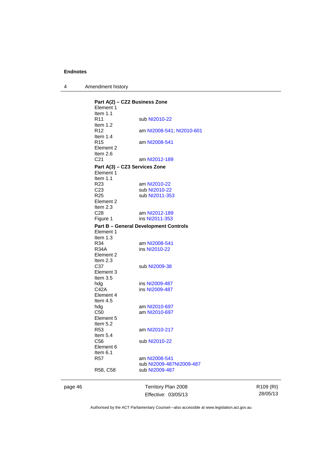4 Amendment history

**Part A(2) – CZ2 Business Zone**  Element 1 Item 1.1<br>R11 sub [NI2010-22](http://www.legislation.act.gov.au/ni/2010-22/) Item 1.2 R12 am [NI2008-541](http://www.legislation.act.gov.au/ni/2008-541/); [NI2010-601](http://www.legislation.act.gov.au/ni/2010-601/) Item 1.4 R15 am [NI2008-541](http://www.legislation.act.gov.au/ni/2008-541/) Element 2 Item 2.6<br>C21 am [NI2012-189](http://www.legislation.act.gov.au/ni/2012-189/) **Part A(3) – CZ3 Services Zone**  Element 1 Item 1.1 R23 am [NI2010-22](http://www.legislation.act.gov.au/ni/2010-22/) C23 sub [NI2010-22](http://www.legislation.act.gov.au/ni/2010-22/)<br>R25 sub NI2011-35 sub [NI2011-353](http://www.legislation.act.gov.au/ni/2011-353/) Element 2 Item 2.3<br>C28 C28 am [NI2012-189](http://www.legislation.act.gov.au/ni/2012-189/)<br>Figure 1 ins NI2011-353 ins [NI2011-353](http://www.legislation.act.gov.au/ni/2011-353/) **Part B – General Development Controls**  Element 1 Item 1.3 R34 am [NI2008-541](http://www.legislation.act.gov.au/ni/2008-541/)<br>R34A ins NI2010-22 ins [NI2010-22](http://www.legislation.act.gov.au/ni/2010-22/) Element 2 Item 2.3 C37 sub [NI2009-38](http://www.legislation.act.gov.au/ni/2009-38/) Element 3 Item 3.5<br>hdq hdg ins [NI2009-487](http://www.legislation.act.gov.au/ni/2009-487/)<br>C42A ins NI2009-487 ins [NI2009-487](http://www.legislation.act.gov.au/ni/2009-487/) Element 4 Item 4.5<br>hdg hdg am [NI2010-697](http://www.legislation.act.gov.au/ni/2010-697/)<br>C50 am NI2010-697 am [NI2010-697](http://www.legislation.act.gov.au/ni/2010-697/) Element 5 Item  $5.2$ <br>R53 am [NI2010-217](http://www.legislation.act.gov.au/ni/2010-217/) Item 5.4 C56 sub [NI2010-22](http://www.legislation.act.gov.au/ni/2010-22/) Element 6 Item 6.1 R57 am [NI2008-541](http://www.legislation.act.gov.au/ni/2008-541/) sub [NI2009-487NI2009-487](http://www.legislation.act.gov.au/ni/2009-487/)<br>R58, C58 sub NI2009-487 sub [NI2009-487](http://www.legislation.act.gov.au/ni/2009-487/)

page 46 Territory Plan 2008 Effective: 03/05/13 R109 (RI) 28/05/13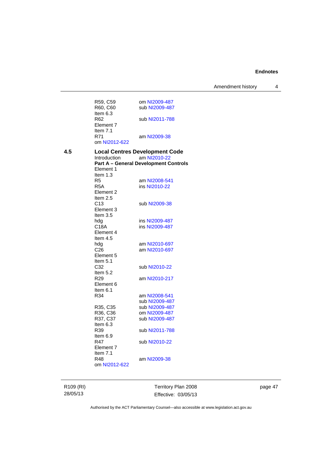Amendment history 4

|     | R59, C59<br>R60, C60             | om NI2009-487<br>sub NI2009-487              |
|-----|----------------------------------|----------------------------------------------|
|     | Item 6.3                         |                                              |
|     | R62<br>Element 7                 | sub NI2011-788                               |
|     | Item 7.1<br>R71<br>om NI2012-622 | am NI2009-38                                 |
| 4.5 |                                  | <b>Local Centres Development Code</b>        |
|     | Introduction                     | am NI2010-22                                 |
|     |                                  | <b>Part A - General Development Controls</b> |
|     | Element 1                        |                                              |
|     | Item $1.3$                       |                                              |
|     | R5                               | am NI2008-541                                |
|     | R <sub>5</sub> A                 | ins NI2010-22                                |
|     | Element 2                        |                                              |
|     | Item 2.5                         |                                              |
|     | C13                              | sub NI2009-38                                |
|     | Element 3                        |                                              |
|     | Item $3.5$                       |                                              |
|     | hda                              | ins NI2009-487                               |
|     | C18A                             | ins NI2009-487                               |
|     | Element 4                        |                                              |
|     | Item $4.5$                       |                                              |
|     | hdg                              | am NI2010-697                                |
|     | C <sub>26</sub>                  | am NI2010-697                                |
|     | Element 5                        |                                              |
|     | Item $5.1$                       |                                              |
|     | C32                              | sub NI2010-22                                |
|     | Item $5.2$                       |                                              |
|     | R29                              | am NI2010-217                                |
|     | Element 6                        |                                              |
|     | Item $6.1$                       |                                              |
|     | R34                              | am NI2008-541                                |
|     |                                  | sub NI2009-487                               |
|     | R35, C35                         | sub NI2009-487                               |
|     | R36, C36                         | om NI2009-487                                |
|     | R37, C37                         | sub NI2009-487                               |
|     | Item $6.3$                       |                                              |
|     | R39                              | sub NI2011-788                               |
|     | Item 6.9                         |                                              |
|     | R47                              | sub NI2010-22                                |
|     | Element 7                        |                                              |
|     | Item $7.1$                       |                                              |
|     | R48                              | am NI2009-38                                 |
|     | om NI2012-622                    |                                              |
|     |                                  |                                              |

R109 (RI) 28/05/13

Territory Plan 2008 Effective: 03/05/13 page 47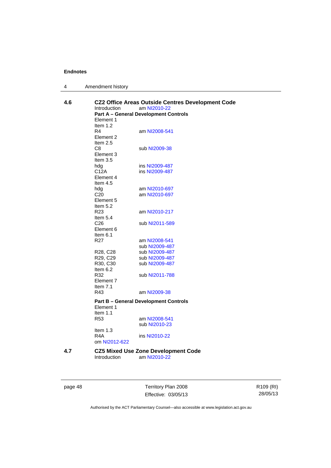| 4 | Amendment history |
|---|-------------------|
|---|-------------------|

| 4.6 | Introduction<br>Element 1<br>Item 1.2 | CZ2 Office Areas Outside Centres Development Code<br>am NI2010-22<br><b>Part A - General Development Controls</b> |
|-----|---------------------------------------|-------------------------------------------------------------------------------------------------------------------|
|     | R4<br>Element 2<br>Item $2.5$         | am NI2008-541                                                                                                     |
|     | C8<br>Element 3<br>Item $3.5$         | sub NI2009-38                                                                                                     |
|     | hdg                                   | ins NI2009-487                                                                                                    |
|     | C12A                                  | ins NI2009-487                                                                                                    |
|     | Element 4<br>Item $4.5$               |                                                                                                                   |
|     | hdg                                   | am NI2010-697                                                                                                     |
|     | C <sub>20</sub>                       | am NI2010-697                                                                                                     |
|     | Element 5<br>Item $5.2$               |                                                                                                                   |
|     | R <sub>23</sub>                       | am NI2010-217                                                                                                     |
|     | Item $5.4$                            |                                                                                                                   |
|     | C <sub>26</sub>                       | sub NI2011-589                                                                                                    |
|     | Element 6                             |                                                                                                                   |
|     | Item 6.1                              |                                                                                                                   |
|     | R <sub>27</sub>                       | am NI2008-541                                                                                                     |
|     |                                       | sub NI2009-487                                                                                                    |
|     | R <sub>28</sub> , C <sub>28</sub>     | sub NI2009-487                                                                                                    |
|     | R29, C29                              | sub NI2009-487                                                                                                    |
|     | R30, C30                              | sub NI2009-487                                                                                                    |
|     | Item $6.2$                            |                                                                                                                   |
|     | R32<br>Element 7<br>Item $7.1$        | sub NI2011-788                                                                                                    |
|     | R43                                   | am NI2009-38                                                                                                      |
|     | Element 1<br>Item $1.1$               | <b>Part B - General Development Controls</b>                                                                      |
|     | R <sub>53</sub>                       | am NI2008-541                                                                                                     |
|     |                                       | sub NI2010-23                                                                                                     |
|     | Item $1.3$<br>R4A                     | ins NI2010-22                                                                                                     |
|     | om NI2012-622                         |                                                                                                                   |
| 4.7 |                                       | <b>CZ5 Mixed Use Zone Development Code</b>                                                                        |
|     | Introduction                          | am NI2010-22                                                                                                      |
|     |                                       |                                                                                                                   |

page 48 Territory Plan 2008 Effective: 03/05/13 R109 (RI) 28/05/13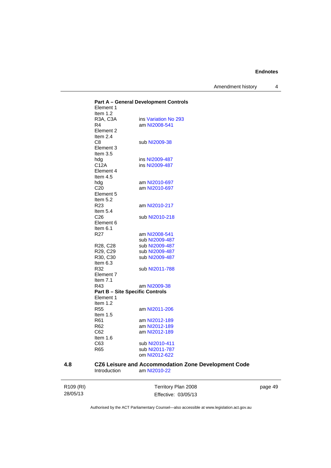Amendment history 4

|     | Element 1                         | <b>Part A - General Development Controls</b>        |
|-----|-----------------------------------|-----------------------------------------------------|
|     | Item 1.2                          |                                                     |
|     | R3A, C3A                          | ins Variation No 293                                |
|     | R4                                | am NI2008-541                                       |
|     | Element 2                         |                                                     |
|     | Item $2.4$                        |                                                     |
|     | C <sub>8</sub>                    | sub NI2009-38                                       |
|     | Element 3                         |                                                     |
|     | Item $3.5$                        |                                                     |
|     | hdg                               | ins NI2009-487                                      |
|     | C12A                              | ins NI2009-487                                      |
|     | Element 4                         |                                                     |
|     | Item $4.5$                        |                                                     |
|     |                                   |                                                     |
|     | hdg                               | am NI2010-697                                       |
|     | C <sub>20</sub>                   | am NI2010-697                                       |
|     | Element 5                         |                                                     |
|     | Item 5.2                          |                                                     |
|     | R <sub>23</sub>                   | am NI2010-217                                       |
|     | Item 5.4                          |                                                     |
|     | C <sub>26</sub>                   | sub NI2010-218                                      |
|     | Element 6                         |                                                     |
|     | Item $6.1$                        |                                                     |
|     | R <sub>27</sub>                   | am NI2008-541                                       |
|     |                                   | sub NI2009-487                                      |
|     | R <sub>28</sub> , C <sub>28</sub> | sub NI2009-487                                      |
|     | R <sub>29</sub> , C <sub>29</sub> | sub NI2009-487                                      |
|     | R <sub>30</sub> , C <sub>30</sub> | sub NI2009-487                                      |
|     | Item 6.3                          |                                                     |
|     | R32                               | sub NI2011-788                                      |
|     | Element 7                         |                                                     |
|     | Item $7.1$                        |                                                     |
|     | R43                               | am NI2009-38                                        |
|     |                                   | <b>Part B - Site Specific Controls</b>              |
|     | Element 1                         |                                                     |
|     |                                   |                                                     |
|     | Item $1.2$                        |                                                     |
|     | <b>R55</b>                        | am NI2011-206                                       |
|     | Item $1.5$                        |                                                     |
|     | R61                               | am NI2012-189                                       |
|     | R <sub>62</sub>                   | am NI2012-189                                       |
|     | C62                               | am NI2012-189                                       |
|     | Item $1.6$                        |                                                     |
|     | C63                               | sub NI2010-411                                      |
|     | R65                               | sub NI2011-787                                      |
|     |                                   | om NI2012-622                                       |
|     |                                   |                                                     |
| 4.8 |                                   | CZ6 Leisure and Accommodation Zone Development Code |
|     | Introduction                      | am NI2010-22                                        |

| R109 (RI) | Territory Plan 2008 | page 49 |
|-----------|---------------------|---------|
| 28/05/13  | Effective: 03/05/13 |         |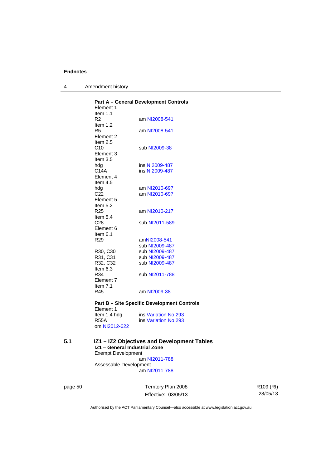4 Amendment history

|     | Element 1<br>Item $1.1$                                    | <b>Part A - General Development Controls</b>                 |
|-----|------------------------------------------------------------|--------------------------------------------------------------|
|     | R2<br>Item 1.2                                             | am NI2008-541                                                |
|     | R5<br>Element 2                                            | am NI2008-541                                                |
|     | Item $2.5$<br>C10<br>Element 3<br>Item 3.5                 | sub NI2009-38                                                |
|     | hdg<br>C14A                                                | ins NI2009-487<br>ins NI2009-487                             |
|     | Element 4<br>Item $4.5$                                    |                                                              |
|     | hdg<br>C <sub>22</sub><br>Element 5                        | am NI2010-697<br>am NI2010-697                               |
|     | Item 5.2<br>R <sub>25</sub><br>Item $5.4$                  | am NI2010-217                                                |
|     | C28<br>Element 6                                           | sub NI2011-589                                               |
|     | Item 6.1<br>R29                                            | amNI2008-541                                                 |
|     |                                                            | sub NI2009-487                                               |
|     | R30, C30                                                   | sub NI2009-487                                               |
|     | R31, C31                                                   | sub NI2009-487                                               |
|     | R32, C32<br>Item 6.3                                       | sub NI2009-487                                               |
|     | R34<br>Element 7<br>Item $7.1$                             | sub NI2011-788                                               |
|     | R45                                                        | am NI2009-38                                                 |
|     | Element 1                                                  | <b>Part B - Site Specific Development Controls</b>           |
|     | Item 1.4 hdg                                               | ins Variation No 293                                         |
|     | <b>R55A</b>                                                | ins Variation No 293                                         |
|     | om NI2012-622                                              |                                                              |
| 5.1 | IZ1 - General Industrial Zone<br><b>Exempt Development</b> | IZ1 - IZ2 Objectives and Development Tables<br>am NI2011-788 |
|     | Assessable Development                                     |                                                              |

am [NI2011-788](http://www.legislation.act.gov.au/ni/2011-788/)

page 50 Territory Plan 2008 Effective: 03/05/13 R109 (RI) 28/05/13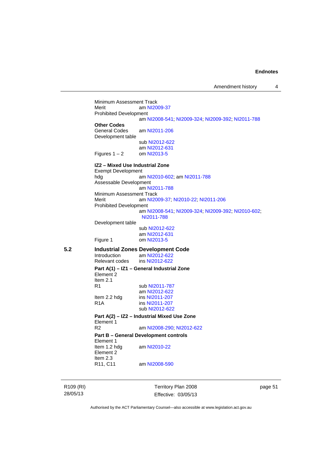Minimum Assessment Track<br>Merit am NI20 am [NI2009-37](http://www.legislation.act.gov.au/ni/2009-37/) Prohibited Development am [NI2008-541](http://www.legislation.act.gov.au/ni/2008-541/); [NI2009-324](http://www.legislation.act.gov.au/ni/2009-324/); [NI2009-392](http://www.legislation.act.gov.au/ni/2009-392/); [NI2011-788](http://www.legislation.act.gov.au/ni/2011-788/) **Other Codes**  am [NI2011-206](http://www.legislation.act.gov.au/ni/2011-206/) Development table sub [NI2012-622](http://www.legislation.act.gov.au/ni/2012-622/default.asp) am [NI2012-631](http://www.legislation.act.gov.au/ni/2012-631/default.asp) Figures  $1 - 2$  om [NI2013-5](http://www.legislation.act.gov.au/ni/2013-5/default.asp) **IZ2 – Mixed Use Industrial Zone**  Exempt Development hdg am [NI2010-602](http://www.legislation.act.gov.au/ni/2010-602/); am [NI2011-788](http://www.legislation.act.gov.au/ni/2011-788/) Assessable Development am [NI2011-788](http://www.legislation.act.gov.au/ni/2011-788/) Minimum Assessment Track Merit am [NI2009-37](http://www.legislation.act.gov.au/ni/2009-37/); [NI2010-22](http://www.legislation.act.gov.au/ni/2010-22/); [NI2011-206](http://www.legislation.act.gov.au/ni/2011-206/) Prohibited Development am [NI2008-541](http://www.legislation.act.gov.au/ni/2008-541/); [NI2009-324](http://www.legislation.act.gov.au/ni/2009-324/); [NI2009-392](http://www.legislation.act.gov.au/ni/2009-392/); [NI2010-602](http://www.legislation.act.gov.au/ni/2010-602/); [NI2011-788](http://www.legislation.act.gov.au/ni/2011-788/) Development table sub [NI2012-622](http://www.legislation.act.gov.au/ni/2012-622/default.asp) am [NI2012-631](http://www.legislation.act.gov.au/ni/2012-631/default.asp)<br>Figure 1 com NI2013-5 om [NI2013-5](http://www.legislation.act.gov.au/ni/2013-5/default.asp) **5.2 Industrial Zones Development Code**  Introduction am [NI2012-622](http://www.legislation.act.gov.au/ni/2012-622/default.asp)<br>Relevant codes ins NI2012-622 Relevant codes **Part A(1) – IZ1 – General Industrial Zone**  Element 2 Item 2.1 R1 sub [NI2011-787](http://www.legislation.act.gov.au/ni/2011-787/) am [NI2012-622](http://www.legislation.act.gov.au/ni/2012-622/default.asp) Item 2.2 hdg ins [NI2011-207](http://www.legislation.act.gov.au/ni/2011-207/)<br>R1A ins NI2011-207 ins [NI2011-207](http://www.legislation.act.gov.au/ni/2011-207/) sub [NI2012-622](http://www.legislation.act.gov.au/ni/2012-622/default.asp) **Part A(2) – IZ2 – Industrial Mixed Use Zone**  Element 1<br>R<sub>2</sub> am [NI2008-290](http://www.legislation.act.gov.au/ni/2008-290/); [NI2012-622](http://www.legislation.act.gov.au/ni/2012-622/default.asp) **Part B – General Development controls**  Element 1<br>Item 1.2 hda am [NI2010-22](http://www.legislation.act.gov.au/ni/2010-22/) Element 2 Item 2.3<br>R11, C11 am [NI2008-590](http://www.legislation.act.gov.au/ni/2008-590/default.asp)

R109 (RI) 28/05/13

Territory Plan 2008 Effective: 03/05/13 page 51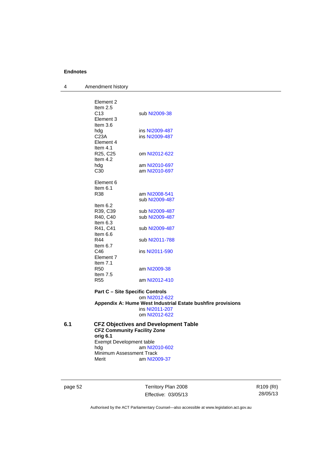4 Amendment history

| Element 2<br>Item $2.5$<br>C <sub>13</sub><br>Element 3<br>Item $3.6$ | sub NI2009-38                    |
|-----------------------------------------------------------------------|----------------------------------|
| hdg<br>C <sub>23A</sub><br>Element 4<br>Item $4.1$                    | ins NI2009-487<br>ins NI2009-487 |
| R <sub>25</sub> , C <sub>25</sub><br>Item $4.2$                       | om NI2012-622                    |
| hda                                                                   | am NI2010-697                    |
| C <sub>30</sub>                                                       | am NI2010-697                    |
| Element 6<br>Item $6.1$<br>R38                                        | am NI2008-541<br>sub NI2009-487  |
| Item $6.2$<br>R39, C39<br>R40. C40<br>Item $6.3$                      | sub NI2009-487<br>sub NI2009-487 |
| R41, C41<br>Item 6.6                                                  | sub NI2009-487                   |
| R44<br>Item 6.7                                                       | sub NI2011-788                   |
| C46<br>Element 7<br>Item $7.1$                                        | ins NI2011-590                   |
| <b>R50</b><br>Item $7.5$                                              | am NI2009-38                     |
| <b>R55</b>                                                            | am NI2012-410                    |
|                                                                       |                                  |

#### **Part C – Site Specific Controls**  om [NI2012-622](http://www.legislation.act.gov.au/ni/2012-622/default.asp) **Appendix A: Hume West Industrial Estate bushfire provisions**  ins [NI2011-207](http://www.legislation.act.gov.au/ni/2011-207/) om [NI2012-622](http://www.legislation.act.gov.au/ni/2012-622/default.asp)

| 6.1 |                          | <b>CFZ Objectives and Development Table</b> |  |
|-----|--------------------------|---------------------------------------------|--|
|     |                          | <b>CFZ Community Facility Zone</b>          |  |
|     | orig 6.1                 |                                             |  |
|     | Exempt Development table |                                             |  |
|     | hda                      | am NI2010-602                               |  |
|     | Minimum Assessment Track |                                             |  |
|     | Merit                    | am NI2009-37                                |  |

page 52 Territory Plan 2008 Effective: 03/05/13 R109 (RI) 28/05/13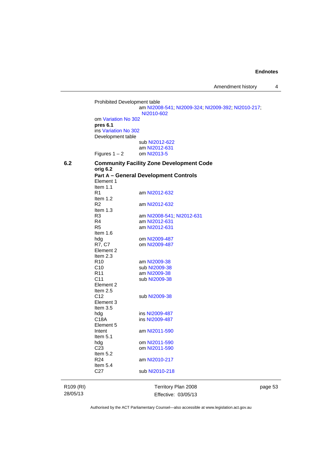Amendment history 4

Prohibited Development table am [NI2008-541](http://www.legislation.act.gov.au/ni/2008-541/); [NI2009-324](http://www.legislation.act.gov.au/ni/2009-324/); [NI2009-392](http://www.legislation.act.gov.au/ni/2009-392/); [NI2010-217](http://www.legislation.act.gov.au/ni/2010-217/); [NI2010-602](http://www.legislation.act.gov.au/ni/2010-602/) om [Variation No 302](http://www.legislation.act.gov.au/ni/2011-573/) **pres 6.1** ins [Variation No 302](http://www.legislation.act.gov.au/ni/2011-573/) Development table sub [NI2012-622](http://www.legislation.act.gov.au/ni/2012-622/default.asp) am [NI2012-631](http://www.legislation.act.gov.au/ni/2012-631/default.asp)<br>om NI2013-5 Figures  $1 - 2$ **6.2 Community Facility Zone Development Code orig 6.2 Part A – General Development Controls**  Element 1 Item  $1.1$ <br>R<sub>1</sub> am [NI2012-632](http://www.legislation.act.gov.au/ni/2012-632/default.asp) Item 1.2<br>R2 am [NI2012-632](http://www.legislation.act.gov.au/ni/2012-632/default.asp) Item 1.3<br>R3 R3 am [NI2008-541](http://www.legislation.act.gov.au/ni/2008-541/); [NI2012-631](http://www.legislation.act.gov.au/ni/2012-631/default.asp) R4 am [NI2012-631](http://www.legislation.act.gov.au/ni/2012-631/default.asp)<br>R5 am NI2012-631 am [NI2012-631](http://www.legislation.act.gov.au/ni/2012-631/default.asp) Item 1.6 hdg om [NI2009-487](http://www.legislation.act.gov.au/ni/2009-487/) R7, C7 om [NI2009-487](http://www.legislation.act.gov.au/ni/2009-487/) Element 2 Item 2.3 R10 am [NI2009-38](http://www.legislation.act.gov.au/ni/2009-38/)<br>C10 sub NI2009-38 C10 sub [NI2009-38](http://www.legislation.act.gov.au/ni/2009-38/)<br>R11 am NI2009-38 am [NI2009-38](http://www.legislation.act.gov.au/ni/2009-38/) C11 sub [NI2009-38](http://www.legislation.act.gov.au/ni/2009-38/) Element 2 Item  $2.5$ <br>C<sub>12</sub> sub [NI2009-38](http://www.legislation.act.gov.au/ni/2009-38/) Element 3 Item 3.5<br>hdq hdg ins [NI2009-487](http://www.legislation.act.gov.au/ni/2009-487/)<br>C18A ins NI2009-487 ins [NI2009-487](http://www.legislation.act.gov.au/ni/2009-487/) Element 5<br>Intent am [NI2011-590](http://www.legislation.act.gov.au/ni/2011-590/) Item 5.1 hdg om [NI2011-590](http://www.legislation.act.gov.au/ni/2011-590/)<br>C23 om NI2011-590 om [NI2011-590](http://www.legislation.act.gov.au/ni/2011-590/) Item 5.2 R24 am [NI2010-217](http://www.legislation.act.gov.au/ni/2010-217/) Item 5.4 C27 sub [NI2010-218](http://www.legislation.act.gov.au/ni/2010-218/)

R109 (RI) 28/05/13

Territory Plan 2008 Effective: 03/05/13 page 53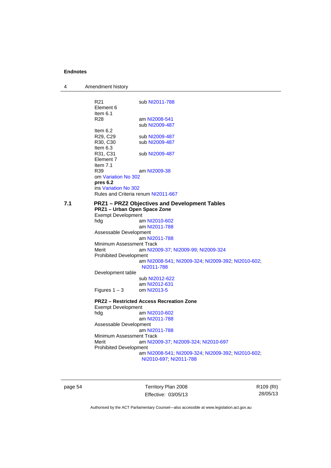| 4                                                                                                                      | Amendment history                                           |                                                                              |
|------------------------------------------------------------------------------------------------------------------------|-------------------------------------------------------------|------------------------------------------------------------------------------|
|                                                                                                                        | R <sub>21</sub><br>Element 6<br>Item $6.1$                  | sub NI2011-788                                                               |
|                                                                                                                        | R28                                                         | am NI2008-541                                                                |
|                                                                                                                        | Item 6.2                                                    | sub NI2009-487                                                               |
|                                                                                                                        | R <sub>29</sub> , C <sub>29</sub>                           | sub NI2009-487                                                               |
|                                                                                                                        | R30, C30<br>Item $6.3$                                      | sub NI2009-487                                                               |
|                                                                                                                        | R31, C31<br>Element 7                                       | sub NI2009-487                                                               |
|                                                                                                                        | Item $7.1$<br>R39                                           | am NI2009-38                                                                 |
|                                                                                                                        | om Variation No 302<br>pres 6.2                             |                                                                              |
|                                                                                                                        | ins Variation No 302<br>Rules and Criteria renum NI2011-667 |                                                                              |
|                                                                                                                        |                                                             |                                                                              |
| 7.1<br><b>PRZ1-PRZ2 Objectives and Development Tables</b><br>PRZ1 - Urban Open Space Zone<br><b>Exempt Development</b> |                                                             |                                                                              |
|                                                                                                                        | hdg                                                         | am NI2010-602                                                                |
|                                                                                                                        | Assessable Development                                      | am NI2011-788                                                                |
|                                                                                                                        | Minimum Assessment Track                                    | am NI2011-788                                                                |
|                                                                                                                        | Merit                                                       | am NI2009-37, NI2009-99, NI2009-324                                          |
|                                                                                                                        | <b>Prohibited Development</b>                               | am NI2008-541, NI2009-324, NI2009-392, NI2010-602,<br>NI2011-788             |
|                                                                                                                        | Development table                                           |                                                                              |
|                                                                                                                        |                                                             | sub NI2012-622                                                               |
|                                                                                                                        | Figures $1 - 3$                                             | am NI2012-631<br>om NI2013-5                                                 |
|                                                                                                                        |                                                             | <b>PRZ2 - Restricted Access Recreation Zone</b>                              |
|                                                                                                                        | <b>Exempt Development</b>                                   |                                                                              |
|                                                                                                                        | hdg                                                         | am NI2010-602<br>am NI2011-788                                               |
|                                                                                                                        | Assessable Development                                      | am NI2011-788                                                                |
|                                                                                                                        | Minimum Assessment Track                                    |                                                                              |
|                                                                                                                        | Merit                                                       | am NI2009-37, NI2009-324, NI2010-697                                         |
|                                                                                                                        | <b>Prohibited Development</b>                               | am NI2008-541, NI2009-324, NI2009-392, NI2010-602,<br>NI2010-697, NI2011-788 |
|                                                                                                                        |                                                             |                                                                              |

page 54 Territory Plan 2008 Effective: 03/05/13 R109 (RI) 28/05/13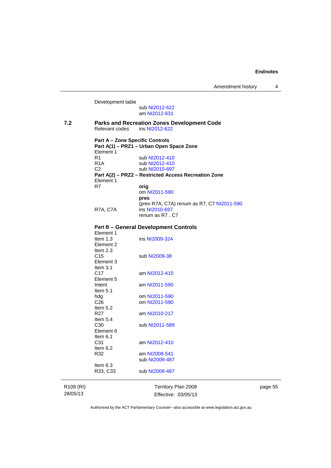Development table sub [NI2012-622](http://www.legislation.act.gov.au/ni/2012-622/default.asp) am [NI2012-631](http://www.legislation.act.gov.au/ni/2012-631/default.asp) **7.2 Parks and Recreation Zones Development Code**  Relevant codes ins [NI2012-622](http://www.legislation.act.gov.au/ni/2012-622/default.asp) **Part A – Zone Specific Controls Part A(1) – PRZ1 – Urban Open Space Zone**  Element 1<br>R1 sub [NI2012-410](http://www.legislation.act.gov.au/ni/2012-410/) R1A sub [NI2012-410](http://www.legislation.act.gov.au/ni/2012-410/)<br>C2 sub NI2010-697 sub [NI2010-697](http://www.legislation.act.gov.au/ni/2010-697/) **Part A(2) – PRZ2 – Restricted Access Recreation Zone**  Element 1<br>R7 orig om [NI2011-590](http://www.legislation.act.gov.au/ni/2011-590/) **pres** (prev R7A, C7A) renum as R7, C7 [NI2011-590](http://www.legislation.act.gov.au/ni/2011-590/) R7A, C7A ins [NI2010-697](http://www.legislation.act.gov.au/ni/2010-697/) renum as R7 , C7 **Part B – General Development Controls**  Element 1 Item 1.3 ins [NI2009-324](http://www.legislation.act.gov.au/ni/2009-324/) Element 2 Item  $2.3$ <br>C<sub>15</sub> sub [NI2009-38](http://www.legislation.act.gov.au/ni/2009-38/) Element 3 Item  $3.1$ <br>C<sub>17</sub> am [NI2012-410](http://www.legislation.act.gov.au/ni/2012-410/) Element 5 Intent am [NI2011-590](http://www.legislation.act.gov.au/ni/2011-590/) Item 5.1 hdg om [NI2011-590](http://www.legislation.act.gov.au/ni/2011-590/)<br>C26 om NI2011-590 om [NI2011-590](http://www.legislation.act.gov.au/ni/2011-590/) Item  $5.2$ <br>R27 am [NI2010-217](http://www.legislation.act.gov.au/ni/2010-217/) Item  $5.4$ <br>C<sub>30</sub> sub [NI2011-589](http://www.legislation.act.gov.au/ni/2011-589/) Element 6 Item 6.1 C31 am [NI2012-410](http://www.legislation.act.gov.au/ni/2012-410/) Item 6.2 R32 am [NI2008-541](http://www.legislation.act.gov.au/ni/2008-541/) sub [NI2009-487](http://www.legislation.act.gov.au/ni/2009-487/) Item 6.3 R33, C33 sub [NI2009-487](http://www.legislation.act.gov.au/ni/2009-487/)

R109 (RI) 28/05/13

Territory Plan 2008 Effective: 03/05/13 page 55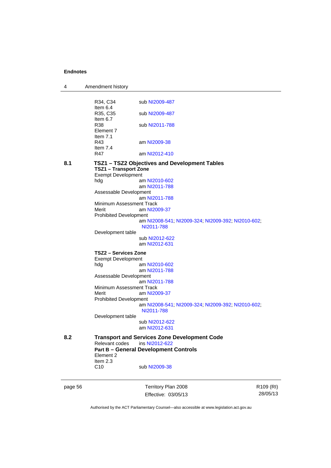| 4       | Amendment history             |                                                                  |                       |
|---------|-------------------------------|------------------------------------------------------------------|-----------------------|
|         |                               |                                                                  |                       |
|         | R34, C34                      | sub NI2009-487                                                   |                       |
|         | Item $6.4$<br>R35, C35        | sub NI2009-487                                                   |                       |
|         | Item $6.7$                    |                                                                  |                       |
|         | R38                           | sub NI2011-788                                                   |                       |
|         | Element 7                     |                                                                  |                       |
|         | Item $7.1$                    |                                                                  |                       |
|         | R43                           | am NI2009-38                                                     |                       |
|         | Item $7.4$                    |                                                                  |                       |
|         | R47                           | am NI2012-410                                                    |                       |
| 8.1     |                               | TSZ1 - TSZ2 Objectives and Development Tables                    |                       |
|         | <b>TSZ1 - Transport Zone</b>  |                                                                  |                       |
|         | <b>Exempt Development</b>     |                                                                  |                       |
|         | hdg                           | am NI2010-602<br>am NI2011-788                                   |                       |
|         | Assessable Development        |                                                                  |                       |
|         |                               | am NI2011-788                                                    |                       |
|         | Minimum Assessment Track      |                                                                  |                       |
|         | Merit                         | am NI2009-37                                                     |                       |
|         | <b>Prohibited Development</b> |                                                                  |                       |
|         |                               | am NI2008-541, NI2009-324, NI2009-392, NI2010-602,<br>NI2011-788 |                       |
|         | Development table             |                                                                  |                       |
|         |                               | sub NI2012-622                                                   |                       |
|         |                               | am NI2012-631                                                    |                       |
|         | TSZ2 - Services Zone          |                                                                  |                       |
|         | <b>Exempt Development</b>     |                                                                  |                       |
|         | hdg                           | am NI2010-602                                                    |                       |
|         |                               | am NI2011-788                                                    |                       |
|         | Assessable Development        | am NI2011-788                                                    |                       |
|         | Minimum Assessment Track      |                                                                  |                       |
|         | Merit                         | am NI2009-37                                                     |                       |
|         | <b>Prohibited Development</b> |                                                                  |                       |
|         |                               | am NI2008-541, NI2009-324, NI2009-392, NI2010-602,               |                       |
|         |                               | NI2011-788                                                       |                       |
|         | Development table             |                                                                  |                       |
|         |                               | sub NI2012-622<br>am NI2012-631                                  |                       |
|         |                               |                                                                  |                       |
| 8.2     |                               | <b>Transport and Services Zone Development Code</b>              |                       |
|         | Relevant codes                | ins NI2012-622                                                   |                       |
|         |                               | <b>Part B - General Development Controls</b>                     |                       |
|         | Element 2                     |                                                                  |                       |
|         | Item 2.3                      |                                                                  |                       |
|         | C10                           | sub NI2009-38                                                    |                       |
|         |                               |                                                                  |                       |
| page 56 |                               | Territory Plan 2008                                              | R <sub>109</sub> (RI) |

Authorised by the ACT Parliamentary Counsel—also accessible at www.legislation.act.gov.au

28/05/13

Effective: 03/05/13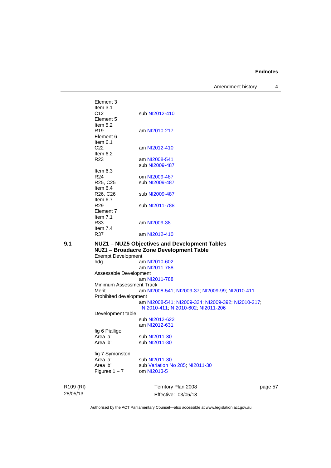Amendment history 4

Element 3 Item 3.1 C12 sub [NI2012-410](http://www.legislation.act.gov.au/ni/2012-410/) Element 5 Item  $5.2$ <br>R19 am [NI2010-217](http://www.legislation.act.gov.au/ni/2010-217/) Element 6 Item 6.1 C22 am [NI2012-410](http://www.legislation.act.gov.au/ni/2012-410/) Item  $6.2$ <br>R23 am [NI2008-541](http://www.legislation.act.gov.au/ni/2008-541/) sub [NI2009-487](http://www.legislation.act.gov.au/ni/2009-487/) Item  $6.3$ <br>R<sub>24</sub> om [NI2009-487](http://www.legislation.act.gov.au/ni/2009-487/) R25, C25 sub [NI2009-487](http://www.legislation.act.gov.au/ni/2009-487/) Item 6.4<br>R26, C26 sub [NI2009-487](http://www.legislation.act.gov.au/ni/2009-487/) Item  $6.7$ <br>R<sub>29</sub> sub [NI2011-788](http://www.legislation.act.gov.au/ni/2011-788/) Element 7 Item 7.1 R33 am [NI2009-38](http://www.legislation.act.gov.au/ni/2009-38/) Item 7.4<br>R37 am [NI2012-410](http://www.legislation.act.gov.au/ni/2012-410/) **9.1 NUZ1 – NUZ5 Objectives and Development Tables NUZ1 – Broadacre Zone Development Table**  Exempt Development hdg am [NI2010-602](http://www.legislation.act.gov.au/ni/2010-602/) am [NI2011-788](http://www.legislation.act.gov.au/ni/2011-788/default.asp) Assessable Development am [NI2011-788](http://www.legislation.act.gov.au/ni/2011-788/) Minimum Assessment Track<br>Merit am NI20 am [NI2008-541](http://www.legislation.act.gov.au/ni/2008-541/); [NI2009-37](http://www.legislation.act.gov.au/ni/2009-37/); [NI2009-99](http://www.legislation.act.gov.au/ni/2009-99/); [NI2010-411](http://www.legislation.act.gov.au/ni/2010-411/) Prohibited development am [NI2008-541](http://www.legislation.act.gov.au/ni/2008-541/); [NI2009-324](http://www.legislation.act.gov.au/ni/2009-324/); [NI2009-392](http://www.legislation.act.gov.au/ni/2009-392/); [NI2010-217](http://www.legislation.act.gov.au/ni/2010-217/); [NI2010-411](http://www.legislation.act.gov.au/ni/2010-411/); [NI2010-602](http://www.legislation.act.gov.au/ni/2010-602/); [NI2011-206](http://www.legislation.act.gov.au/ni/2011-206/) Development table sub [NI2012-622](http://www.legislation.act.gov.au/ni/2012-622/default.asp) am [NI2012-631](http://www.legislation.act.gov.au/ni/2012-631/default.asp) fig 6 Pialligo Area 'a' sub [NI2011-30](http://www.legislation.act.gov.au/ni/2011-30/) Area 'b' sub [NI2011-30](http://www.legislation.act.gov.au/ni/2011-30/) fig 7 Symonston Area 'a' sub [NI2011-30](http://www.legislation.act.gov.au/ni/2011-30/)<br>Area 'b' sub Variation N sub [Variation No 285](http://www.legislation.act.gov.au/ni/2008-123/); [NI2011-30](http://www.legislation.act.gov.au/ni/2011-30/)

R109 (RI) 28/05/13

Territory Plan 2008 Effective: 03/05/13 page 57

Authorised by the ACT Parliamentary Counsel—also accessible at www.legislation.act.gov.au

Figures  $1 - 7$  om [NI2013-5](http://www.legislation.act.gov.au/ni/2013-5/default.asp)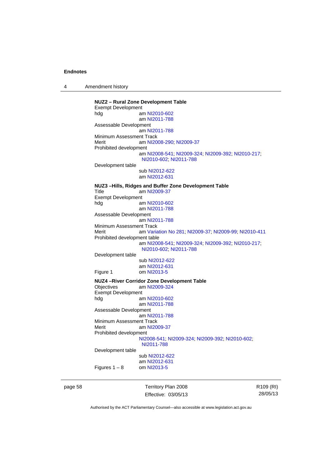4 Amendment history

**NUZ2 – Rural Zone Development Table**  Exempt Development hdg am [NI2010-602](http://www.legislation.act.gov.au/ni/2010-602/) am [NI2011-788](http://www.legislation.act.gov.au/ni/2011-788/) Assessable Development am [NI2011-788](http://www.legislation.act.gov.au/ni/2011-788/) Minimum Assessment Track Merit **am [NI2008-290](http://www.legislation.act.gov.au/ni/2008-290/); [NI2009-37](http://www.legislation.act.gov.au/ni/2009-37/)** Prohibited development am [NI2008-541](http://www.legislation.act.gov.au/ni/2008-541/); [NI2009-324](http://www.legislation.act.gov.au/ni/2009-324/); [NI2009-392](http://www.legislation.act.gov.au/ni/2009-392/); [NI2010-217](http://www.legislation.act.gov.au/ni/2010-217/); [NI2010-602](http://www.legislation.act.gov.au/ni/2010-602/); [NI2011-788](http://www.legislation.act.gov.au/ni/2011-788/) Development table sub [NI2012-622](http://www.legislation.act.gov.au/ni/2012-622/default.asp) am [NI2012-631](http://www.legislation.act.gov.au/ni/2012-631/default.asp) **NUZ3 –Hills, Ridges and Buffer Zone Development Table**  Title am [NI2009-37](http://www.legislation.act.gov.au/ni/2009-37/) Exempt Development<br>hdg ar am [NI2010-602](http://www.legislation.act.gov.au/ni/2010-602/) am [NI2011-788](http://www.legislation.act.gov.au/ni/2011-788/) Assessable Development am [NI2011-788](http://www.legislation.act.gov.au/ni/2011-788/) Minimum Assessment Track Merit am [Variation No 281](http://www.legislation.act.gov.au/ni/2008-352/); [NI2009-37](http://www.legislation.act.gov.au/ni/2009-37/); [NI2009-99](http://www.legislation.act.gov.au/ni/2009-99/); [NI2010-411](http://www.legislation.act.gov.au/ni/2010-411/) Prohibited development table am [NI2008-541](http://www.legislation.act.gov.au/ni/2008-541/); [NI2009-324](http://www.legislation.act.gov.au/ni/2009-324/); [NI2009-392](http://www.legislation.act.gov.au/ni/2009-392/); [NI2010-217](http://www.legislation.act.gov.au/ni/2010-217/); [NI2010-602](http://www.legislation.act.gov.au/ni/2010-602/); [NI2011-788](http://www.legislation.act.gov.au/ni/2011-788/) Development table sub [NI2012-622](http://www.legislation.act.gov.au/ni/2012-622/default.asp) am [NI2012-631](http://www.legislation.act.gov.au/ni/2012-631/default.asp)<br>Figure 1 com NI2013-5 om [NI2013-5](http://www.legislation.act.gov.au/ni/2013-5/default.asp) **NUZ4 –River Corridor Zone Development Table**  Objectives am [NI2009-324](http://www.legislation.act.gov.au/ni/2009-324/) Exempt Development<br>al am [NI2010-602](http://www.legislation.act.gov.au/ni/2010-602/) am [NI2011-788](http://www.legislation.act.gov.au/ni/2011-788/) Assessable Development am [NI2011-788](http://www.legislation.act.gov.au/ni/2011-788/) Minimum Assessment Track Merit am [NI2009-37](http://www.legislation.act.gov.au/ni/2009-37/) Prohibited development [NI2008-541](http://www.legislation.act.gov.au/ni/2008-541/); [NI2009-324](http://www.legislation.act.gov.au/ni/2009-324/); [NI2009-392](http://www.legislation.act.gov.au/ni/2009-392/); [NI2010-602](http://www.legislation.act.gov.au/ni/2010-602/); [NI2011-788](http://www.legislation.act.gov.au/ni/2011-788/) Development table sub [NI2012-622](http://www.legislation.act.gov.au/ni/2012-622/default.asp) am [NI2012-631](http://www.legislation.act.gov.au/ni/2012-631/default.asp)<br>om NI2013-5 Figures  $1 - 8$ 

page 58 Territory Plan 2008 Effective: 03/05/13 R109 (RI) 28/05/13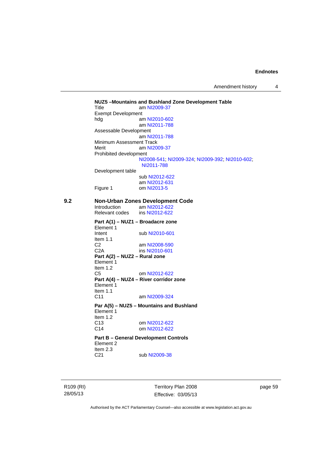Amendment history 4

**NUZ5 –Mountains and Bushland Zone Development Table**  Title am [NI2009-37](http://www.legislation.act.gov.au/ni/2009-37/) Exempt Development<br>hdg ar am [NI2010-602](http://www.legislation.act.gov.au/ni/2010-602/) am [NI2011-788](http://www.legislation.act.gov.au/ni/2011-788/) Assessable Development am [NI2011-788](http://www.legislation.act.gov.au/ni/2011-788/) Minimum Assessment Track Merit am [NI2009-37](http://www.legislation.act.gov.au/ni/2009-37/) Prohibited development [NI2008-541](http://www.legislation.act.gov.au/ni/2008-541/); [NI2009-324](http://www.legislation.act.gov.au/ni/2009-324/); [NI2009-392](http://www.legislation.act.gov.au/ni/2009-392/); [NI2010-602](http://www.legislation.act.gov.au/ni/2010-602/); [NI2011-788](http://www.legislation.act.gov.au/ni/2011-788/) Development table sub [NI2012-622](http://www.legislation.act.gov.au/ni/2012-622/default.asp) am [NI2012-631](http://www.legislation.act.gov.au/ni/2012-631/default.asp) Figure 1 om [NI2013-5](http://www.legislation.act.gov.au/ni/2013-5/default.asp) **9.2 Non-Urban Zones Development Code**  Introduction am [NI2012-622](http://www.legislation.act.gov.au/ni/2012-622/default.asp)<br>Relevant codes ins NI2012-622 Relevant codes **Part A(1) – NUZ1 – Broadacre zone**  Element 1 Intent sub [NI2010-601](http://www.legislation.act.gov.au/ni/2010-601/) Item 1.1 C2 am [NI2008-590](http://www.legislation.act.gov.au/ni/2008-590/default.asp) C2A ins [NI2010-601](http://www.legislation.act.gov.au/ni/2010-601/) **Part A(2) – NUZ2 – Rural zone**  Element 1 Item 1.2 C5 om [NI2012-622](http://www.legislation.act.gov.au/ni/2012-622/default.asp) **Part A(4) – NUZ4 – River corridor zone**  Element 1 Item  $1.1$ <br>C<sub>11</sub> am [NI2009-324](http://www.legislation.act.gov.au/ni/2009-324/) **Par A(5) – NUZ5 – Mountains and Bushland**  Element 1 Item 1.2 C13 om [NI2012-622](http://www.legislation.act.gov.au/ni/2012-622/default.asp) C14 om [NI2012-622](http://www.legislation.act.gov.au/ni/2012-622/default.asp) **Part B – General Development Controls**  Element 2 Item  $2.3$ <br>C<sub>21</sub> sub [NI2009-38](http://www.legislation.act.gov.au/ni/2009-38/)

R109 (RI) 28/05/13

Territory Plan 2008 Effective: 03/05/13 page 59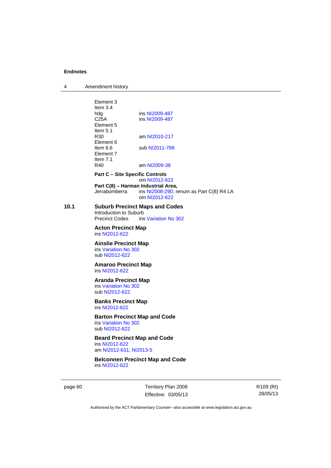4 Amendment history

Element 3 Item 3.4 hdg ins [NI2009-487](http://www.legislation.act.gov.au/ni/2009-487/)<br>C25A ins NI2009-487 ins [NI2009-487](http://www.legislation.act.gov.au/ni/2009-487/) Element 5 Item  $5.1$ <br>R30 am [NI2010-217](http://www.legislation.act.gov.au/ni/2010-217/) Element 6 Item 6.6 sub [NI2011-788](http://www.legislation.act.gov.au/ni/2011-788/) Element 7 Item 7.1 R40 am [NI2009-38](http://www.legislation.act.gov.au/ni/2009-38/) **Part C – Site Specific Controls**  om [NI2012-622](http://www.legislation.act.gov.au/ni/2012-622/default.asp) **Part C(8) – Harman Industrial Area,**<br>Jerrabomberra ins NI2008-290; re ins  $N$ 12008-290; renum as Part C(8) R4 LA om [NI2012-622](http://www.legislation.act.gov.au/ni/2012-622/default.asp) **10.1 Suburb Precinct Maps and Codes**  Introduction to Suburb<br>Precinct Codes ins ins [Variation No 302](http://www.legislation.act.gov.au/ni/2011-573/) **Acton Precinct Map**  ins [NI2012-622](http://www.legislation.act.gov.au/ni/2012-622/default.asp) **Ainslie Precinct Map**  ins [Variation No 302](http://www.legislation.act.gov.au/ni/2011-573/) sub [NI2012-622](http://www.legislation.act.gov.au/ni/2012-622/default.asp) **Amaroo Precinct Map**  ins [NI2012-622](http://www.legislation.act.gov.au/ni/2012-622/default.asp) **Aranda Precinct Map**  ins [Variation No 302](http://www.legislation.act.gov.au/ni/2011-573/) sub [NI2012-622](http://www.legislation.act.gov.au/ni/2012-622/default.asp) **Banks Precinct Map**  ins [NI2012-622](http://www.legislation.act.gov.au/ni/2012-622/default.asp) **Barton Precinct Map and Code**  ins [Variation No 302](http://www.legislation.act.gov.au/ni/2011-573/) sub [NI2012-622](http://www.legislation.act.gov.au/ni/2012-622/default.asp) **Beard Precinct Map and Code**  ins [NI2012-622](http://www.legislation.act.gov.au/ni/2012-622/default.asp) am [NI2012-631](http://www.legislation.act.gov.au/ni/2012-631/default.asp); [NI2013-5](http://www.legislation.act.gov.au/ni/2013-5/default.asp) **Belconnen Precinct Map and Code**  ins [NI2012-622](http://www.legislation.act.gov.au/ni/2012-622/default.asp)

page 60 Territory Plan 2008 Effective: 03/05/13 R109 (RI) 28/05/13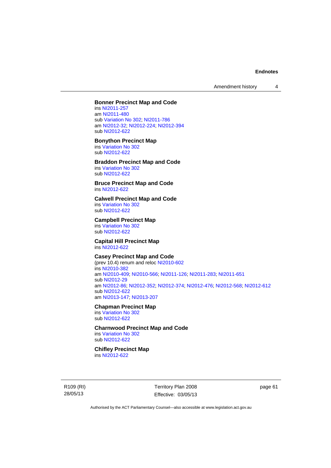Amendment history 4

### **Bonner Precinct Map and Code**

ins [NI2011-257](http://www.legislation.act.gov.au/ni/2011-257/) am [NI2011-480](http://www.legislation.act.gov.au/ni/2011-480/) sub [Variation No 302](http://www.legislation.act.gov.au/ni/2011-573/); [NI2011-786](http://www.legislation.act.gov.au/ni/2011-786/) am [NI2012-32](http://www.legislation.act.gov.au/ni/2012-32/); [NI2012-224](http://www.legislation.act.gov.au/ni/2012-224/); [NI2012-394](http://www.legislation.act.gov.au/ni/2012-394/) sub [NI2012-622](http://www.legislation.act.gov.au/ni/2012-622/default.asp)

#### **Bonython Precinct Map**

ins [Variation No 302](http://www.legislation.act.gov.au/ni/2011-573/) sub [NI2012-622](http://www.legislation.act.gov.au/ni/2012-622/default.asp)

### **Braddon Precinct Map and Code**

ins [Variation No 302](http://www.legislation.act.gov.au/ni/2011-573/) sub [NI2012-622](http://www.legislation.act.gov.au/ni/2012-622/default.asp)

#### **Bruce Precinct Map and Code**  ins [NI2012-622](http://www.legislation.act.gov.au/ni/2012-622/default.asp)

**Calwell Precinct Map and Code** 

ins [Variation No 302](http://www.legislation.act.gov.au/ni/2011-573/) sub [NI2012-622](http://www.legislation.act.gov.au/ni/2012-622/default.asp)

#### **Campbell Precinct Map**

ins [Variation No 302](http://www.legislation.act.gov.au/ni/2011-573/) sub [NI2012-622](http://www.legislation.act.gov.au/ni/2012-622/default.asp)

#### **Capital Hill Precinct Map**  ins [NI2012-622](http://www.legislation.act.gov.au/ni/2012-622/default.asp)

# **Casey Precinct Map and Code**

(prev 10.4) renum and reloc [NI2010-602](http://www.legislation.act.gov.au/ni/2010-602/) ins [NI2010-382](http://www.legislation.act.gov.au/ni/2010-382/) am [NI2010-409](http://www.legislation.act.gov.au/ni/2010-409/); [NI2010-566](http://www.legislation.act.gov.au/ni/2010-566/); [NI2011-126](http://www.legislation.act.gov.au/ni/2011-126/); [NI2011-283](http://www.legislation.act.gov.au/ni/2011-283/); [NI2011-651](http://www.legislation.act.gov.au/ni/2011-651/) sub [NI2012-29](http://www.legislation.act.gov.au/ni/2012-29/) am [NI2012-86](http://www.legislation.act.gov.au/ni/2012-86/); [NI2012-352](http://www.legislation.act.gov.au/ni/2012-352/); [NI2012-374](http://www.legislation.act.gov.au/ni/2012-374/); [NI2012-476](http://www.legislation.act.gov.au/ni/2012-476/); [NI2012-568](http://www.legislation.act.gov.au/ni/2012-568/default.asp); [NI2012-612](http://www.legislation.act.gov.au/ni/2012-612/default.asp) sub [NI2012-622](http://www.legislation.act.gov.au/ni/2012-622/default.asp) am [NI2013-147](http://www.legislation.act.gov.au/ni/2013-147/default.asp); [NI2013-207](http://www.legislation.act.gov.au/ni/2013-207/default.asp)

# **Chapman Precinct Map**

ins [Variation No 302](http://www.legislation.act.gov.au/ni/2011-573/) sub [NI2012-622](http://www.legislation.act.gov.au/ni/2012-622/default.asp)

## **Charnwood Precinct Map and Code**

ins [Variation No 302](http://www.legislation.act.gov.au/ni/2011-573/) sub [NI2012-622](http://www.legislation.act.gov.au/ni/2012-622/default.asp)

## **Chifley Precinct Map**

ins [NI2012-622](http://www.legislation.act.gov.au/ni/2012-622/default.asp)

R109 (RI) 28/05/13

Territory Plan 2008 Effective: 03/05/13 page 61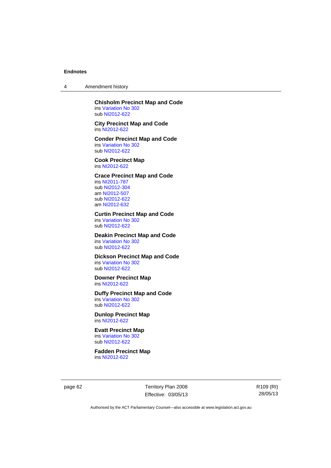4 Amendment history

### **Chisholm Precinct Map and Code**  ins [Variation No 302](http://www.legislation.act.gov.au/ni/2011-573/)

sub [NI2012-622](http://www.legislation.act.gov.au/ni/2012-622/default.asp)

### **City Precinct Map and Code**  ins [NI2012-622](http://www.legislation.act.gov.au/ni/2012-622/default.asp)

**Conder Precinct Map and Code**  ins [Variation No 302](http://www.legislation.act.gov.au/ni/2011-573/) sub [NI2012-622](http://www.legislation.act.gov.au/ni/2012-622/default.asp)

## **Cook Precinct Map**  ins [NI2012-622](http://www.legislation.act.gov.au/ni/2012-622/default.asp)

## **Crace Precinct Map and Code**

ins [NI2011-787](http://www.legislation.act.gov.au/ni/2011-787/) sub [NI2012-304](http://www.legislation.act.gov.au/ni/2012-304/) am [NI2012-507](http://www.legislation.act.gov.au/ni/2012-507/) sub [NI2012-622](http://www.legislation.act.gov.au/ni/2012-622/default.asp) am [NI2012-632](http://www.legislation.act.gov.au/ni/2012-632/default.asp)

## **Curtin Precinct Map and Code**

ins [Variation No 302](http://www.legislation.act.gov.au/ni/2011-573/) sub [NI2012-622](http://www.legislation.act.gov.au/ni/2012-622/default.asp)

#### **Deakin Precinct Map and Code**  ins [Variation No 302](http://www.legislation.act.gov.au/ni/2011-573/)

sub [NI2012-622](http://www.legislation.act.gov.au/ni/2012-622/default.asp)

#### **Dickson Precinct Map and Code**  ins [Variation No 302](http://www.legislation.act.gov.au/ni/2011-573/) sub [NI2012-622](http://www.legislation.act.gov.au/ni/2012-622/default.asp)

## **Downer Precinct Map**

ins [NI2012-622](http://www.legislation.act.gov.au/ni/2012-622/default.asp)

## **Duffy Precinct Map and Code**

ins [Variation No 302](http://www.legislation.act.gov.au/ni/2011-573/) sub [NI2012-622](http://www.legislation.act.gov.au/ni/2012-622/default.asp)

## **Dunlop Precinct Map**  ins [NI2012-622](http://www.legislation.act.gov.au/ni/2012-622/default.asp)

**Evatt Precinct Map**  ins [Variation No 302](http://www.legislation.act.gov.au/ni/2011-573/) sub [NI2012-622](http://www.legislation.act.gov.au/ni/2012-622/default.asp)

**Fadden Precinct Map**  ins [NI2012-622](http://www.legislation.act.gov.au/ni/2012-622/default.asp)

page 62 Territory Plan 2008 Effective: 03/05/13 R109 (RI) 28/05/13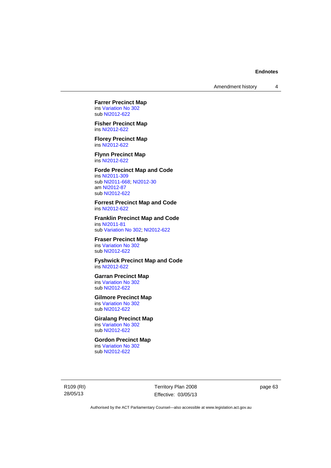**Farrer Precinct Map**  ins [Variation No 302](http://www.legislation.act.gov.au/ni/2011-573/) sub [NI2012-622](http://www.legislation.act.gov.au/ni/2012-622/default.asp)

**Fisher Precinct Map**  ins [NI2012-622](http://www.legislation.act.gov.au/ni/2012-622/default.asp)

**Florey Precinct Map**  ins [NI2012-622](http://www.legislation.act.gov.au/ni/2012-622/default.asp)

**Flynn Precinct Map**  ins [NI2012-622](http://www.legislation.act.gov.au/ni/2012-622/default.asp)

## **Forde Precinct Map and Code**

ins [NI2011-309](http://www.legislation.act.gov.au/ni/2011-309/) sub [NI2011-668](http://www.legislation.act.gov.au/ni/2011-668/); [NI2012-30](http://www.legislation.act.gov.au/ni/2012-30/) am [NI2012-87](http://www.legislation.act.gov.au/ni/2012-87/) sub [NI2012-622](http://www.legislation.act.gov.au/ni/2012-622/default.asp)

**Forrest Precinct Map and Code**  ins [NI2012-622](http://www.legislation.act.gov.au/ni/2012-622/default.asp)

**Franklin Precinct Map and Code**  ins [NI2011-81](http://www.legislation.act.gov.au/ni/2011-81/) sub [Variation No 302](http://www.legislation.act.gov.au/ni/2011-573/); [NI2012-622](http://www.legislation.act.gov.au/ni/2012-622/default.asp)

**Fraser Precinct Map**  ins [Variation No 302](http://www.legislation.act.gov.au/ni/2011-573/) sub [NI2012-622](http://www.legislation.act.gov.au/ni/2012-622/default.asp)

**Fyshwick Precinct Map and Code**  ins [NI2012-622](http://www.legislation.act.gov.au/ni/2012-622/default.asp)

## **Garran Precinct Map**

ins [Variation No 302](http://www.legislation.act.gov.au/ni/2011-573/) sub [NI2012-622](http://www.legislation.act.gov.au/ni/2012-622/default.asp)

## **Gilmore Precinct Map**

ins [Variation No 302](http://www.legislation.act.gov.au/ni/2011-573/) sub [NI2012-622](http://www.legislation.act.gov.au/ni/2012-622/default.asp)

## **Giralang Precinct Map**

ins [Variation No 302](http://www.legislation.act.gov.au/ni/2011-573/) sub [NI2012-622](http://www.legislation.act.gov.au/ni/2012-622/default.asp)

### **Gordon Precinct Map**  ins [Variation No 302](http://www.legislation.act.gov.au/ni/2011-573/)

sub [NI2012-622](http://www.legislation.act.gov.au/ni/2012-622/default.asp)

R109 (RI) 28/05/13

Territory Plan 2008 Effective: 03/05/13 page 63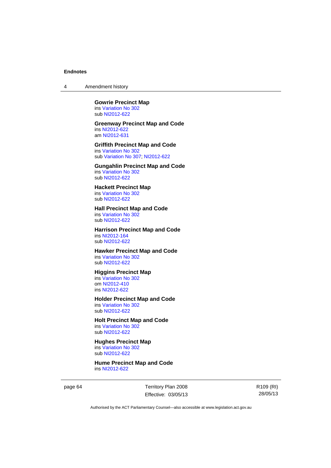4 Amendment history

#### **Gowrie Precinct Map**  ins [Variation No 302](http://www.legislation.act.gov.au/ni/2011-573/) sub [NI2012-622](http://www.legislation.act.gov.au/ni/2012-622/default.asp)

#### **Greenway Precinct Map and Code**  ins [NI2012-622](http://www.legislation.act.gov.au/ni/2012-622/default.asp) am [NI2012-631](http://www.legislation.act.gov.au/ni/2012-631/default.asp)

### **Griffith Precinct Map and Code**  ins [Variation No 302](http://www.legislation.act.gov.au/ni/2011-573/) sub [Variation No 307](http://www.legislation.act.gov.au/ni/2012-201/); [NI2012-622](http://www.legislation.act.gov.au/ni/2012-622/default.asp)

### **Gungahlin Precinct Map and Code**  ins [Variation No 302](http://www.legislation.act.gov.au/ni/2011-573/)

sub [NI2012-622](http://www.legislation.act.gov.au/ni/2012-622/default.asp)

#### **Hackett Precinct Map**  ins [Variation No 302](http://www.legislation.act.gov.au/ni/2011-573/)

sub [NI2012-622](http://www.legislation.act.gov.au/ni/2012-622/default.asp)

## **Hall Precinct Map and Code**

ins [Variation No 302](http://www.legislation.act.gov.au/ni/2011-573/) sub [NI2012-622](http://www.legislation.act.gov.au/ni/2012-622/default.asp)

## **Harrison Precinct Map and Code**  ins [NI2012-164](http://www.legislation.act.gov.au/ni/2012-164/)

sub [NI2012-622](http://www.legislation.act.gov.au/ni/2012-622/default.asp)

## **Hawker Precinct Map and Code**

ins [Variation No 302](http://www.legislation.act.gov.au/ni/2011-573/) sub [NI2012-622](http://www.legislation.act.gov.au/ni/2012-622/default.asp)

## **Higgins Precinct Map**

ins [Variation No 302](http://www.legislation.act.gov.au/ni/2011-573/) om [NI2012-410](http://www.legislation.act.gov.au/ni/2012-410/) ins [NI2012-622](http://www.legislation.act.gov.au/ni/2012-622/default.asp)

### **Holder Precinct Map and Code**

ins [Variation No 302](http://www.legislation.act.gov.au/ni/2011-573/) sub [NI2012-622](http://www.legislation.act.gov.au/ni/2012-622/default.asp)

## **Holt Precinct Map and Code**  ins [Variation No 302](http://www.legislation.act.gov.au/ni/2011-573/)

sub [NI2012-622](http://www.legislation.act.gov.au/ni/2012-622/default.asp)

### **Hughes Precinct Map**  ins [Variation No 302](http://www.legislation.act.gov.au/ni/2011-573/)

sub [NI2012-622](http://www.legislation.act.gov.au/ni/2012-622/default.asp)

#### **Hume Precinct Map and Code**  ins [NI2012-622](http://www.legislation.act.gov.au/ni/2012-622/default.asp)

page 64 Territory Plan 2008 Effective: 03/05/13 R109 (RI) 28/05/13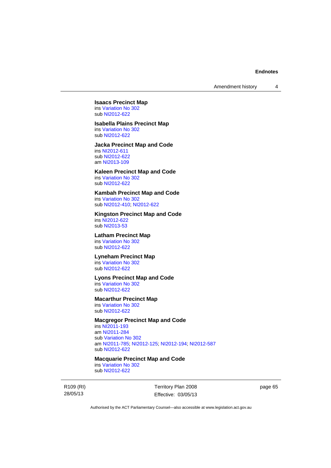## **Isaacs Precinct Map**  ins [Variation No 302](http://www.legislation.act.gov.au/ni/2011-573/)

sub [NI2012-622](http://www.legislation.act.gov.au/ni/2012-622/default.asp)

## **Isabella Plains Precinct Map**

ins [Variation No 302](http://www.legislation.act.gov.au/ni/2011-573/) sub [NI2012-622](http://www.legislation.act.gov.au/ni/2012-622/default.asp)

#### **Jacka Precinct Map and Code**  ins [NI2012-611](http://www.legislation.act.gov.au/ni/2012-611/default.asp)

sub [NI2012-622](http://www.legislation.act.gov.au/ni/2012-622/default.asp) am [NI2013-109](http://www.legislation.act.gov.au/ni/2013-109/default.asp)

## **Kaleen Precinct Map and Code**

ins [Variation No 302](http://www.legislation.act.gov.au/ni/2011-573/) sub [NI2012-622](http://www.legislation.act.gov.au/ni/2012-622/default.asp)

### **Kambah Precinct Map and Code**

ins [Variation No 302](http://www.legislation.act.gov.au/ni/2011-573/) sub [NI2012-410](http://www.legislation.act.gov.au/ni/2012-410/); [NI2012-622](http://www.legislation.act.gov.au/ni/2012-622/default.asp)

## **Kingston Precinct Map and Code**

ins [NI2012-622](http://www.legislation.act.gov.au/ni/2012-622/default.asp) sub [NI2013-53](http://www.legislation.act.gov.au/ni/2013-53/default.asp)

## **Latham Precinct Map**

ins [Variation No 302](http://www.legislation.act.gov.au/ni/2011-573/) sub [NI2012-622](http://www.legislation.act.gov.au/ni/2012-622/default.asp)

#### **Lyneham Precinct Map**

ins [Variation No 302](http://www.legislation.act.gov.au/ni/2011-573/) sub [NI2012-622](http://www.legislation.act.gov.au/ni/2012-622/default.asp)

#### **Lyons Precinct Map and Code**

ins [Variation No 302](http://www.legislation.act.gov.au/ni/2011-573/) sub [NI2012-622](http://www.legislation.act.gov.au/ni/2012-622/default.asp)

#### **Macarthur Precinct Map**

ins [Variation No 302](http://www.legislation.act.gov.au/ni/2011-573/) sub [NI2012-622](http://www.legislation.act.gov.au/ni/2012-622/default.asp)

## **Macgregor Precinct Map and Code**

ins [NI2011-193](http://www.legislation.act.gov.au/ni/2011-193/) am [NI2011-284](http://www.legislation.act.gov.au/ni/2011-284/) sub [Variation No 302](http://www.legislation.act.gov.au/ni/2011-573/) am [NI2011-785](http://www.legislation.act.gov.au/ni/2011-785/); [NI2012-125](http://www.legislation.act.gov.au/ni/2012-125/); [NI2012-194](http://www.legislation.act.gov.au/ni/2012-194/); [NI2012-587](http://www.legislation.act.gov.au/ni/2012-587/default.asp) sub [NI2012-622](http://www.legislation.act.gov.au/ni/2012-622/default.asp)

## **Macquarie Precinct Map and Code**

ins [Variation No 302](http://www.legislation.act.gov.au/ni/2011-573/) sub [NI2012-622](http://www.legislation.act.gov.au/ni/2012-622/default.asp)

R109 (RI) 28/05/13

Territory Plan 2008 Effective: 03/05/13 page 65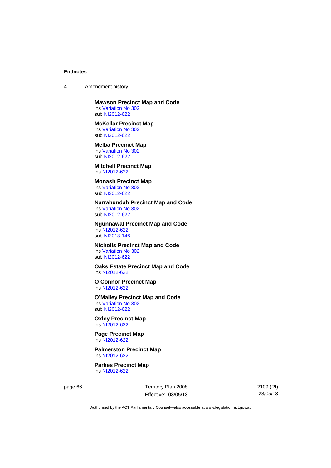4 Amendment history

#### **Mawson Precinct Map and Code**  ins [Variation No 302](http://www.legislation.act.gov.au/ni/2011-573/) sub [NI2012-622](http://www.legislation.act.gov.au/ni/2012-622/default.asp)

**McKellar Precinct Map**  ins [Variation No 302](http://www.legislation.act.gov.au/ni/2011-573/) sub [NI2012-622](http://www.legislation.act.gov.au/ni/2012-622/default.asp)

**Melba Precinct Map**  ins [Variation No 302](http://www.legislation.act.gov.au/ni/2011-573/) sub [NI2012-622](http://www.legislation.act.gov.au/ni/2012-622/default.asp)

**Mitchell Precinct Map**  ins [NI2012-622](http://www.legislation.act.gov.au/ni/2012-622/default.asp)

# **Monash Precinct Map**

ins [Variation No 302](http://www.legislation.act.gov.au/ni/2011-573/) sub [NI2012-622](http://www.legislation.act.gov.au/ni/2012-622/default.asp)

### **Narrabundah Precinct Map and Code**

ins [Variation No 302](http://www.legislation.act.gov.au/ni/2011-573/) sub [NI2012-622](http://www.legislation.act.gov.au/ni/2012-622/default.asp)

#### **Ngunnawal Precinct Map and Code**  ins [NI2012-622](http://www.legislation.act.gov.au/ni/2012-622/default.asp) sub [NI2013-146](http://www.legislation.act.gov.au/ni/2013-146/default.asp)

**Nicholls Precinct Map and Code**  ins [Variation No 302](http://www.legislation.act.gov.au/ni/2011-573/) sub [NI2012-622](http://www.legislation.act.gov.au/ni/2012-622/default.asp)

## **Oaks Estate Precinct Map and Code**  ins [NI2012-622](http://www.legislation.act.gov.au/ni/2012-622/default.asp)

**O'Connor Precinct Map**  ins [NI2012-622](http://www.legislation.act.gov.au/ni/2012-622/default.asp)

### **O'Malley Precinct Map and Code**  ins [Variation No 302](http://www.legislation.act.gov.au/ni/2011-573/) sub [NI2012-622](http://www.legislation.act.gov.au/ni/2012-622/default.asp)

**Oxley Precinct Map**  ins [NI2012-622](http://www.legislation.act.gov.au/ni/2012-622/default.asp)

## **Page Precinct Map**  ins [NI2012-622](http://www.legislation.act.gov.au/ni/2012-622/default.asp)

**Palmerston Precinct Map**  ins [NI2012-622](http://www.legislation.act.gov.au/ni/2012-622/default.asp)

**Parkes Precinct Map**  ins [NI2012-622](http://www.legislation.act.gov.au/ni/2012-622/default.asp)

page 66 Territory Plan 2008 Effective: 03/05/13 R109 (RI) 28/05/13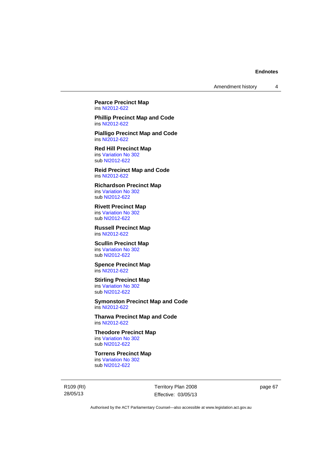Amendment history 4

**Pearce Precinct Map**  ins [NI2012-622](http://www.legislation.act.gov.au/ni/2012-622/default.asp)

**Phillip Precinct Map and Code**  ins [NI2012-622](http://www.legislation.act.gov.au/ni/2012-622/default.asp)

**Pialligo Precinct Map and Code**  ins [NI2012-622](http://www.legislation.act.gov.au/ni/2012-622/default.asp)

**Red Hill Precinct Map**  ins [Variation No 302](http://www.legislation.act.gov.au/ni/2011-573/) sub [NI2012-622](http://www.legislation.act.gov.au/ni/2012-622/default.asp)

**Reid Precinct Map and Code**  ins [NI2012-622](http://www.legislation.act.gov.au/ni/2012-622/default.asp)

**Richardson Precinct Map**  ins [Variation No 302](http://www.legislation.act.gov.au/ni/2011-573/) sub [NI2012-622](http://www.legislation.act.gov.au/ni/2012-622/default.asp)

**Rivett Precinct Map**  ins [Variation No 302](http://www.legislation.act.gov.au/ni/2011-573/) sub [NI2012-622](http://www.legislation.act.gov.au/ni/2012-622/default.asp)

**Russell Precinct Map**  ins [NI2012-622](http://www.legislation.act.gov.au/ni/2012-622/default.asp)

**Scullin Precinct Map**  ins [Variation No 302](http://www.legislation.act.gov.au/ni/2011-573/) sub [NI2012-622](http://www.legislation.act.gov.au/ni/2012-622/default.asp)

**Spence Precinct Map**  ins [NI2012-622](http://www.legislation.act.gov.au/ni/2012-622/default.asp)

**Stirling Precinct Map** 

ins [Variation No 302](http://www.legislation.act.gov.au/ni/2011-573/) sub [NI2012-622](http://www.legislation.act.gov.au/ni/2012-622/default.asp)

**Symonston Precinct Map and Code**  ins [NI2012-622](http://www.legislation.act.gov.au/ni/2012-622/default.asp)

**Tharwa Precinct Map and Code**  ins [NI2012-622](http://www.legislation.act.gov.au/ni/2012-622/default.asp)

**Theodore Precinct Map**  ins [Variation No 302](http://www.legislation.act.gov.au/ni/2011-573/) sub [NI2012-622](http://www.legislation.act.gov.au/ni/2012-622/default.asp)

**Torrens Precinct Map** 

ins [Variation No 302](http://www.legislation.act.gov.au/ni/2011-573/) sub [NI2012-622](http://www.legislation.act.gov.au/ni/2012-622/default.asp)

R109 (RI) 28/05/13

Territory Plan 2008 Effective: 03/05/13 page 67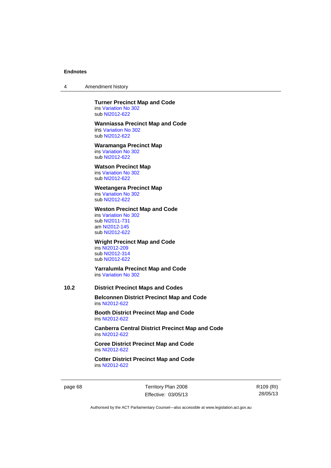4 Amendment history

#### **Turner Precinct Map and Code**  ins [Variation No 302](http://www.legislation.act.gov.au/ni/2011-573/)

sub [NI2012-622](http://www.legislation.act.gov.au/ni/2012-622/default.asp)

### **Wanniassa Precinct Map and Code**

ins [Variation No 302](http://www.legislation.act.gov.au/ni/2011-573/) sub [NI2012-622](http://www.legislation.act.gov.au/ni/2012-622/default.asp)

## **Waramanga Precinct Map**

ins [Variation No 302](http://www.legislation.act.gov.au/ni/2011-573/) sub [NI2012-622](http://www.legislation.act.gov.au/ni/2012-622/default.asp)

## **Watson Precinct Map**

ins [Variation No 302](http://www.legislation.act.gov.au/ni/2011-573/) sub [NI2012-622](http://www.legislation.act.gov.au/ni/2012-622/default.asp)

## **Weetangera Precinct Map**

ins [Variation No 302](http://www.legislation.act.gov.au/ni/2011-573/) sub [NI2012-622](http://www.legislation.act.gov.au/ni/2012-622/default.asp)

## **Weston Precinct Map and Code**

ins [Variation No 302](http://www.legislation.act.gov.au/ni/2011-573/) sub [NI2011-731](http://www.legislation.act.gov.au/ni/2011-731/) am [NI2012-145](http://www.legislation.act.gov.au/ni/2012-145/) sub [NI2012-622](http://www.legislation.act.gov.au/ni/2012-622/default.asp)

## **Wright Precinct Map and Code**

ins [NI2012-209](http://www.legislation.act.gov.au/ni/2012-209/) sub [NI2012-314](http://www.legislation.act.gov.au/ni/2012-314/) sub [NI2012-622](http://www.legislation.act.gov.au/ni/2012-622/default.asp)

### **Yarralumla Precinct Map and Code**  ins [Variation No 302](http://www.legislation.act.gov.au/ni/2011-573/)

## **10.2 District Precinct Maps and Codes**

**Belconnen District Precinct Map and Code**  ins [NI2012-622](http://www.legislation.act.gov.au/ni/2012-622/default.asp)

**Booth District Precinct Map and Code**  ins [NI2012-622](http://www.legislation.act.gov.au/ni/2012-622/default.asp)

**Canberra Central District Precinct Map and Code**  ins [NI2012-622](http://www.legislation.act.gov.au/ni/2012-622/default.asp)

**Coree District Precinct Map and Code**  ins [NI2012-622](http://www.legislation.act.gov.au/ni/2012-622/default.asp)

**Cotter District Precinct Map and Code**  ins [NI2012-622](http://www.legislation.act.gov.au/ni/2012-622/default.asp)

page 68 Territory Plan 2008 Effective: 03/05/13 R109 (RI) 28/05/13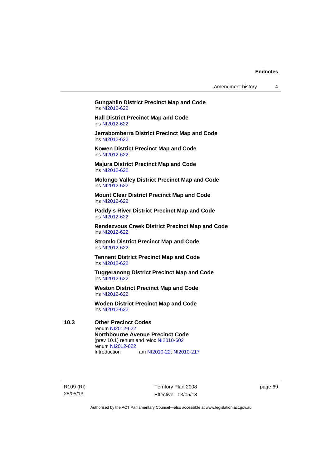Amendment history 4

**Gungahlin District Precinct Map and Code**  ins [NI2012-622](http://www.legislation.act.gov.au/ni/2012-622/default.asp)

**Hall District Precinct Map and Code**  ins [NI2012-622](http://www.legislation.act.gov.au/ni/2012-622/default.asp)

**Jerrabomberra District Precinct Map and Code**  ins [NI2012-622](http://www.legislation.act.gov.au/ni/2012-622/default.asp)

**Kowen District Precinct Map and Code**  ins [NI2012-622](http://www.legislation.act.gov.au/ni/2012-622/default.asp)

**Majura District Precinct Map and Code**  ins [NI2012-622](http://www.legislation.act.gov.au/ni/2012-622/default.asp)

**Molongo Valley District Precinct Map and Code**  ins [NI2012-622](http://www.legislation.act.gov.au/ni/2012-622/default.asp)

**Mount Clear District Precinct Map and Code**  ins [NI2012-622](http://www.legislation.act.gov.au/ni/2012-622/default.asp)

**Paddy's River District Precinct Map and Code**  ins [NI2012-622](http://www.legislation.act.gov.au/ni/2012-622/default.asp)

**Rendezvous Creek District Precinct Map and Code**  ins [NI2012-622](http://www.legislation.act.gov.au/ni/2012-622/default.asp)

**Stromlo District Precinct Map and Code**  ins [NI2012-622](http://www.legislation.act.gov.au/ni/2012-622/default.asp)

**Tennent District Precinct Map and Code**  ins [NI2012-622](http://www.legislation.act.gov.au/ni/2012-622/default.asp)

**Tuggeranong District Precinct Map and Code**  ins [NI2012-622](http://www.legislation.act.gov.au/ni/2012-622/default.asp)

**Weston District Precinct Map and Code**  ins [NI2012-622](http://www.legislation.act.gov.au/ni/2012-622/default.asp)

**Woden District Precinct Map and Code**  ins [NI2012-622](http://www.legislation.act.gov.au/ni/2012-622/default.asp)

**10.3 Other Precinct Codes**  renum [NI2012-622](http://www.legislation.act.gov.au/ni/2012-622/default.asp) **Northbourne Avenue Precinct Code**  (prev 10.1) renum and reloc [NI2010-602](http://www.legislation.act.gov.au/ni/2010-602/) renum [NI2012-622](http://www.legislation.act.gov.au/ni/2012-622/default.asp)<br>Introduction am [NI2010-22](http://www.legislation.act.gov.au/ni/2010-22/); [NI2010-217](http://www.legislation.act.gov.au/ni/2010-217/)

R109 (RI) 28/05/13

Territory Plan 2008 Effective: 03/05/13 page 69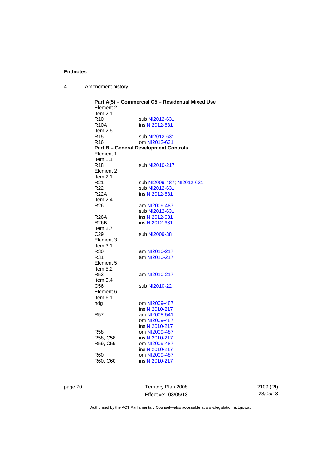| 4 | Amendment history |
|---|-------------------|
|---|-------------------|

| Element 2       | Part A(5) - Commercial C5 - Residential Mixed Use |
|-----------------|---------------------------------------------------|
| Item 2.1        |                                                   |
| R <sub>10</sub> | sub NI2012-631                                    |
| <b>R10A</b>     | ins NI2012-631                                    |
| Item $2.5$      |                                                   |
| R15             | sub NI2012-631                                    |
| R16             | om NI2012-631                                     |
|                 | <b>Part B - General Development Controls</b>      |
| Element 1       |                                                   |
| Item $1.1$      |                                                   |
| R <sub>18</sub> | sub NI2010-217                                    |
| Element 2       |                                                   |
| Item 2.1        |                                                   |
| R <sub>21</sub> |                                                   |
| R <sub>22</sub> | sub NI2009-487; NI2012-631                        |
| <b>R22A</b>     | sub NI2012-631                                    |
|                 | ins NI2012-631                                    |
| Item $2.4$      |                                                   |
| R <sub>26</sub> | am NI2009-487                                     |
|                 | sub NI2012-631                                    |
| <b>R26A</b>     | ins NI2012-631                                    |
| R26B            | ins NI2012-631                                    |
| Item $2.7$      |                                                   |
| C <sub>29</sub> | sub NI2009-38                                     |
| Element 3       |                                                   |
| Item $3.1$      |                                                   |
| R30             | am NI2010-217                                     |
| R31             | am NI2010-217                                     |
| Element 5       |                                                   |
| Item 5.2        |                                                   |
| R <sub>53</sub> | am NI2010-217                                     |
| Item $5.4$      |                                                   |
| C56             | sub NI2010-22                                     |
| Element 6       |                                                   |
| Item $6.1$      |                                                   |
| hdg             | om NI2009-487                                     |
|                 | ins NI2010-217                                    |
| R57             | am NI2008-541                                     |
|                 | om NI2009-487                                     |
|                 | ins NI2010-217                                    |
| <b>R58</b>      | om NI2009-487                                     |
| R58, C58        | ins NI2010-217                                    |
| R59, C59        | om NI2009-487                                     |
|                 | ins NI2010-217                                    |
| <b>R60</b>      | om NI2009-487                                     |
| R60, C60        | ins NI2010-217                                    |
|                 |                                                   |

page 70 Territory Plan 2008 Effective: 03/05/13 R109 (RI) 28/05/13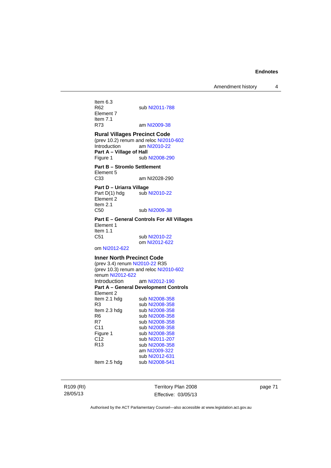Item 6.3<br>R62 sub [NI2011-788](http://www.legislation.act.gov.au/ni/2011-788/) Element 7 Item 7.1<br>R73 am [NI2009-38](http://www.legislation.act.gov.au/ni/2009-38/)

### **Rural Villages Precinct Code**

(prev 10.2) renum and reloc [NI2010-602](http://www.legislation.act.gov.au/ni/2010-602/) Introduction am [NI2010-22](http://www.legislation.act.gov.au/ni/2010-22/) **Part A – Village of Hall**  Figure 1 sub [NI2008-290](http://www.legislation.act.gov.au/ni/2008-290/)

**Part B – Stromlo Settlement**  Element 5<br>C33 am NI2028-290

**Part D – Uriarra Village**  Part D(1) hdg sub [NI2010-22](http://www.legislation.act.gov.au/ni/2010-22/) Element 2 Item 2.1 C50 sub [NI2009-38](http://www.legislation.act.gov.au/ni/2009-38/)

**Part E – General Controls For All Villages**  Element 1 Item 1.1 C51 sub [NI2010-22](http://www.legislation.act.gov.au/ni/2010-22/) om [NI2012-622](http://www.legislation.act.gov.au/ni/2012-622/default.asp)

om [NI2012-622](http://www.legislation.act.gov.au/ni/2012-622/default.asp)

### **Inner North Precinct Code**

(prev 3.4) renum [NI2010-22](http://www.legislation.act.gov.au/ni/2010-22/) R35 (prev 10.3) renum and reloc [NI2010-602](http://www.legislation.act.gov.au/ni/2010-602/) renum [NI2012-622](http://www.legislation.act.gov.au/ni/2012-622/default.asp) Introduction am [NI2012-190](http://www.legislation.act.gov.au/ni/2012-190/) **Part A – General Development Controls**  Element 2 Item 2.1 hdg sub [NI2008-358](http://www.legislation.act.gov.au/ni/2008-358/) R3 sub [NI2008-358](http://www.legislation.act.gov.au/ni/2008-358/) Item 2.3 hdg sub [NI2008-358](http://www.legislation.act.gov.au/ni/2008-358/) R6 sub [NI2008-358](http://www.legislation.act.gov.au/ni/2008-358/)<br>R7 sub NI2008-358 sub [NI2008-358](http://www.legislation.act.gov.au/ni/2008-358/) C11 sub [NI2008-358](http://www.legislation.act.gov.au/ni/2008-358/) Figure 1 sub [NI2008-358](http://www.legislation.act.gov.au/ni/2008-358/)<br>C12 sub NI2011-207 C12 sub [NI2011-207](http://www.legislation.act.gov.au/ni/2011-207/)<br>R13 sub NI2008-358 sub [NI2008-358](http://www.legislation.act.gov.au/ni/2008-358/) am [NI2009-322](http://www.legislation.act.gov.au/ni/2009-322/) sub [NI2012-631](http://www.legislation.act.gov.au/ni/2012-631/default.asp)<br>Item 2.5 hdg sub NI2008-541 sub [NI2008-541](http://www.legislation.act.gov.au/ni/2008-541/)

R109 (RI) 28/05/13

Territory Plan 2008 Effective: 03/05/13 page 71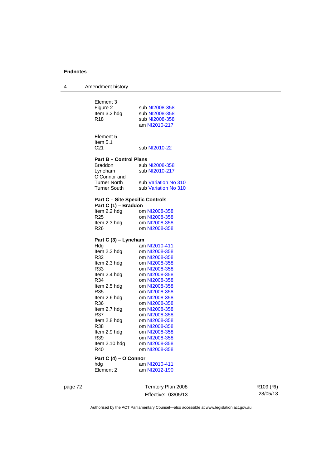| 4 | Amendment history |
|---|-------------------|

| Element 3<br>Figure 2<br>Item 3.2 hdg<br>R <sub>18</sub> | sub NI2008-358<br>sub NI2008-358<br>sub NI2008-358<br>am NI2010-217 |  |
|----------------------------------------------------------|---------------------------------------------------------------------|--|
| Element 5<br>Item 5.1<br>C <sub>21</sub>                 | sub NI2010-22                                                       |  |
| <b>Part B - Control Plans</b>                            |                                                                     |  |
| <b>Braddon</b>                                           | sub NI2008-358                                                      |  |
| Lyneham                                                  | sub NI2010-217                                                      |  |
| O'Connor and                                             |                                                                     |  |
| <b>Turner North</b>                                      | sub Variation No 310                                                |  |
| <b>Turner South</b>                                      | sub Variation No 310                                                |  |
| <b>Part C - Site Specific Controls</b>                   |                                                                     |  |
| Part C (1) - Braddon                                     |                                                                     |  |
| Item 2.2 hdg                                             | om NI2008-358                                                       |  |
| R <sub>25</sub>                                          | om NI2008-358                                                       |  |
| Item 2.3 hdg                                             | om NI2008-358                                                       |  |
| R <sub>26</sub>                                          | om NI2008-358                                                       |  |
| Part C (3) - Lyneham                                     |                                                                     |  |
| Hdg                                                      | am NI2010-411                                                       |  |
| Item 2.2 hdg                                             | om NI2008-358                                                       |  |
| R32                                                      | om NI2008-358                                                       |  |
| Item 2.3 hdg                                             | om NI2008-358                                                       |  |
| R33                                                      | om NI2008-358                                                       |  |
| Item 2.4 hdg                                             | om NI2008-358                                                       |  |
| R34                                                      | om NI2008-358                                                       |  |
| Item 2.5 hdg                                             | om NI2008-358                                                       |  |
| R35<br>Item 2.6 hdg                                      | om NI2008-358<br>om NI2008-358                                      |  |
| R36                                                      | om NI2008-358                                                       |  |
| Item 2.7 hdg                                             | om NI2008-358                                                       |  |
| R37                                                      | om NI2008-358                                                       |  |
| Item 2.8 hdg                                             | om NI2008-358                                                       |  |
| R38                                                      | om NI2008-358                                                       |  |
| Item 2.9 hdg                                             | om NI2008-358                                                       |  |
| R39                                                      | om NI2008-358                                                       |  |
| Item 2.10 hdg                                            | om NI2008-358                                                       |  |
| R40                                                      | om NI2008-358                                                       |  |
| Part C(A)<br>n'Co                                        | nor                                                                 |  |

## **Part C (4) – O'Connor**

hdg am [NI2010-411](http://www.legislation.act.gov.au/ni/2010-411/) Element 2 am [NI2012-190](http://www.legislation.act.gov.au/ni/2012-190/)

page 72 Territory Plan 2008 Effective: 03/05/13

R109 (RI) 28/05/13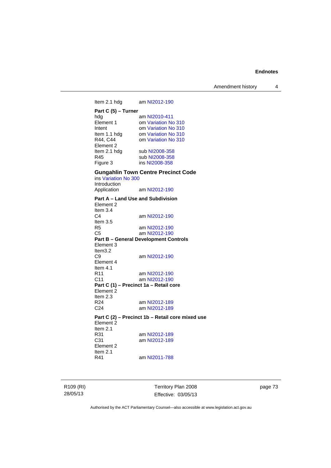Amendment history 4

Item 2.1 hdg am [NI2012-190](http://www.legislation.act.gov.au/ni/2012-190/) **Part C (5) – Turner**  hdg am [NI2010-411](http://www.legislation.act.gov.au/ni/2010-411/)<br>Element 1 om Variation No Element 1 om [Variation No 310](http://www.legislation.act.gov.au/ni/2011-688/)<br>Intent 0 om Variation No 310 om [Variation No 310](http://www.legislation.act.gov.au/ni/2011-688/) Item 1.1 hdg om [Variation No 310](http://www.legislation.act.gov.au/ni/2011-688/)<br>R44, C44 om Variation No 310 om [Variation No 310](http://www.legislation.act.gov.au/ni/2011-688/) Element 2 Item 2.1 hdg sub [NI2008-358](http://www.legislation.act.gov.au/ni/2008-358/) R45 sub [NI2008-358](http://www.legislation.act.gov.au/ni/2008-358/)<br>Figure 3 ins NI2008-358 ins [NI2008-358](http://www.legislation.act.gov.au/ni/2008-358/) **Gungahlin Town Centre Precinct Code**  ins [Variation No 300](http://www.legislation.act.gov.au/ni/2011-691/) Introduction Application am [NI2012-190](http://www.legislation.act.gov.au/ni/2012-190/) **Part A – Land Use and Subdivision**  Element 2 Item 3.4<br>C4 am [NI2012-190](http://www.legislation.act.gov.au/ni/2012-190/) Item 3.5 R5 am [NI2012-190](http://www.legislation.act.gov.au/ni/2012-190/)<br>C5 am NI2012-190 am [NI2012-190](http://www.legislation.act.gov.au/ni/2012-190/) **Part B – General Development Controls**  Element 3 Item3.2<br>C9 am [NI2012-190](http://www.legislation.act.gov.au/ni/2012-190/) Element 4 Item  $4.1$ <br>R11 R11 am [NI2012-190](http://www.legislation.act.gov.au/ni/2012-190/)<br>C11 am NI2012-190 am [NI2012-190](http://www.legislation.act.gov.au/ni/2012-190/) **Part C (1) – Precinct 1a – Retail core**  Element 2 Item  $2.3$ <br>R24 R24 am [NI2012-189](http://www.legislation.act.gov.au/ni/2012-189/)<br>C24 am NI2012-189 am [NI2012-189](http://www.legislation.act.gov.au/ni/2012-189/) **Part C (2) – Precinct 1b – Retail core mixed use**  Element 2 Item  $2.1$ <br>R $31$ R31 am [NI2012-189](http://www.legislation.act.gov.au/ni/2012-189/)<br>C31 am NI2012-189 am [NI2012-189](http://www.legislation.act.gov.au/ni/2012-189/) Element 2 Item  $2.1$ <br>R41 am [NI2011-788](http://www.legislation.act.gov.au/ni/2011-788/)

R109 (RI) 28/05/13

Territory Plan 2008 Effective: 03/05/13 page 73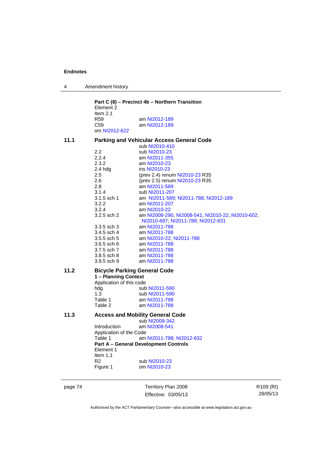|  | Amendment history |
|--|-------------------|
|--|-------------------|

|      | Part C (8) – Precinct 4b – Northern Transition<br>Element 2 |                                                   |  |  |
|------|-------------------------------------------------------------|---------------------------------------------------|--|--|
|      | Item $2.1$                                                  |                                                   |  |  |
|      | <b>R59</b>                                                  | am NI2012-189                                     |  |  |
|      | C59                                                         | am NI2012-189                                     |  |  |
|      | om NI2012-622                                               |                                                   |  |  |
| 11.1 |                                                             | <b>Parking and Vehicular Access General Code</b>  |  |  |
|      |                                                             | sub NI2010-410                                    |  |  |
|      | 2.2                                                         | sub NI2010-23                                     |  |  |
|      | 2.2.4                                                       | am NI2011-355                                     |  |  |
|      | 2.3.2                                                       | am NI2010-23                                      |  |  |
|      | 2.4 hdg                                                     | ins NI2010-23                                     |  |  |
|      | 2.5                                                         | (prev 2.4) renum NI2010-23 R35                    |  |  |
|      | 2.6                                                         | (prev 2.5) renum NI2010-23 R35                    |  |  |
|      | 2.8                                                         | am NI2011-589                                     |  |  |
|      | 3.1.4                                                       | sub NI2011-207                                    |  |  |
|      | 3.1.5 sch 1                                                 | am NI2011-589, NI2011-788, NI2012-189             |  |  |
|      | 3.2.2                                                       | am NI2011-207                                     |  |  |
|      | 3.2.4                                                       | am NI2010-22                                      |  |  |
|      | 3.2.5 sch 2                                                 | am NI2008-290, NI2008-541, NI2010-22, NI2010-602, |  |  |
|      |                                                             | NI2010-697; NI2011-788; NI2012-631                |  |  |
|      | $3.3.5$ sch $3$                                             | am NI2011-788                                     |  |  |
|      | 3.4.5 sch 4                                                 | am NI2011-788                                     |  |  |
|      | 3.5.5 sch 5                                                 | am NI2010-22, NI2011-788                          |  |  |
|      | 3.6.5 sch 6                                                 | am NI2011-788                                     |  |  |
|      | 3.7.5 sch 7                                                 | am NI2011-788                                     |  |  |
|      | 3.8.5 sch 8                                                 | am NI2011-788                                     |  |  |
|      | 3.9.5 sch 9                                                 | am NI2011-788                                     |  |  |
| 11.2 | <b>Bicycle Parking General Code</b>                         |                                                   |  |  |
|      | 1 - Planning Context                                        |                                                   |  |  |
|      | Application of this code                                    |                                                   |  |  |
|      | hda                                                         | sub NI2011-590                                    |  |  |
|      | 1.3                                                         | sub NI2011-590                                    |  |  |
|      | Table 1                                                     | am NI2011-788                                     |  |  |
|      | Table 2                                                     | am NI2011-788                                     |  |  |
| 11.3 |                                                             | <b>Access and Mobility General Code</b>           |  |  |
|      |                                                             | sub NI2009-342                                    |  |  |
|      | Introduction                                                | am NI2008-541                                     |  |  |
|      | Application of the Code                                     |                                                   |  |  |
|      | Table 1                                                     | am NI2011-788; NI2012-632                         |  |  |
|      |                                                             | <b>Part A - General Development Controls</b>      |  |  |
|      | Element 1                                                   |                                                   |  |  |
|      | Item $1.1$                                                  |                                                   |  |  |
|      | R <sub>2</sub>                                              | sub NI2010-23                                     |  |  |
|      |                                                             | om NI2010-23                                      |  |  |
|      | Figure 1                                                    |                                                   |  |  |
|      |                                                             |                                                   |  |  |

page 74 Territory Plan 2008 Effective: 03/05/13 R109 (RI) 28/05/13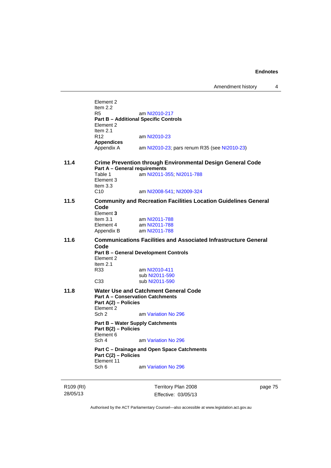Element 2 Item 2.2 R5 am [NI2010-217](http://www.legislation.act.gov.au/ni/2010-217/) **Part B – Additional Specific Controls**  Element 2 Item  $2.1$ <br>R12 am [NI2010-23](http://www.legislation.act.gov.au/ni/2010-23/) **Appendices**  Appendix A am [NI2010-23](http://www.legislation.act.gov.au/ni/2010-23/); pars renum R35 (see NI2010-23) **11.4 Crime Prevention through Environmental Design General Code Part A – General requirements**  Table 1 **am [NI2011-355](http://www.legislation.act.gov.au/ni/2011-355/); [NI2011-788](http://www.legislation.act.gov.au/ni/2011-788/)** Element 3 Item 3.3 C10 am [NI2008-541](http://www.legislation.act.gov.au/ni/2008-541/); [NI2009-324](http://www.legislation.act.gov.au/ni/2009-324/) **11.5 Community and Recreation Facilities Location Guidelines General Code**  Element 3<br>Item 3.1 Item 3.1 am [NI2011-788](http://www.legislation.act.gov.au/ni/2011-788/)<br>Element 4 am NI2011-788 am [NI2011-788](http://www.legislation.act.gov.au/ni/2011-788/) Appendix B am [NI2011-788](http://www.legislation.act.gov.au/ni/2011-788/) **11.6 Communications Facilities and Associated Infrastructure General Code Part B – General Development Controls**  Element 2 Item  $2.1$ <br>R33 am [NI2010-411](http://www.legislation.act.gov.au/ni/2010-411/) sub [NI2011-590](http://www.legislation.act.gov.au/ni/2011-590/)<br>C33 sub NI2011-590 sub [NI2011-590](http://www.legislation.act.gov.au/ni/2011-590/) **11.8 Water Use and Catchment General Code Part A – Conservation Catchments Part A(2) – Policies**  Element 2<br>Sch 2 am [Variation No 296](http://www.legislation.act.gov.au/ni/2009-108/) **Part B – Water Supply Catchments Part B(2) – Policies**  Element 6<br>Sch 4 am [Variation No 296](http://www.legislation.act.gov.au/ni/2009-108/) **Part C – Drainage and Open Space Catchments Part C(2) – Policies**  Element 11 Sch 6 am [Variation No 296](http://www.legislation.act.gov.au/ni/2009-108/)

R109 (RI) 28/05/13

Territory Plan 2008 Effective: 03/05/13 page 75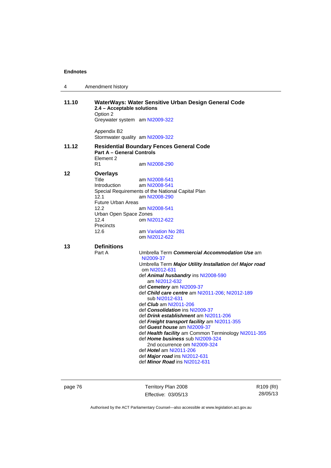| 4     | Amendment history                                                                                                                                          |                                                                                                                                                                                                                                                                                                                                                                                                                                                                                                                                                                                                                                                                                                                        |
|-------|------------------------------------------------------------------------------------------------------------------------------------------------------------|------------------------------------------------------------------------------------------------------------------------------------------------------------------------------------------------------------------------------------------------------------------------------------------------------------------------------------------------------------------------------------------------------------------------------------------------------------------------------------------------------------------------------------------------------------------------------------------------------------------------------------------------------------------------------------------------------------------------|
| 11.10 | 2.4 - Acceptable solutions<br>Option 2<br>Greywater system am NI2009-322<br>Appendix B2                                                                    | WaterWays: Water Sensitive Urban Design General Code                                                                                                                                                                                                                                                                                                                                                                                                                                                                                                                                                                                                                                                                   |
|       | Stormwater quality am NI2009-322                                                                                                                           |                                                                                                                                                                                                                                                                                                                                                                                                                                                                                                                                                                                                                                                                                                                        |
| 11.12 | <b>Part A - General Controls</b><br>Element 2                                                                                                              | <b>Residential Boundary Fences General Code</b>                                                                                                                                                                                                                                                                                                                                                                                                                                                                                                                                                                                                                                                                        |
|       | R1                                                                                                                                                         | am NI2008-290                                                                                                                                                                                                                                                                                                                                                                                                                                                                                                                                                                                                                                                                                                          |
| 12    | <b>Overlays</b><br>Title<br><b>Introduction</b><br>12.1<br><b>Future Urban Areas</b><br>12.2<br>Urban Open Space Zones<br>12.4<br><b>Precincts</b><br>12.6 | am NI2008-541<br>am NI2008-541<br>Special Requirements of the National Capital Plan<br>am NI2008-290<br>am NI2008-541<br>om NI2012-622<br>am Variation No 281<br>om NI2012-622                                                                                                                                                                                                                                                                                                                                                                                                                                                                                                                                         |
| 13    | <b>Definitions</b><br>Part A                                                                                                                               | Umbrella Term Commercial Accommodation Use am<br>NI2009-37<br>Umbrella Term Major Utility Installation def Major road<br>om NI2012-631<br>def Animal husbandry ins NI2008-590<br>am NI2012-632<br>def Cemetery am NI2009-37<br>def Child care centre am NI2011-206; NI2012-189<br>sub NI2012-631<br>def <i>Club</i> am NI2011-206<br>def Consolidation ins NI2009-37<br>def Drink establishment am NI2011-206<br>def Freight transport facility am NI2011-355<br>def Guest house am NI2009-37<br>def Health facility am Common Terminology NI2011-355<br>def Home business sub NI2009-324<br>2nd occurrence om NI2009-324<br>def Hotel am NI2011-206<br>def Major road ins NI2012-631<br>def Minor Road ins NI2012-631 |

page 76 Territory Plan 2008 Effective: 03/05/13 R109 (RI) 28/05/13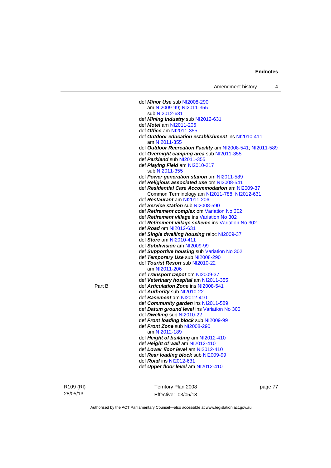|        | def Minor Use sub NI2008-290                              |
|--------|-----------------------------------------------------------|
|        | am NI2009-99; NI2011-355                                  |
|        | sub NI2012-631                                            |
|        | def Mining industry sub NI2012-631                        |
|        | def <i>Motel</i> am NI2011-206                            |
|        | def Office am NI2011-355                                  |
|        | def Outdoor education establishment ins NI2010-411        |
|        | am NI2011-355                                             |
|        | def Outdoor Recreation Facility am NI2008-541; NI2011-589 |
|        | def Overnight camping area sub NI2011-355                 |
|        | def Parkland sub NI2011-355                               |
|        | def <i>Playing Field</i> am NI2010-217                    |
|        | sub NI2011-355                                            |
|        | def Power generation station am NI2011-589                |
|        | def Religious associated use om NI2008-541                |
|        | def Residential Care Accommodation am NI2009-37           |
|        | Common Terminology am NI2011-788; NI2012-631              |
|        | def Restaurant am NI2011-206                              |
|        | def Service station sub NI2008-590                        |
|        | def <b>Retirement complex</b> om Variation No 302         |
|        | def Retirement village ins Variation No 302               |
|        | def Retirement village scheme ins Variation No 302        |
|        | def Road om NI2012-631                                    |
|        | def Single dwelling housing reloc NI2009-37               |
|        | def Store am NI2010-411                                   |
|        | def Subdivision am NI2009-99                              |
|        | def Supportive housing sub Variation No 302               |
|        | def Temporary Use sub NI2008-290                          |
|        | def Tourist Resort sub NI2010-22                          |
|        | am NI2011-206                                             |
|        | def Transport Depot om NI2009-37                          |
|        | def Veterinary hospital am NI2011-355                     |
| Part B | def Articulation Zone ins NI2008-541                      |
|        | def Authority sub NI2010-22                               |
|        | def Basement am NI2012-410                                |
|        | def Community garden ins NI2011-589                       |
|        | def <b>Datum ground level</b> ins Variation No 300        |
|        | def Dwelling sub NI2010-22                                |
|        | def Front loading block sub NI2009-99                     |
|        | def Front Zone sub NI2008-290                             |
|        | am NI2012-189                                             |
|        | def Height of building am NI2012-410                      |
|        | def Height of wall am NI2012-410                          |
|        | def Lower floor level am NI2012-410                       |
|        | def <b>Rear loading block</b> sub NI2009-99               |
|        | def Road ins NI2012-631                                   |
|        | def Upper floor level am NI2012-410                       |
|        |                                                           |
|        |                                                           |
|        |                                                           |

#### R109 (RI) 28/05/13

Territory Plan 2008 Effective: 03/05/13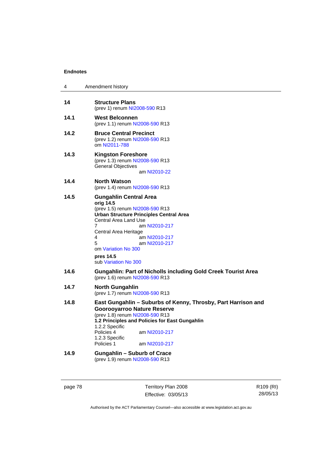| 4    | Amendment history                                                                                                                                                                                                                                                                                               |
|------|-----------------------------------------------------------------------------------------------------------------------------------------------------------------------------------------------------------------------------------------------------------------------------------------------------------------|
| 14   | <b>Structure Plans</b><br>(prev 1) renum NI2008-590 R13                                                                                                                                                                                                                                                         |
| 14.1 | <b>West Belconnen</b><br>(prev 1.1) renum NI2008-590 R13                                                                                                                                                                                                                                                        |
| 14.2 | <b>Bruce Central Precinct</b><br>(prev 1.2) renum NI2008-590 R13<br>om NI2011-788                                                                                                                                                                                                                               |
| 14.3 | <b>Kingston Foreshore</b><br>(prev 1.3) renum NI2008-590 R13<br><b>General Objectives</b><br>am NI2010-22                                                                                                                                                                                                       |
| 14.4 | <b>North Watson</b><br>(prev 1.4) renum NI2008-590 R13                                                                                                                                                                                                                                                          |
| 14.5 | <b>Gungahlin Central Area</b><br>orig 14.5<br>(prev 1.5) renum NI2008-590 R13<br><b>Urban Structure Principles Central Area</b><br>Central Area Land Use<br>7<br>am NI2010-217<br>Central Area Heritage<br>4<br>am NI2010-217<br>5<br>am NI2010-217<br>om Variation No 300<br>pres 14.5<br>sub Variation No 300 |
| 14.6 | Gungahlin: Part of Nicholls including Gold Creek Tourist Area<br>(prev 1.6) renum NI2008-590 R13                                                                                                                                                                                                                |
| 14.7 | <b>North Gungahlin</b><br>(prev 1.7) renum NI2008-590 R13                                                                                                                                                                                                                                                       |
| 14.8 | East Gungahlin - Suburbs of Kenny, Throsby, Part Harrison and<br><b>Goorooyarroo Nature Reserve</b><br>(prev 1.8) renum NI2008-590 R13<br>1.2 Principles and Policies for East Gungahlin<br>1.2.2 Specific<br>Policies 4<br>am NI2010-217<br>1.2.3 Specific<br>Policies 1<br>am NI2010-217                      |
| 14.9 | <b>Gungahlin - Suburb of Crace</b><br>(prev 1.9) renum NI2008-590 R13                                                                                                                                                                                                                                           |

page 78 Territory Plan 2008 Effective: 03/05/13 R109 (RI) 28/05/13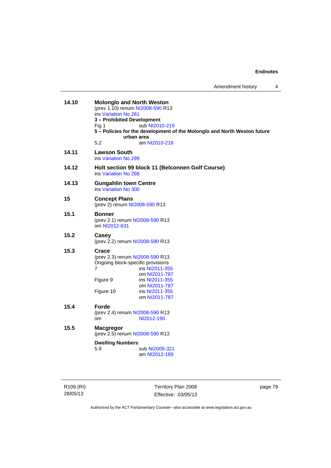| 14.10 | <b>Molonglo and North Weston</b><br>(prev 1.10) renum NI2008-590 R13<br>ins Variation No 281<br>3 - Prohibited Development<br>Fig 1<br>urban area<br>5.2 | sub NI2010-219<br>5 - Policies for the development of the Molonglo and North Weston future<br>am NI2010-218 |
|-------|----------------------------------------------------------------------------------------------------------------------------------------------------------|-------------------------------------------------------------------------------------------------------------|
| 14.11 | <b>Lawson South</b><br>ins Variation No 299                                                                                                              |                                                                                                             |
| 14.12 | ins Variation No 298                                                                                                                                     | Holt section 99 block 11 (Belconnen Golf Course)                                                            |
| 14.13 | <b>Gungahlin town Centre</b><br>ins Variation No 300                                                                                                     |                                                                                                             |
| 15    | <b>Concept Plans</b><br>(prev 2) renum NI2008-590 R13                                                                                                    |                                                                                                             |
| 15.1  | Bonner<br>(prev 2.1) renum NI2008-590 R13<br>om NI2012-631                                                                                               |                                                                                                             |
| 15.2  | Casey<br>(prev 2.2) renum NI2008-590 R13                                                                                                                 |                                                                                                             |
| 15.3  | Crace<br>(prev 2.3) renum NI2008-590 R13<br>Ongoing block-specific provisions<br>7<br>Figure 9<br>Figure 10                                              | ins NI2011-355<br>om NI2011-787<br>ins NI2011-355<br>om NI2011-787<br>ins NI2011-355<br>om NI2011-787       |
| 15.4  | Forde<br>(prev 2.4) renum NI2008-590 R13<br>om                                                                                                           | NI2012-190                                                                                                  |
| 15.5  | <b>Macgregor</b><br>(prev 2.5) renum NI2008-590 R13<br><b>Dwelling Numbers</b><br>5.9                                                                    | sub NI2009-321                                                                                              |
|       |                                                                                                                                                          | am NI2012-189                                                                                               |

R109 (RI) 28/05/13

Territory Plan 2008 Effective: 03/05/13 page 79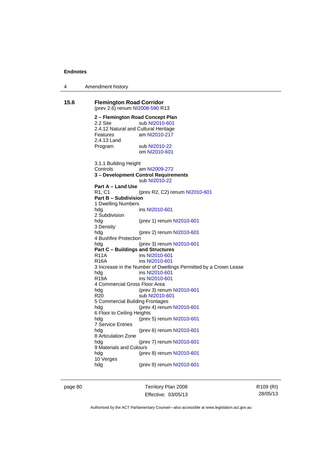| 4 | Amendment history |
|---|-------------------|
|---|-------------------|

```
15.6 Flemington Road Corridor 
(prev 2.6) renum NI2008-590 R13
2 – Flemington Road Concept Plan 
 NI2010-601
2.4.12 Natural and Cultural Heritage 
Features am NI2010-217
2.4.13 Land 
 NI2010-22
                 om NI2010-601
3.1.1 Building Height 
Controls am NI2009-272
3 – Development Control Requirements 
                 sub NI2010-22
Part A – Land Use 
                NI2010-601
Part B – Subdivision 
1 Dwelling Numbers 
                 NI2010-601
2 Subdivision 
hdg (prev 1) renum NI2010-601
3 Density 
hdg (prev 2) renum NI2010-601
4 Bushfire Protection 
hdg (prev 3) renum NI2010-601
Part C – Buildings and Structures 
 NI2010-601<br>R16A ins NI2010-601
                 NI2010-601
3 Increase in the Number of Dwellings Permitted by a Crown Lease 
 NI2010-601<br>R19A ins NI2010-601
                 NI2010-601
4 Commercial Gross Floor Area 
NI2010-601<br>R20 sub NI2010-601
                 NI2010-601
5 Commercial Building Frontages 
hdg (prev 4) renum NI2010-601
6 Floor to Ceiling Heights 
                NI2010-601
7 Service Entries 
hdg (prev 6) renum NI2010-601
8 Articulation Zone 
hdg (prev 7) renum NI2010-601
9 Materials and Colours<br>hdg (pre
                NI2010-601
10 Verges 
hdg (prev 9) renum NI2010-601
```
page 80 Territory Plan 2008 Effective: 03/05/13 R109 (RI) 28/05/13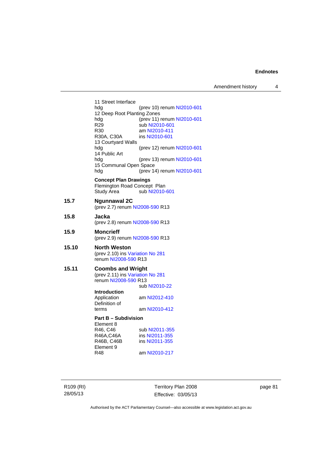Amendment history 4

11 Street Interface hdg (prev 10) renum [NI2010-601](http://www.legislation.act.gov.au/ni/2010-601/) 12 Deep Root Planting Zones<br>hdg (prev 11) hdg (prev 11) renum [NI2010-601](http://www.legislation.act.gov.au/ni/2010-601/)<br>R29 sub NI2010-601 R29 sub [NI2010-601](http://www.legislation.act.gov.au/ni/2010-601/)<br>R30 am NI2010-411 R30 am [NI2010-411](http://www.legislation.act.gov.au/ni/2010-411/)<br>R30A, C30A ins NI2010-601 ins [NI2010-601](http://www.legislation.act.gov.au/ni/2010-601/) 13 Courtyard Walls hdg (prev 12) renum [NI2010-601](http://www.legislation.act.gov.au/ni/2010-601/) 14 Public Art hdg (prev 13) renum [NI2010-601](http://www.legislation.act.gov.au/ni/2010-601/) 15 Communal Open Space hdg (prev 14) renum [NI2010-601](http://www.legislation.act.gov.au/ni/2010-601/) **Concept Plan Drawings**  Flemington Road Concept Plan<br>Study Area sub NI2010-sub [NI2010-601](http://www.legislation.act.gov.au/ni/2010-601/) **15.7 Ngunnawal 2C**  (prev 2.7) renum [NI2008-590](http://www.legislation.act.gov.au/ni/2008-590/default.asp) R13 **15.8 Jacka**  (prev 2.8) renum [NI2008-590](http://www.legislation.act.gov.au/ni/2008-590/default.asp) R13 **15.9 Moncrieff**  (prev 2.9) renum [NI2008-590](http://www.legislation.act.gov.au/ni/2008-590/default.asp) R13 **15.10 North Weston**  (prev 2.10) ins [Variation No 281](http://www.legislation.act.gov.au/ni/2008-352/) renum [NI2008-590](http://www.legislation.act.gov.au/ni/2008-590/default.asp) R13 **15.11 Coombs and Wright**  (prev 2.11) ins [Variation No 281](http://www.legislation.act.gov.au/ni/2008-352/) renum [NI2008-590](http://www.legislation.act.gov.au/ni/2008-590/default.asp) R13 sub [NI2010-22](http://www.legislation.act.gov.au/ni/2010-22/) **Introduction**  Application am [NI2012-410](http://www.legislation.act.gov.au/ni/2012-410/) Definition of terms am [NI2010-412](http://www.legislation.act.gov.au/ni/2010-412/) **Part B – Subdivision**  Element 8<br>R46, C46 sub [NI2011-355](http://www.legislation.act.gov.au/ni/2011-355/) R46A,C46A ins [NI2011-355](http://www.legislation.act.gov.au/ni/2011-355/) R46B, C46B ins [NI2011-355](http://www.legislation.act.gov.au/ni/2011-355/) Element 9<br>R48 am [NI2010-217](http://www.legislation.act.gov.au/ni/2010-217/)

R109 (RI) 28/05/13

Territory Plan 2008 Effective: 03/05/13 page 81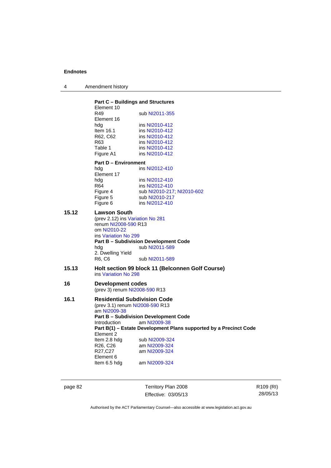| Amendment history |
|-------------------|
|                   |

|       | <b>Part C - Buildings and Structures</b><br>Element 10    |                                                                   |
|-------|-----------------------------------------------------------|-------------------------------------------------------------------|
|       | R49<br>Element 16                                         | sub NI2011-355                                                    |
|       | hdg                                                       | ins NI2010-412                                                    |
|       | Item $16.1$                                               | ins NI2010-412                                                    |
|       | R62, C62                                                  | ins NI2010-412                                                    |
|       | R63                                                       | ins NI2010-412                                                    |
|       | Table 1                                                   | ins NI2010-412                                                    |
|       | Figure A1                                                 | ins NI2010-412                                                    |
|       | <b>Part D - Environment</b>                               |                                                                   |
|       | hda                                                       | ins NI2012-410                                                    |
|       | Element 17<br>hda                                         | ins NI2012-410                                                    |
|       | R64                                                       | ins NI2012-410                                                    |
|       | Figure 4                                                  | sub NI2010-217, NI2010-602                                        |
|       | Figure 5                                                  | sub NI2010-217                                                    |
|       | Figure 6                                                  | ins NI2012-410                                                    |
| 15.12 |                                                           |                                                                   |
|       | <b>Lawson South</b><br>(prev 2.12) ins Variation No 281   |                                                                   |
|       | renum NI2008-590 R13                                      |                                                                   |
|       | om NI2010-22                                              |                                                                   |
|       | ins Variation No 299                                      |                                                                   |
|       |                                                           | <b>Part B - Subdivision Development Code</b>                      |
|       | hdg                                                       | sub NI2011-589                                                    |
|       | 2. Dwelling Yield                                         |                                                                   |
|       | R6, C6                                                    | sub NI2011-589                                                    |
| 15.13 | ins Variation No 298                                      | Holt section 99 block 11 (Belconnen Golf Course)                  |
|       |                                                           |                                                                   |
| 16    | <b>Development codes</b><br>(prev 3) renum NI2008-590 R13 |                                                                   |
|       |                                                           |                                                                   |
| 16.1  | <b>Residential Subdivision Code</b>                       |                                                                   |
|       | (prev 3.1) renum NI2008-590 R13                           |                                                                   |
|       | am NI2009-38                                              |                                                                   |
|       |                                                           | <b>Part B - Subdivision Development Code</b>                      |
|       | Introduction                                              | am NI2009-38                                                      |
|       | Element 2                                                 | Part B(1) - Estate Development Plans supported by a Precinct Code |
|       | Item 2.8 hdg                                              | sub NI2009-324                                                    |
|       | R26, C26                                                  | am NI2009-324                                                     |
|       | R27,C27                                                   | am NI2009-324                                                     |
|       |                                                           |                                                                   |
|       | Element 6                                                 |                                                                   |
|       | Item 6.5 hdg                                              | am NI2009-324                                                     |

page 82 Territory Plan 2008 Effective: 03/05/13 R109 (RI) 28/05/13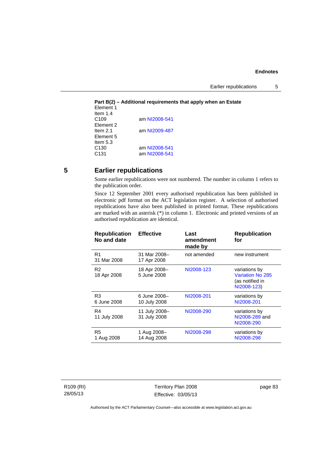Earlier republications 5

**Part B(2) – Additional requirements that apply when an Estate**  Element 1 Item 1.4<br>C109 am [NI2008-541](http://www.legislation.act.gov.au/ni/2008-541/) Element 2 Item 2.1 am [NI2009-487](http://www.legislation.act.gov.au/ni/2009-487/) Element 5 Item 5.3 C130 am [NI2008-541](http://www.legislation.act.gov.au/ni/2008-541/) C131 am [NI2008-541](http://www.legislation.act.gov.au/ni/2008-541/)

## **5 Earlier republications**

Some earlier republications were not numbered. The number in column 1 refers to the publication order.

Since 12 September 2001 every authorised republication has been published in electronic pdf format on the ACT legislation register. A selection of authorised republications have also been published in printed format. These republications are marked with an asterisk (\*) in column 1. Electronic and printed versions of an authorised republication are identical.

| <b>Effective</b>              | Last<br>amendment<br>made by | <b>Republication</b><br>for                                         |
|-------------------------------|------------------------------|---------------------------------------------------------------------|
| 31 Mar 2008-<br>17 Apr 2008   | not amended                  | new instrument                                                      |
| 18 Apr 2008-<br>5 June 2008   | NI2008-123                   | variations by<br>Variation No 285<br>(as notified in<br>NI2008-123) |
| 6 June 2008-<br>10 July 2008  | NI2008-201                   | variations by<br>NI2008-201                                         |
| 11 July 2008-<br>31 July 2008 | NI2008-290                   | variations by<br>NI2008-289 and<br>NI2008-290                       |
| 1 Aug 2008-<br>14 Aug 2008    | NI2008-298                   | variations by<br>NI2008-298                                         |
|                               |                              |                                                                     |

R109 (RI) 28/05/13

Territory Plan 2008 Effective: 03/05/13 page 83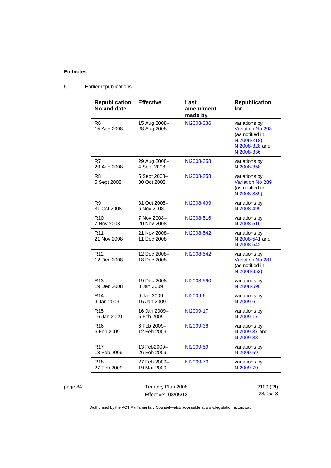## 5 Earlier republications

|         | <b>Republication</b><br>No and date | <b>Effective</b>            | Last<br>amendment<br>made by | <b>Republication</b><br>for                                                                                 |
|---------|-------------------------------------|-----------------------------|------------------------------|-------------------------------------------------------------------------------------------------------------|
|         | R <sub>6</sub><br>15 Aug 2008       | 15 Aug 2008-<br>28 Aug 2008 | NI2008-336                   | variations by<br><b>Variation No 293</b><br>(as notified in<br>NI2008-219),<br>NI2008-328 and<br>NI2008-336 |
|         | R7<br>29 Aug 2008                   | 29 Aug 2008-<br>4 Sept 2008 | NI2008-358                   | variations by<br>NI2008-358                                                                                 |
|         | R8<br>5 Sept 2008                   | 5 Sept 2008-<br>30 Oct 2008 | NI2008-358                   | variations by<br><b>Variation No 289</b><br>(as notified in<br>NI2008-339)                                  |
|         | R <sub>9</sub><br>31 Oct 2008       | 31 Oct 2008-<br>6 Nov 2008  | NI2008-499                   | variations by<br>NI2008-499                                                                                 |
|         | R10<br>7 Nov 2008                   | 7 Nov 2008-<br>20 Nov 2008  | NI2008-516                   | variations by<br>NI2008-516                                                                                 |
|         | R <sub>11</sub><br>21 Nov 2008      | 21 Nov 2008-<br>11 Dec 2008 | NI2008-542                   | variations by<br>NI2008-541 and<br>NI2008-542                                                               |
|         | R <sub>12</sub><br>12 Dec 2008      | 12 Dec 2008-<br>18 Dec 2008 | NI2008-542                   | variations by<br><b>Variation No 281</b><br>(as notified in<br>NI2008-352)                                  |
|         | R <sub>13</sub><br>19 Dec 2008      | 19 Dec 2008-<br>8 Jan 2009  | NI2008-590                   | variations by<br>NI2008-590                                                                                 |
|         | R <sub>14</sub><br>9 Jan 2009       | 9 Jan 2009–<br>15 Jan 2009  | NI2009-6                     | variations by<br>NI2009-6                                                                                   |
|         | R <sub>15</sub><br>16 Jan 2009      | 16 Jan 2009-<br>5 Feb 2009  | NI2009-17                    | variations by<br>NI2009-17                                                                                  |
|         | R <sub>16</sub><br>6 Feb 2009       | 6 Feb 2009-<br>12 Feb 2009  | NI2009-38                    | variations by<br>NI2009-37 and<br>NI2009-38                                                                 |
|         | R <sub>17</sub><br>13 Feb 2009      | 13 Feb2009-<br>26 Feb 2009  | NI2009-59                    | variations by<br>NI2009-59                                                                                  |
|         | R <sub>18</sub><br>27 Feb 2009      | 27 Feb 2009-<br>19 Mar 2009 | NI2009-70                    | variations by<br>NI2009-70                                                                                  |
| page 84 |                                     | Territory Plan 2008         |                              | R109 (RI)                                                                                                   |

|  | page 84 |  |
|--|---------|--|
|  |         |  |

Effective: 03/05/13

R109 (RI) 28/05/13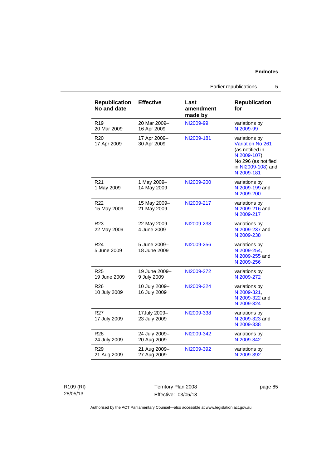Earlier republications 5

| <b>Republication</b><br>No and date | <b>Effective</b>              | Last<br>amendment<br>made by | <b>Republication</b><br>for                                                                                                     |
|-------------------------------------|-------------------------------|------------------------------|---------------------------------------------------------------------------------------------------------------------------------|
| R <sub>19</sub><br>20 Mar 2009      | 20 Mar 2009-<br>16 Apr 2009   | NI2009-99                    | variations by<br>NI2009-99                                                                                                      |
| R <sub>20</sub><br>17 Apr 2009      | 17 Apr 2009-<br>30 Apr 2009   | NI2009-181                   | variations by<br>Variation No 261<br>(as notified in<br>NI2009-107),<br>No 296 (as notified<br>in NI2009-108) and<br>NI2009-181 |
| R <sub>21</sub><br>1 May 2009       | 1 May 2009-<br>14 May 2009    | NI2009-200                   | variations by<br>NI2009-199 and<br>NI2009-200                                                                                   |
| R <sub>22</sub><br>15 May 2009      | 15 May 2009-<br>21 May 2009   | NI2009-217                   | variations by<br>NI2009-216 and<br>NI2009-217                                                                                   |
| R <sub>23</sub><br>22 May 2009      | 22 May 2009-<br>4 June 2009   | NI2009-238                   | variations by<br>NI2009-237 and<br>NI2009-238                                                                                   |
| R <sub>24</sub><br>5 June 2009      | 5 June 2009-<br>18 June 2009  | NI2009-256                   | variations by<br>NI2009-254,<br>NI2009-255 and<br>NI2009-256                                                                    |
| R <sub>25</sub><br>19 June 2009     | 19 June 2009-<br>9 July 2009  | NI2009-272                   | variations by<br>NI2009-272                                                                                                     |
| R <sub>26</sub><br>10 July 2009     | 10 July 2009-<br>16 July 2009 | NI2009-324                   | variations by<br>NI2009-321,<br>NI2009-322 and<br>NI2009-324                                                                    |
| R <sub>27</sub><br>17 July 2009     | 17July 2009-<br>23 July 2009  | NI2009-338                   | variations by<br>NI2009-323 and<br>NI2009-338                                                                                   |
| R <sub>28</sub><br>24 July 2009     | 24 July 2009-<br>20 Aug 2009  | NI2009-342                   | variations by<br>NI2009-342                                                                                                     |
| R <sub>29</sub><br>21 Aug 2009      | 21 Aug 2009-<br>27 Aug 2009   | NI2009-392                   | variations by<br>NI2009-392                                                                                                     |

R109 (RI) 28/05/13

Territory Plan 2008 Effective: 03/05/13 page 85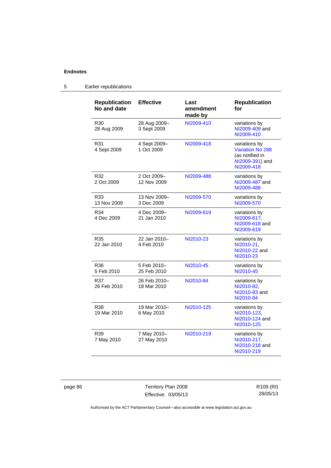| <b>Republication</b><br>No and date | <b>Effective</b>            | Last<br>amendment<br>made by | <b>Republication</b><br>for                                                                  |
|-------------------------------------|-----------------------------|------------------------------|----------------------------------------------------------------------------------------------|
| R <sub>30</sub><br>28 Aug 2009      | 28 Aug 2009-<br>3 Sept 2009 | NI2009-410                   | variations by<br>NI2009-409 and<br>NI2009-410                                                |
| R31<br>4 Sept 2009                  | 4 Sept 2009-<br>1 Oct 2009  | NI2009-418                   | variations by<br><b>Variation No 288</b><br>(as notified in<br>NI2009-391) and<br>NI2009-418 |
| R32<br>2 Oct 2009                   | 2 Oct 2009-<br>12 Nov 2009  | NI2009-488                   | variations by<br>NI2009-487 and<br>NI2009-488                                                |
| R33<br>13 Nov 2009                  | 13 Nov 2009-<br>3 Dec 2009  | NI2009-570                   | variations by<br>NI2009-570                                                                  |
| R34<br>4 Dec 2009                   | 4 Dec 2009-<br>21 Jan 2010  | NI2009-619                   | variations by<br>NI2009-617,<br>NI2009-618 and<br>NI2009-619                                 |
| R35<br>22 Jan 2010                  | 22 Jan 2010-<br>4 Feb 2010  | NI2010-23                    | variations by<br>NI2010-21,<br>NI2010-22 and<br>NI2010-23                                    |
| R36<br>5 Feb 2010                   | 5 Feb 2010-<br>25 Feb 2010  | NI2010-45                    | variations by<br>NI2010-45                                                                   |
| R37<br>26 Feb 2010                  | 26 Feb 2010-<br>18 Mar 2010 | NI2010-84                    | variations by<br>NI2010-82,<br>NI2010-83 and<br>NI2010-84                                    |
| R38<br>19 Mar 2010                  | 19 Mar 2010-<br>6 May 2010  | NI2010-125                   | variations by<br>NI2010-123,<br>NI2010-124 and<br>NI2010-125                                 |
| R39<br>7 May 2010                   | 7 May 2010-<br>27 May 2010  | NI2010-219                   | variations by<br>NI2010-217,<br>NI2010-218 and<br>NI2010-219                                 |

## 5 Earlier republications

page 86 Territory Plan 2008 Effective: 03/05/13

R109 (RI) 28/05/13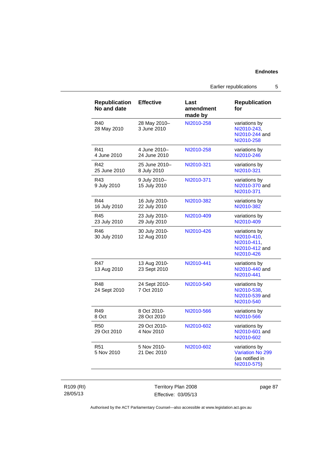Earlier republications 5

| <b>Republication</b><br>No and date | <b>Effective</b>              | Last<br>amendment<br>made by | <b>Republication</b><br>for                                                 |
|-------------------------------------|-------------------------------|------------------------------|-----------------------------------------------------------------------------|
| R40<br>28 May 2010                  | 28 May 2010-<br>3 June 2010   | NI2010-258                   | variations by<br>NI2010-243.<br>NI2010-244 and<br>NI2010-258                |
| R41<br>4 June 2010                  | 4 June 2010-<br>24 June 2010  | NI2010-258                   | variations by<br>NI2010-246                                                 |
| R42<br>25 June 2010                 | 25 June 2010-<br>8 July 2010  | NI2010-321                   | variations by<br>NI2010-321                                                 |
| R43<br>9 July 2010                  | 9 July 2010-<br>15 July 2010  | NI2010-371                   | variations by<br>NI2010-370 and<br>NI2010-371                               |
| R44<br>16 July 2010                 | 16 July 2010-<br>22 July 2010 | NI2010-382                   | variations by<br>NI2010-382                                                 |
| R45<br>23 July 2010                 | 23 July 2010-<br>29 July 2010 | NI2010-409                   | variations by<br>NI2010-409                                                 |
| R46<br>30 July 2010                 | 30 July 2010-<br>12 Aug 2010  | NI2010-426                   | variations by<br>NI2010-410,<br>NI2010-411.<br>NI2010-412 and<br>NI2010-426 |
| R47<br>13 Aug 2010                  | 13 Aug 2010-<br>23 Sept 2010  | NI2010-441                   | variations by<br>NI2010-440 and<br>NI2010-441                               |
| R48<br>24 Sept 2010                 | 24 Sept 2010-<br>7 Oct 2010   | NI2010-540                   | variations by<br>NI2010-538,<br>NI2010-539 and<br>NI2010-540                |
| R49<br>8 Oct                        | 8 Oct 2010-<br>28 Oct 2010    | NI2010-566                   | variations by<br>NI2010-566                                                 |
| R50<br>29 Oct 2010                  | 29 Oct 2010-<br>4 Nov 2010    | NI2010-602                   | variations by<br>NI2010-601 and<br>NI2010-602                               |
| R <sub>51</sub><br>5 Nov 2010       | 5 Nov 2010-<br>21 Dec 2010    | NI2010-602                   | variations by<br><b>Variation No 299</b><br>(as notified in<br>NI2010-575)  |

R109 (RI) 28/05/13

Territory Plan 2008 Effective: 03/05/13 page 87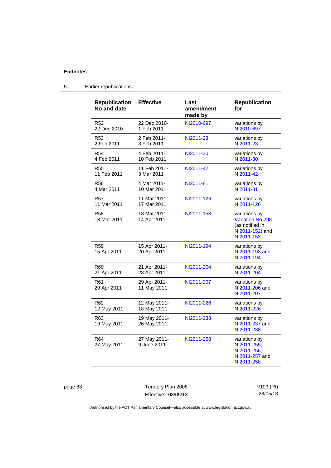| <b>Republication</b><br>No and date | <b>Effective</b>            | Last<br>amendment<br>made by | <b>Republication</b><br>for                                                           |
|-------------------------------------|-----------------------------|------------------------------|---------------------------------------------------------------------------------------|
| R <sub>52</sub>                     | 22 Dec 2010-                | NI2010-697                   | variations by                                                                         |
| 22 Dec 2010                         | 1 Feb 2011                  |                              | NI2010-697                                                                            |
| R <sub>53</sub>                     | 2 Feb 2011-                 | NI2011-23                    | variations by                                                                         |
| 2 Feb 2011                          | 3 Feb 2011                  |                              | NI2011-23                                                                             |
| R <sub>54</sub>                     | 4 Feb 2011-                 | NI2011-30                    | variations by                                                                         |
| 4 Feb 2011                          | 10 Feb 2011                 |                              | NI2011-30                                                                             |
| <b>R55</b>                          | 11 Feb 2011-                | NI2011-42                    | variations by                                                                         |
| 11 Feb 2011                         | 3 Mar 2011                  |                              | NI2011-42                                                                             |
| <b>R56</b>                          | 4 Mar 2011-                 | NI2011-81                    | variations by                                                                         |
| 4 Mar 2011                          | 10 Mar 2011                 |                              | NI2011-81                                                                             |
| <b>R57</b>                          | 11 Mar 2011-                | NI2011-126                   | variations by                                                                         |
| 11 Mar 2011                         | 17 Mar 2011                 |                              | NI2011-126                                                                            |
| <b>R58</b><br>18 Mar 2011           | 18 Mar 2011-<br>14 Apr 2011 | NI2011-153                   | variations by<br>Variation No 298<br>(as notified in<br>NI2011-152) and<br>NI2011-153 |
| <b>R59</b><br>15 Apr 2011           | 15 Apr 2011-<br>20 Apr 2011 | NI2011-194                   | variations by<br>NI2011-193 and<br>NI2011-194                                         |
| R <sub>60</sub>                     | 21 Apr 2011-                | NI2011-204                   | variations by                                                                         |
| 21 Apr 2011                         | 28 Apr 2011                 |                              | NI2011-204                                                                            |
| R <sub>61</sub><br>29 Apr 2011      | 29 Apr 2011-<br>11 May 2011 | NI2011-207                   | variations by<br>NI2011-206 and<br>NI2011-207                                         |
| R <sub>62</sub>                     | 12 May 2011-                | NI2011-226                   | variations by                                                                         |
| 12 May 2011                         | 18 May 2011                 |                              | NI2011-226                                                                            |
| R63<br>19 May 2011                  | 19 May 2011-<br>26 May 2011 | NI2011-238                   | variations by<br>NI2011-237 and<br>NI2011-238                                         |
| R64<br>27 May 2011                  | 27 May 2011-<br>9 June 2011 | NI2011-258                   | variations by<br>NI2011-255,<br>NI2011-256,<br>NI2011-257 and<br>NI2011-258           |

## 5 Earlier republications

page 88 Territory Plan 2008 Effective: 03/05/13

R109 (RI) 28/05/13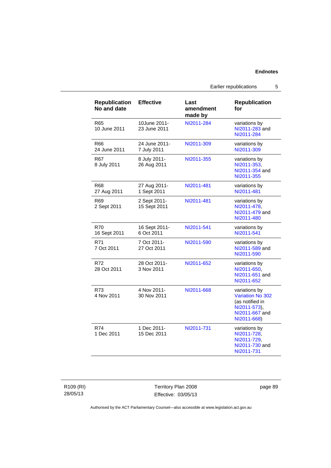|                                     |                              | Earlier republications       |                                                                                                       | 5 |
|-------------------------------------|------------------------------|------------------------------|-------------------------------------------------------------------------------------------------------|---|
| <b>Republication</b><br>No and date | <b>Effective</b>             | Last<br>amendment<br>made by | <b>Republication</b><br>for                                                                           |   |
| R <sub>65</sub><br>10 June 2011     | 10June 2011-<br>23 June 2011 | NI2011-284                   | variations by<br>NI2011-283 and<br>NI2011-284                                                         |   |
| R66<br>24 June 2011                 | 24 June 2011-<br>7 July 2011 | NI2011-309                   | variations by<br>NI2011-309                                                                           |   |
| R67<br>8 July 2011                  | 8 July 2011-<br>26 Aug 2011  | NI2011-355                   | variations by<br>NI2011-353,<br>NI2011-354 and<br>NI2011-355                                          |   |
| R68<br>27 Aug 2011                  | 27 Aug 2011-<br>1 Sept 2011  | NI2011-481                   | variations by<br>NI2011-481                                                                           |   |
| R <sub>69</sub><br>2 Sept 2011      | 2 Sept 2011-<br>15 Sept 2011 | NI2011-481                   | variations by<br>NI2011-478.<br>NI2011-479 and<br>NI2011-480                                          |   |
| <b>R70</b><br>16 Sept 2011          | 16 Sept 2011-<br>6 Oct 2011  | NI2011-541                   | variations by<br>NI2011-541                                                                           |   |
| R71<br>7 Oct 2011                   | 7 Oct 2011-<br>27 Oct 2011   | NI2011-590                   | variations by<br>NI2011-589 and<br>NI2011-590                                                         |   |
| R72<br>28 Oct 2011                  | 28 Oct 2011-<br>3 Nov 2011   | NI2011-652                   | variations by<br>NI2011-650.<br>NI2011-651 and<br>NI2011-652                                          |   |
| R73<br>4 Nov 2011                   | 4 Nov 2011-<br>30 Nov 2011   | NI2011-668                   | variations by<br>Variation No 302<br>(as notified in<br>NI2011-573),<br>NI2011-667 and<br>NI2011-668) |   |
| R74<br>1 Dec 2011                   | 1 Dec 2011-<br>15 Dec 2011   | NI2011-731                   | variations by<br>NI2011-728,<br>NI2011-729,<br>NI2011-730 and<br>NI2011-731                           |   |

R109 (RI) 28/05/13

Territory Plan 2008 Effective: 03/05/13 page 89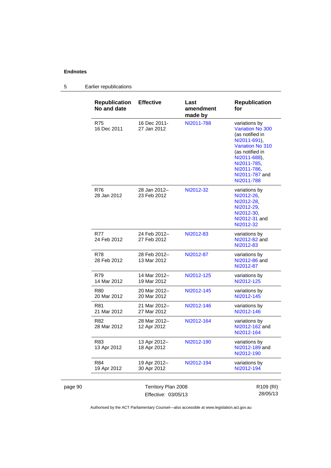#### page 90 Territory Plan 2008 R109 (RI) 28/05/13 **Republication No and date Effective Last amendment made by Republication for**  R75 16 Dec 2011 16 Dec 2011- 27 Jan 2012 [NI2011-788](http://www.legislation.act.gov.au/ni/2011-788/) variations by [Variation No 300](http://www.legislation.act.gov.au/ni/2011-691/) (as notified in [NI2011-691](http://www.legislation.act.gov.au/ni/2011-691/)), [Variation No 310](http://www.legislation.act.gov.au/ni/2011-688/) (as notified in [NI2011-688](http://www.legislation.act.gov.au/ni/2011-688/)), [NI2011-785](http://www.legislation.act.gov.au/ni/2011-785/), [NI2011-786](http://www.legislation.act.gov.au/ni/2011-786/), [NI2011-787](http://www.legislation.act.gov.au/ni/2011-787/) and [NI2011-788](http://www.legislation.act.gov.au/ni/2011-788/) R76 28 Jan 2012 28 Jan 2012– 23 Feb 2012 [NI2012-32](http://www.legislation.act.gov.au/ni/2012-32/) variations by [NI2012-26](http://www.legislation.act.gov.au/ni/2012-26/), [NI2012-28](http://www.legislation.act.gov.au/ni/2012-28/), [NI2012-29](http://www.legislation.act.gov.au/ni/2012-29/), [NI2012-30](http://www.legislation.act.gov.au/ni/2012-30/), [NI2012-31](http://www.legislation.act.gov.au/ni/2012-31/) and [NI2012-32](http://www.legislation.act.gov.au/ni/2012-32/) R77 24 Feb 2012 24 Feb 2012– 27 Feb 2012 [NI2012-83](http://www.legislation.act.gov.au/ni/2012-83/) variations by [NI2012-82](http://www.legislation.act.gov.au/ni/2012-82/) and [NI2012-83](http://www.legislation.act.gov.au/ni/2012-83/) R78 28 Feb 2012 28 Feb 2012– 13 Mar 2012 [NI2012-87](http://www.legislation.act.gov.au/ni/2012-87/) variations by [NI2012-86](http://www.legislation.act.gov.au/ni/2012-86/) and [NI2012-87](http://www.legislation.act.gov.au/ni/2012-87/) R79 14 Mar 2012 14 Mar 2012– 19 Mar 2012 [NI2012-125](http://www.legislation.act.gov.au/ni/2012-125/) variations by [NI2012-125](http://www.legislation.act.gov.au/ni/2012-125/) R80 20 Mar 2012 20 Mar 2012– 20 Mar 2012 [NI2012-145](http://www.legislation.act.gov.au/ni/2012-145/) variations by [NI2012-145](http://www.legislation.act.gov.au/ni/2012-145/) R81 21 Mar 2012 21 Mar 2012– 27 Mar 2012 [NI2012-146](http://www.legislation.act.gov.au/ni/2012-146/) variations by [NI2012-146](http://www.legislation.act.gov.au/ni/2012-146/) R82 28 Mar 2012 28 Mar 2012– 12 Apr 2012 [NI2012-164](http://www.legislation.act.gov.au/ni/2012-164/) variations by [NI2012-162](http://www.legislation.act.gov.au/ni/2012-162/) and [NI2012-164](http://www.legislation.act.gov.au/ni/2012-164/) R83 13 Apr 2012 13 Apr 2012– 18 Apr 2012 [NI2012-190](http://www.legislation.act.gov.au/ni/2012-190/) variations by [NI2012-189](http://www.legislation.act.gov.au/ni/2012-189/) and [NI2012-190](http://www.legislation.act.gov.au/ni/2012-190/) R84 19 Apr 2012 19 Apr 2012– 30 Apr 2012 [NI2012-194](http://www.legislation.act.gov.au/ni/2012-194/) variations by [NI2012-194](http://www.legislation.act.gov.au/ni/2012-194/)

#### 5 Earlier republications

Authorised by the ACT Parliamentary Counsel—also accessible at www.legislation.act.gov.au

Effective: 03/05/13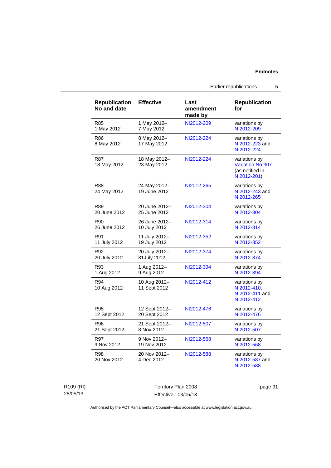| <b>Republication</b><br>No and date | <b>Effective</b>             | Last<br>amendment<br>made by | <b>Republication</b><br>for                                         |
|-------------------------------------|------------------------------|------------------------------|---------------------------------------------------------------------|
| R85                                 | 1 May 2012-                  | NI2012-209                   | variations by                                                       |
| 1 May 2012                          | 7 May 2012                   |                              | NI2012-209                                                          |
| R86<br>8 May 2012                   | 8 May 2012-<br>17 May 2012   | NI2012-224                   | variations by<br>NI2012-223 and<br>NI2012-224                       |
| R87<br>18 May 2012                  | 18 May 2012-<br>23 May 2012  | NI2012-224                   | variations by<br>Variation No 307<br>(as notified in<br>NI2012-201) |
| <b>R88</b><br>24 May 2012           | 24 May 2012-<br>19 June 2012 | NI2012-265                   | variations by<br>NI2012-243 and<br>NI2012-265                       |
| R89                                 | 20 June 2012-                | NI2012-304                   | variations by                                                       |
| 20 June 2012                        | 25 June 2012                 |                              | NI2012-304                                                          |
| R90                                 | 26 June 2012-                | NI2012-314                   | variations by                                                       |
| 26 June 2012                        | 10 July 2012                 |                              | NI2012-314                                                          |
| R91                                 | 11 July 2012-                | NI2012-352                   | variations by                                                       |
| 11 July 2012                        | 19 July 2012                 |                              | NI2012-352                                                          |
| R92                                 | 20 July 2012-                | NI2012-374                   | variations by                                                       |
| 20 July 2012                        | 31 July 2012                 |                              | NI2012-374                                                          |
| R93                                 | 1 Aug 2012-                  | NI2012-394                   | variations by                                                       |
| 1 Aug 2012                          | 9 Aug 2012                   |                              | NI2012-394                                                          |
| R94<br>10 Aug 2012                  | 10 Aug 2012-<br>11 Sept 2012 | NI2012-412                   | variations by<br>NI2012-410.<br>NI2012-411 and<br>NI2012-412        |
| R95                                 | 12 Sept 2012-                | NI2012-476                   | variations by                                                       |
| 12 Sept 2012                        | 20 Sept 2012                 |                              | NI2012-476                                                          |
| R96                                 | 21 Sept 2012-                | NI2012-507                   | variations by                                                       |
| 21 Sept 2012                        | 8 Nov 2012                   |                              | NI2012-507                                                          |
| R97                                 | 9 Nov 2012-                  | NI2012-568                   | variations by                                                       |
| 9 Nov 2012                          | 19 Nov 2012                  |                              | NI2012-568                                                          |
| R98<br>20 Nov 2012                  | 20 Nov 2012-<br>4 Dec 2012   | NI2012-588                   | variations by<br>NI2012-587 and<br>NI2012-588                       |

R109 (RI) 28/05/13

Territory Plan 2008 Effective: 03/05/13 page 91